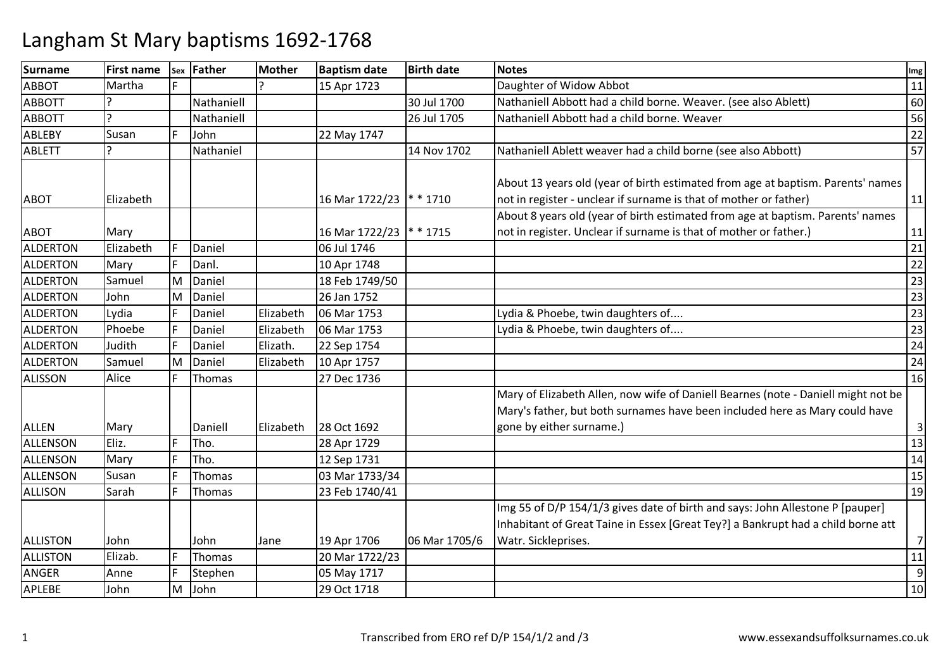| <b>Surname</b>  | <b>First name</b> |   | sex Father | <b>Mother</b> | <b>Baptism date</b> | <b>Birth date</b> | <b>Notes</b>                                                                      | Img            |
|-----------------|-------------------|---|------------|---------------|---------------------|-------------------|-----------------------------------------------------------------------------------|----------------|
| <b>ABBOT</b>    | Martha            |   |            |               | 15 Apr 1723         |                   | Daughter of Widow Abbot                                                           | 11             |
| <b>ABBOTT</b>   |                   |   | Nathaniell |               |                     | 30 Jul 1700       | Nathaniell Abbott had a child borne. Weaver. (see also Ablett)                    | 60             |
| <b>ABBOTT</b>   |                   |   | Nathaniell |               |                     | 26 Jul 1705       | Nathaniell Abbott had a child borne. Weaver                                       | 56             |
| ABLEBY          | Susan             | E | John       |               | 22 May 1747         |                   |                                                                                   | 22             |
| <b>ABLETT</b>   |                   |   | Nathaniel  |               |                     | 14 Nov 1702       | Nathaniell Ablett weaver had a child borne (see also Abbott)                      | 57             |
|                 |                   |   |            |               |                     |                   |                                                                                   |                |
|                 |                   |   |            |               |                     |                   | About 13 years old (year of birth estimated from age at baptism. Parents' names   |                |
| <b>ABOT</b>     | Elizabeth         |   |            |               | 16 Mar 1722/23      | $* * 1710$        | not in register - unclear if surname is that of mother or father)                 | 11             |
|                 |                   |   |            |               |                     |                   | About 8 years old (year of birth estimated from age at baptism. Parents' names    |                |
| <b>ABOT</b>     | Mary              |   |            |               | 16 Mar 1722/23      | $* * 1715$        | not in register. Unclear if surname is that of mother or father.)                 | 11             |
| <b>ALDERTON</b> | Elizabeth         |   | Daniel     |               | 06 Jul 1746         |                   |                                                                                   | 21             |
| <b>ALDERTON</b> | Mary              |   | Danl.      |               | 10 Apr 1748         |                   |                                                                                   | 22             |
| <b>ALDERTON</b> | Samuel            | M | Daniel     |               | 18 Feb 1749/50      |                   |                                                                                   | 23             |
| <b>ALDERTON</b> | John              | M | Daniel     |               | 26 Jan 1752         |                   |                                                                                   | 23             |
| <b>ALDERTON</b> | Lydia             | F | Daniel     | Elizabeth     | 06 Mar 1753         |                   | Lydia & Phoebe, twin daughters of                                                 | 23             |
| <b>ALDERTON</b> | Phoebe            | E | Daniel     | Elizabeth     | 06 Mar 1753         |                   | Lydia & Phoebe, twin daughters of                                                 | 23             |
| <b>ALDERTON</b> | Judith            | F | Daniel     | Elizath.      | 22 Sep 1754         |                   |                                                                                   | 24             |
| <b>ALDERTON</b> | Samuel            | M | Daniel     | Elizabeth     | 10 Apr 1757         |                   |                                                                                   | 24             |
| <b>ALISSON</b>  | Alice             | E | Thomas     |               | 27 Dec 1736         |                   |                                                                                   | 16             |
|                 |                   |   |            |               |                     |                   | Mary of Elizabeth Allen, now wife of Daniell Bearnes (note - Daniell might not be |                |
|                 |                   |   |            |               |                     |                   | Mary's father, but both surnames have been included here as Mary could have       |                |
| <b>ALLEN</b>    | Mary              |   | Daniell    | Elizabeth     | 28 Oct 1692         |                   | gone by either surname.)                                                          | $\mathbf{3}$   |
| <b>ALLENSON</b> | Eliz.             |   | Tho.       |               | 28 Apr 1729         |                   |                                                                                   | 13             |
| <b>ALLENSON</b> | Mary              | F | Tho.       |               | 12 Sep 1731         |                   |                                                                                   | 14             |
| <b>ALLENSON</b> | Susan             | F | Thomas     |               | 03 Mar 1733/34      |                   |                                                                                   | 15             |
| <b>ALLISON</b>  | Sarah             |   | Thomas     |               | 23 Feb 1740/41      |                   |                                                                                   | 19             |
|                 |                   |   |            |               |                     |                   | Img 55 of D/P 154/1/3 gives date of birth and says: John Allestone P [pauper]     |                |
|                 |                   |   |            |               |                     |                   | Inhabitant of Great Taine in Essex [Great Tey?] a Bankrupt had a child borne att  |                |
| <b>ALLISTON</b> | John              |   | John       | Jane          | 19 Apr 1706         | 06 Mar 1705/6     | Watr. Sickleprises.                                                               | $\overline{7}$ |
| <b>ALLISTON</b> | Elizab.           |   | Thomas     |               | 20 Mar 1722/23      |                   |                                                                                   | $11\,$         |
| <b>ANGER</b>    | Anne              | E | Stephen    |               | 05 May 1717         |                   |                                                                                   | $\overline{9}$ |
| APLEBE          | John              |   | M John     |               | 29 Oct 1718         |                   |                                                                                   | 10             |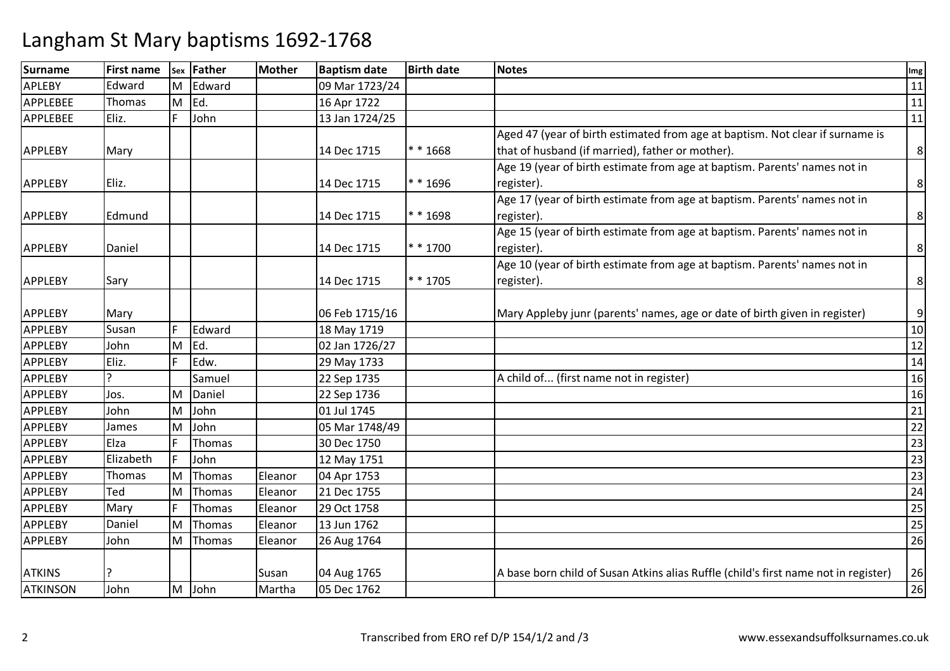| Surname         | <b>First name</b> |   | sex Father | Mother  | <b>Baptism date</b> | <b>Birth date</b> | <b>Notes</b>                                                                        | Img |
|-----------------|-------------------|---|------------|---------|---------------------|-------------------|-------------------------------------------------------------------------------------|-----|
| <b>APLEBY</b>   | Edward            |   | M Edward   |         | 09 Mar 1723/24      |                   |                                                                                     | 11  |
| <b>APPLEBEE</b> | Thomas            |   | M Ed.      |         | 16 Apr 1722         |                   |                                                                                     | 11  |
| APPLEBEE        | Eliz.             |   | John       |         | 13 Jan 1724/25      |                   |                                                                                     | 11  |
|                 |                   |   |            |         |                     |                   | Aged 47 (year of birth estimated from age at baptism. Not clear if surname is       |     |
| <b>APPLEBY</b>  | Mary              |   |            |         | 14 Dec 1715         | $* * 1668$        | that of husband (if married), father or mother).                                    | 8   |
|                 |                   |   |            |         |                     |                   | Age 19 (year of birth estimate from age at baptism. Parents' names not in           |     |
| <b>APPLEBY</b>  | Eliz.             |   |            |         | 14 Dec 1715         | ** 1696           | register).                                                                          | 8   |
|                 |                   |   |            |         |                     |                   | Age 17 (year of birth estimate from age at baptism. Parents' names not in           |     |
| <b>APPLEBY</b>  | Edmund            |   |            |         | 14 Dec 1715         | * * 1698          | register).                                                                          | 8   |
|                 |                   |   |            |         |                     |                   | Age 15 (year of birth estimate from age at baptism. Parents' names not in           |     |
| <b>APPLEBY</b>  | Daniel            |   |            |         | 14 Dec 1715         | * * 1700          | register).                                                                          | 8   |
|                 |                   |   |            |         |                     |                   | Age 10 (year of birth estimate from age at baptism. Parents' names not in           |     |
| <b>APPLEBY</b>  | Sary              |   |            |         | 14 Dec 1715         | $* * 1705$        | register).                                                                          | 8   |
|                 |                   |   |            |         |                     |                   |                                                                                     |     |
| <b>APPLEBY</b>  | Mary              |   |            |         | 06 Feb 1715/16      |                   | Mary Appleby junr (parents' names, age or date of birth given in register)          | 9   |
| <b>APPLEBY</b>  | Susan             | F | Edward     |         | 18 May 1719         |                   |                                                                                     | 10  |
| APPLEBY         | John              | M | Ed.        |         | 02 Jan 1726/27      |                   |                                                                                     | 12  |
| <b>APPLEBY</b>  | Eliz.             |   | Edw.       |         | 29 May 1733         |                   |                                                                                     | 14  |
| <b>APPLEBY</b>  | $\mathcal{P}$     |   | Samuel     |         | 22 Sep 1735         |                   | A child of (first name not in register)                                             | 16  |
| <b>APPLEBY</b>  | Jos.              |   | M Daniel   |         | 22 Sep 1736         |                   |                                                                                     | 16  |
| <b>APPLEBY</b>  | John              | M | John       |         | 01 Jul 1745         |                   |                                                                                     | 21  |
| <b>APPLEBY</b>  | James             | M | John       |         | 05 Mar 1748/49      |                   |                                                                                     | 22  |
| APPLEBY         | Elza              | F | Thomas     |         | 30 Dec 1750         |                   |                                                                                     | 23  |
| <b>APPLEBY</b>  | Elizabeth         | E | John       |         | 12 May 1751         |                   |                                                                                     | 23  |
| <b>APPLEBY</b>  | Thomas            | M | Thomas     | Eleanor | 04 Apr 1753         |                   |                                                                                     | 23  |
| <b>APPLEBY</b>  | Ted               | M | Thomas     | Eleanor | 21 Dec 1755         |                   |                                                                                     | 24  |
| <b>APPLEBY</b>  | Mary              | E | Thomas     | Eleanor | 29 Oct 1758         |                   |                                                                                     | 25  |
| <b>APPLEBY</b>  | Daniel            | M | Thomas     | Eleanor | 13 Jun 1762         |                   |                                                                                     | 25  |
| <b>APPLEBY</b>  | John              |   | M Thomas   | Eleanor | 26 Aug 1764         |                   |                                                                                     | 26  |
| <b>ATKINS</b>   |                   |   |            | Susan   | 04 Aug 1765         |                   | A base born child of Susan Atkins alias Ruffle (child's first name not in register) | 26  |
| <b>ATKINSON</b> | John              |   | M John     | Martha  | 05 Dec 1762         |                   |                                                                                     | 26  |
|                 |                   |   |            |         |                     |                   |                                                                                     |     |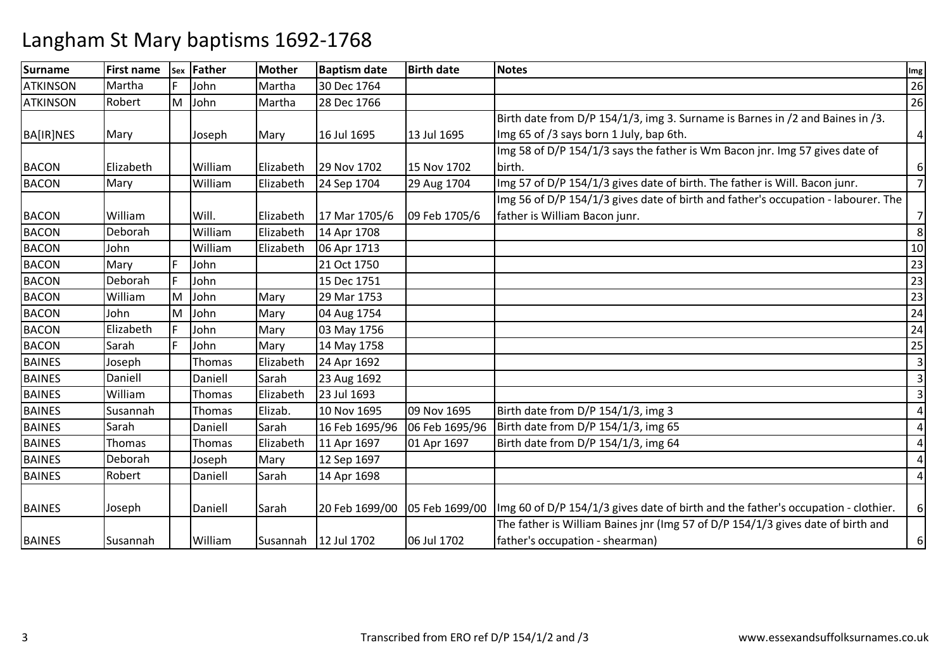| <b>Surname</b>  | <b>First name</b> |     | sex Father | <b>Mother</b> | <b>Baptism date</b>    | <b>Birth date</b> | <b>Notes</b>                                                                      | Img              |
|-----------------|-------------------|-----|------------|---------------|------------------------|-------------------|-----------------------------------------------------------------------------------|------------------|
| <b>ATKINSON</b> | Martha            |     | John       | Martha        | 30 Dec 1764            |                   |                                                                                   | 26               |
| <b>ATKINSON</b> | Robert            |     | M John     | Martha        | 28 Dec 1766            |                   |                                                                                   | 26               |
|                 |                   |     |            |               |                        |                   | Birth date from D/P 154/1/3, img 3. Surname is Barnes in /2 and Baines in /3.     |                  |
| BA[IR]NES       | Mary              |     | Joseph     | Mary          | 16 Jul 1695            | 13 Jul 1695       | Img 65 of /3 says born 1 July, bap 6th.                                           | $\overline{4}$   |
|                 |                   |     |            |               |                        |                   | Img 58 of D/P 154/1/3 says the father is Wm Bacon jnr. Img 57 gives date of       |                  |
| <b>BACON</b>    | Elizabeth         |     | William    | Elizabeth     | 29 Nov 1702            | 15 Nov 1702       | birth.                                                                            | $\boldsymbol{6}$ |
| <b>BACON</b>    | Mary              |     | William    | Elizabeth     | 24 Sep 1704            | 29 Aug 1704       | Img 57 of D/P 154/1/3 gives date of birth. The father is Will. Bacon junr.        | $\overline{7}$   |
|                 |                   |     |            |               |                        |                   | Img 56 of D/P 154/1/3 gives date of birth and father's occupation - labourer. The |                  |
| <b>BACON</b>    | William           |     | Will.      | Elizabeth     | 17 Mar 1705/6          | 09 Feb 1705/6     | father is William Bacon junr.                                                     | $\overline{7}$   |
| <b>BACON</b>    | Deborah           |     | William    | Elizabeth     | 14 Apr 1708            |                   |                                                                                   | 8                |
| <b>BACON</b>    | John              |     | William    | Elizabeth     | 06 Apr 1713            |                   |                                                                                   | 10               |
| <b>BACON</b>    | Mary              |     | John       |               | 21 Oct 1750            |                   |                                                                                   | 23               |
| <b>BACON</b>    | Deborah           |     | John       |               | 15 Dec 1751            |                   |                                                                                   | 23               |
| <b>BACON</b>    | William           | M   | John       | Mary          | 29 Mar 1753            |                   |                                                                                   | 23               |
| <b>BACON</b>    | John              | M   | John       | Mary          | 04 Aug 1754            |                   |                                                                                   | 24               |
| <b>BACON</b>    | Elizabeth         | E   | John       | Mary          | 03 May 1756            |                   |                                                                                   | 24               |
| <b>BACON</b>    | Sarah             | l F | John       | Mary          | 14 May 1758            |                   |                                                                                   | 25               |
| <b>BAINES</b>   | Joseph            |     | Thomas     | Elizabeth     | 24 Apr 1692            |                   |                                                                                   | $\overline{3}$   |
| <b>BAINES</b>   | Daniell           |     | Daniell    | Sarah         | 23 Aug 1692            |                   |                                                                                   | $\mathsf{3}$     |
| <b>BAINES</b>   | William           |     | Thomas     | Elizabeth     | 23 Jul 1693            |                   |                                                                                   | $\overline{3}$   |
| <b>BAINES</b>   | Susannah          |     | Thomas     | Elizab.       | 10 Nov 1695            | 09 Nov 1695       | Birth date from D/P 154/1/3, img 3                                                | $\overline{a}$   |
| <b>BAINES</b>   | Sarah             |     | Daniell    | Sarah         | 16 Feb 1695/96         | 06 Feb 1695/96    | Birth date from D/P 154/1/3, img 65                                               | $\overline{a}$   |
| <b>BAINES</b>   | Thomas            |     | Thomas     | Elizabeth     | 11 Apr 1697            | 01 Apr 1697       | Birth date from D/P 154/1/3, img 64                                               | $\overline{a}$   |
| <b>BAINES</b>   | Deborah           |     | Joseph     | Mary          | 12 Sep 1697            |                   |                                                                                   | $\overline{a}$   |
| <b>BAINES</b>   | Robert            |     | Daniell    | Sarah         | 14 Apr 1698            |                   |                                                                                   | $\overline{a}$   |
| <b>BAINES</b>   | Joseph            |     | Daniell    | Sarah         | 20 Feb 1699/00         | 05 Feb 1699/00    | Img 60 of D/P 154/1/3 gives date of birth and the father's occupation - clothier. | 6                |
|                 |                   |     |            |               |                        |                   | The father is William Baines jnr (Img 57 of D/P 154/1/3 gives date of birth and   |                  |
| <b>BAINES</b>   | Susannah          |     | William    |               | Susannah   12 Jul 1702 | 06 Jul 1702       | father's occupation - shearman)                                                   | $\boldsymbol{6}$ |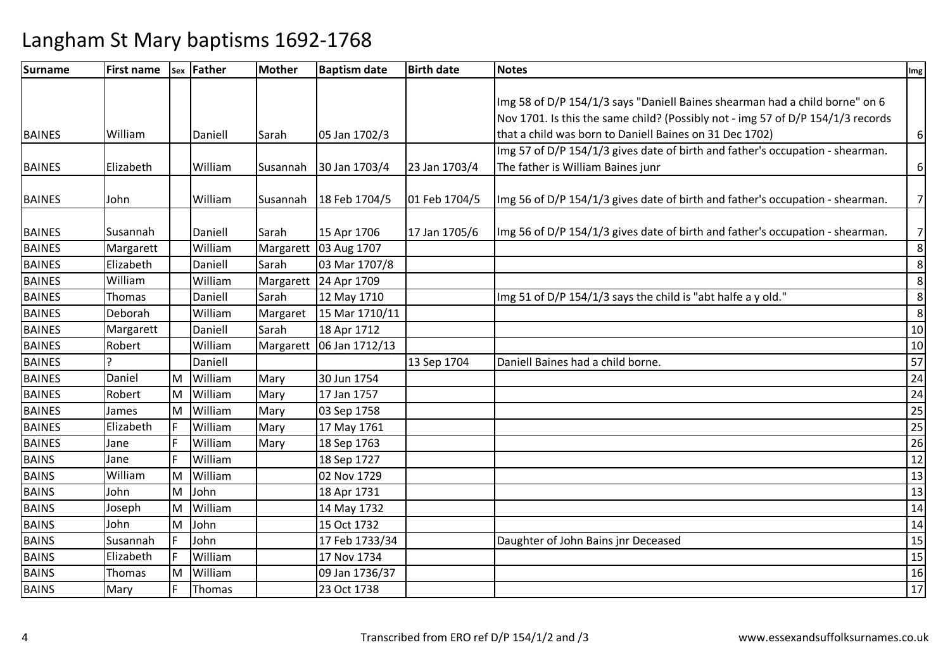| <b>Surname</b> | <b>First name</b> |   | sex Father | Mother    | <b>Baptism date</b>   | <b>Birth date</b> | <b>Notes</b>                                                                    | Img             |
|----------------|-------------------|---|------------|-----------|-----------------------|-------------------|---------------------------------------------------------------------------------|-----------------|
|                |                   |   |            |           |                       |                   |                                                                                 |                 |
|                |                   |   |            |           |                       |                   | limg 58 of D/P 154/1/3 says "Daniell Baines shearman had a child borne" on 6    |                 |
|                |                   |   |            |           |                       |                   | Nov 1701. Is this the same child? (Possibly not - img 57 of D/P 154/1/3 records |                 |
| <b>BAINES</b>  | William           |   | Daniell    | Sarah     | 05 Jan 1702/3         |                   | that a child was born to Daniell Baines on 31 Dec 1702)                         | $6 \mid$        |
|                |                   |   |            |           |                       |                   | Img 57 of D/P 154/1/3 gives date of birth and father's occupation - shearman.   |                 |
| <b>BAINES</b>  | Elizabeth         |   | William    | Susannah  | 30 Jan 1703/4         | 23 Jan 1703/4     | The father is William Baines junr                                               | $6 \mid$        |
|                |                   |   |            |           |                       |                   |                                                                                 |                 |
| <b>BAINES</b>  | John              |   | William    | Susannah  | 18 Feb 1704/5         | 01 Feb 1704/5     | Img 56 of D/P 154/1/3 gives date of birth and father's occupation - shearman.   | 7 <sup>1</sup>  |
| <b>BAINES</b>  | Susannah          |   | Daniell    | Sarah     | 15 Apr 1706           | 17 Jan 1705/6     | Img 56 of D/P 154/1/3 gives date of birth and father's occupation - shearman.   | 7               |
| <b>BAINES</b>  | Margarett         |   | William    |           | Margarett 03 Aug 1707 |                   |                                                                                 | $\,8\,$         |
| <b>BAINES</b>  | Elizabeth         |   | Daniell    | Sarah     | 03 Mar 1707/8         |                   |                                                                                 | $\,8\,$         |
| <b>BAINES</b>  | William           |   | William    | Margarett | 24 Apr 1709           |                   |                                                                                 | $\,8\,$         |
| <b>BAINES</b>  | Thomas            |   | Daniell    | Sarah     | 12 May 1710           |                   | Img 51 of D/P 154/1/3 says the child is "abt halfe a y old."                    | 8               |
| <b>BAINES</b>  | Deborah           |   | William    | Margaret  | 15 Mar 1710/11        |                   |                                                                                 | 8               |
| <b>BAINES</b>  | Margarett         |   | Daniell    | Sarah     | 18 Apr 1712           |                   |                                                                                 | 10              |
| <b>BAINES</b>  | Robert            |   | William    | Margarett | 06 Jan 1712/13        |                   |                                                                                 | 10              |
| <b>BAINES</b>  |                   |   | Daniell    |           |                       | 13 Sep 1704       | Daniell Baines had a child borne.                                               | 57              |
| <b>BAINES</b>  | Daniel            | M | William    | Mary      | 30 Jun 1754           |                   |                                                                                 | 24              |
| <b>BAINES</b>  | Robert            | M | William    | Mary      | 17 Jan 1757           |                   |                                                                                 | 24              |
| <b>BAINES</b>  | James             | M | William    | Mary      | 03 Sep 1758           |                   |                                                                                 | 25              |
| <b>BAINES</b>  | Elizabeth         | F | William    | Mary      | 17 May 1761           |                   |                                                                                 | 25              |
| <b>BAINES</b>  | Jane              |   | William    | Mary      | 18 Sep 1763           |                   |                                                                                 | $\overline{26}$ |
| <b>BAINS</b>   | Jane              |   | William    |           | 18 Sep 1727           |                   |                                                                                 | 12              |
| <b>BAINS</b>   | William           | M | William    |           | 02 Nov 1729           |                   |                                                                                 | 13              |
| <b>BAINS</b>   | John              | M | John       |           | 18 Apr 1731           |                   |                                                                                 | 13              |
| <b>BAINS</b>   | Joseph            | M | William    |           | 14 May 1732           |                   |                                                                                 | 14              |
| <b>BAINS</b>   | John              | M | John       |           | 15 Oct 1732           |                   |                                                                                 | 14              |
| <b>BAINS</b>   | Susannah          | F | John       |           | 17 Feb 1733/34        |                   | Daughter of John Bains jnr Deceased                                             | 15              |
| <b>BAINS</b>   | Elizabeth         | F | William    |           | 17 Nov 1734           |                   |                                                                                 | 15              |
| <b>BAINS</b>   | Thomas            | M | William    |           | 09 Jan 1736/37        |                   |                                                                                 | 16              |
| <b>BAINS</b>   | Mary              | F | Thomas     |           | 23 Oct 1738           |                   |                                                                                 | 17              |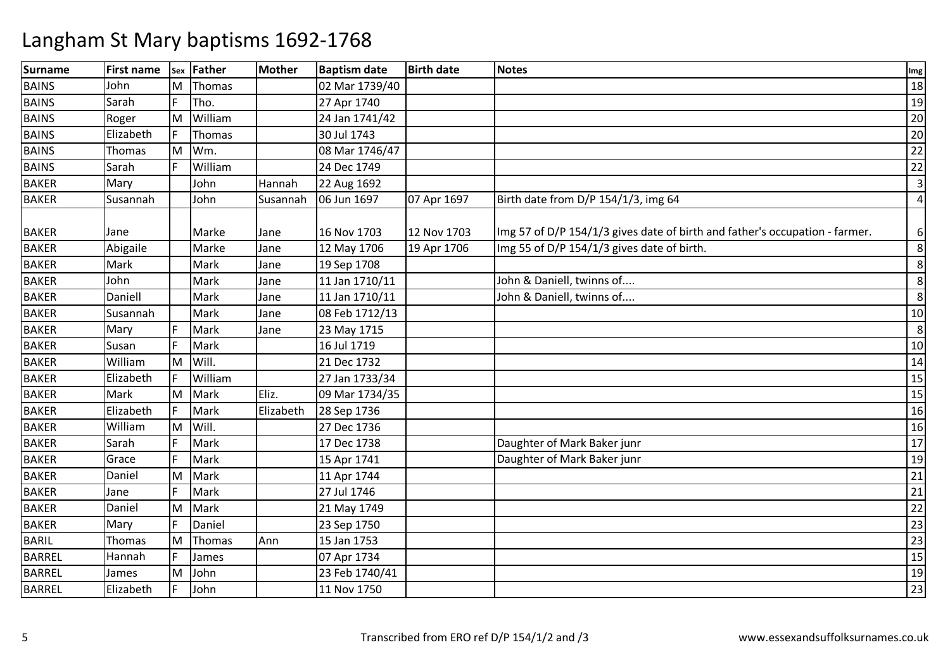| <b>Surname</b> | <b>First name</b> |   | sex Father | <b>Mother</b> | <b>Baptism date</b> | <b>Birth date</b> | <b>Notes</b>                                                                | Img            |
|----------------|-------------------|---|------------|---------------|---------------------|-------------------|-----------------------------------------------------------------------------|----------------|
| <b>BAINS</b>   | John              | M | Thomas     |               | 02 Mar 1739/40      |                   |                                                                             | 18             |
| <b>BAINS</b>   | Sarah             | E | Tho.       |               | 27 Apr 1740         |                   |                                                                             | 19             |
| <b>BAINS</b>   | Roger             | M | William    |               | 24 Jan 1741/42      |                   |                                                                             | 20             |
| <b>BAINS</b>   | Elizabeth         |   | Thomas     |               | 30 Jul 1743         |                   |                                                                             | 20             |
| <b>BAINS</b>   | Thomas            | M | Wm.        |               | 08 Mar 1746/47      |                   |                                                                             | 22             |
| <b>BAINS</b>   | Sarah             | E | William    |               | 24 Dec 1749         |                   |                                                                             | 22             |
| <b>BAKER</b>   | Mary              |   | John       | Hannah        | 22 Aug 1692         |                   |                                                                             | $\overline{3}$ |
| <b>BAKER</b>   | Susannah          |   | John       | Susannah      | 06 Jun 1697         | 07 Apr 1697       | Birth date from D/P 154/1/3, img 64                                         | 4              |
| <b>BAKER</b>   | Jane              |   | Marke      | Jane          | 16 Nov 1703         | 12 Nov 1703       | Img 57 of D/P 154/1/3 gives date of birth and father's occupation - farmer. | 6              |
| <b>BAKER</b>   | Abigaile          |   | Marke      | Jane          | 12 May 1706         | 19 Apr 1706       | Img 55 of D/P 154/1/3 gives date of birth.                                  | 8              |
| <b>BAKER</b>   | Mark              |   | Mark       | Jane          | 19 Sep 1708         |                   |                                                                             | 8              |
| <b>BAKER</b>   | John              |   | Mark       | Jane          | 11 Jan 1710/11      |                   | John & Daniell, twinns of                                                   | 8              |
| <b>BAKER</b>   | Daniell           |   | Mark       | Jane          | 11 Jan 1710/11      |                   | John & Daniell, twinns of                                                   | 8              |
| <b>BAKER</b>   | Susannah          |   | Mark       | Jane          | 08 Feb 1712/13      |                   |                                                                             | 10             |
| <b>BAKER</b>   | Mary              |   | Mark       | Jane          | 23 May 1715         |                   |                                                                             | 8              |
| <b>BAKER</b>   | Susan             |   | Mark       |               | 16 Jul 1719         |                   |                                                                             | 10             |
| <b>BAKER</b>   | William           | M | Will.      |               | 21 Dec 1732         |                   |                                                                             | 14             |
| <b>BAKER</b>   | Elizabeth         |   | William    |               | 27 Jan 1733/34      |                   |                                                                             | 15             |
| <b>BAKER</b>   | Mark              | M | Mark       | Eliz.         | 09 Mar 1734/35      |                   |                                                                             | 15             |
| <b>BAKER</b>   | Elizabeth         | E | Mark       | Elizabeth     | 28 Sep 1736         |                   |                                                                             | 16             |
| <b>BAKER</b>   | William           | M | Will.      |               | 27 Dec 1736         |                   |                                                                             | 16             |
| <b>BAKER</b>   | Sarah             |   | Mark       |               | 17 Dec 1738         |                   | Daughter of Mark Baker junr                                                 | 17             |
| <b>BAKER</b>   | Grace             |   | Mark       |               | 15 Apr 1741         |                   | Daughter of Mark Baker junr                                                 | 19             |
| <b>BAKER</b>   | Daniel            | M | Mark       |               | 11 Apr 1744         |                   |                                                                             | 21             |
| <b>BAKER</b>   | Jane              |   | Mark       |               | 27 Jul 1746         |                   |                                                                             | 21             |
| <b>BAKER</b>   | Daniel            | M | Mark       |               | 21 May 1749         |                   |                                                                             | 22             |
| <b>BAKER</b>   | Mary              |   | Daniel     |               | 23 Sep 1750         |                   |                                                                             | 23             |
| <b>BARIL</b>   | Thomas            | M | Thomas     | Ann           | 15 Jan 1753         |                   |                                                                             | 23             |
| <b>BARREL</b>  | Hannah            | E | James      |               | 07 Apr 1734         |                   |                                                                             | 15             |
| <b>BARREL</b>  | James             | M | John       |               | 23 Feb 1740/41      |                   |                                                                             | 19             |
| <b>BARREL</b>  | Elizabeth         |   | John       |               | 11 Nov 1750         |                   |                                                                             | 23             |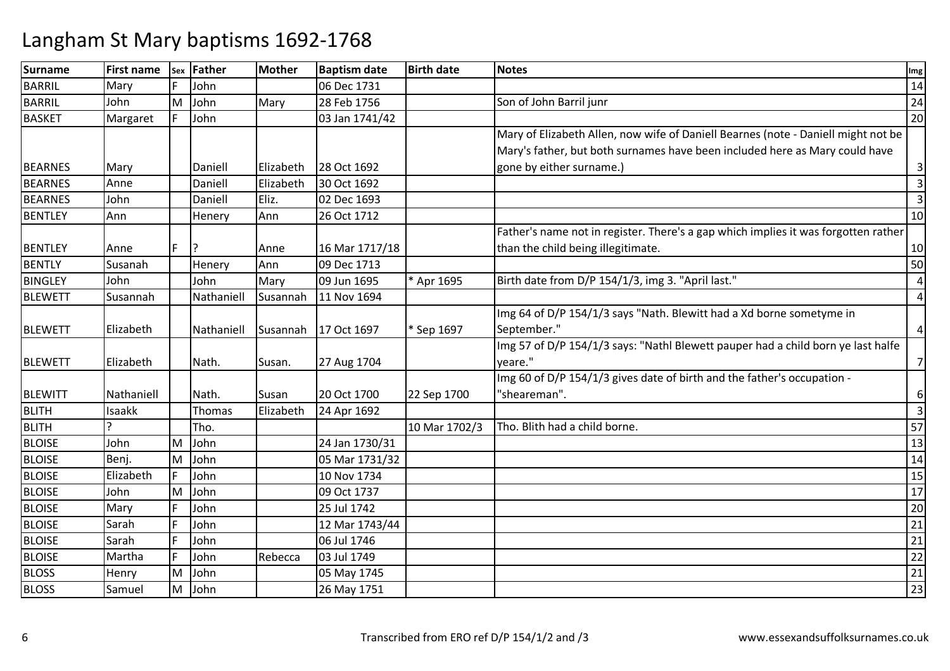| <b>Surname</b> | <b>First name</b> |     | sex Father | <b>Mother</b> | <b>Baptism date</b> | <b>Birth date</b> | <b>Notes</b>                                                                                                                                                     | Img                     |
|----------------|-------------------|-----|------------|---------------|---------------------|-------------------|------------------------------------------------------------------------------------------------------------------------------------------------------------------|-------------------------|
| <b>BARRIL</b>  | Mary              |     | John       |               | 06 Dec 1731         |                   |                                                                                                                                                                  | 14                      |
| <b>BARRIL</b>  | John              | M   | John       | Mary          | 28 Feb 1756         |                   | Son of John Barril junr                                                                                                                                          | 24                      |
| <b>BASKET</b>  | Margaret          |     | John       |               | 03 Jan 1741/42      |                   |                                                                                                                                                                  | 20                      |
|                |                   |     |            |               |                     |                   | Mary of Elizabeth Allen, now wife of Daniell Bearnes (note - Daniell might not be<br>Mary's father, but both surnames have been included here as Mary could have |                         |
| <b>BEARNES</b> | Mary              |     | Daniell    | Elizabeth     | 28 Oct 1692         |                   | gone by either surname.)                                                                                                                                         | 3                       |
| <b>BEARNES</b> | Anne              |     | Daniell    | Elizabeth     | 30 Oct 1692         |                   |                                                                                                                                                                  | 3                       |
| <b>BEARNES</b> | John              |     | Daniell    | Eliz.         | 02 Dec 1693         |                   |                                                                                                                                                                  | $\overline{3}$          |
| <b>BENTLEY</b> | Ann               |     | Henery     | Ann           | 26 Oct 1712         |                   |                                                                                                                                                                  | 10                      |
| <b>BENTLEY</b> | Anne              |     |            | Anne          | 16 Mar 1717/18      |                   | Father's name not in register. There's a gap which implies it was forgotten rather<br>than the child being illegitimate.                                         | 10                      |
| <b>BENTLY</b>  | Susanah           |     | Henery     | Ann           | 09 Dec 1713         |                   |                                                                                                                                                                  | 50                      |
| <b>BINGLEY</b> | John              |     | John       | Mary          | 09 Jun 1695         | Apr 1695          | Birth date from D/P 154/1/3, img 3. "April last."                                                                                                                | 4                       |
| <b>BLEWETT</b> | Susannah          |     | Nathaniell | Susannah      | 11 Nov 1694         |                   |                                                                                                                                                                  | $\overline{\mathbf{4}}$ |
| <b>BLEWETT</b> | Elizabeth         |     | Nathaniell | Susannah      | 17 Oct 1697         | * Sep 1697        | Img 64 of D/P 154/1/3 says "Nath. Blewitt had a Xd borne sometyme in<br>September."                                                                              | 4                       |
| <b>BLEWETT</b> | Elizabeth         |     | Nath.      | Susan.        | 27 Aug 1704         |                   | Img 57 of D/P 154/1/3 says: "Nathl Blewett pauper had a child born ye last halfe<br>veare."                                                                      | $\overline{7}$          |
| <b>BLEWITT</b> | Nathaniell        |     | Nath.      | Susan         | 20 Oct 1700         | 22 Sep 1700       | Img 60 of D/P 154/1/3 gives date of birth and the father's occupation -<br>"sheareman".                                                                          | 6                       |
| <b>BLITH</b>   | Isaakk            |     | Thomas     | Elizabeth     | 24 Apr 1692         |                   |                                                                                                                                                                  | $\overline{\mathbf{3}}$ |
| <b>BLITH</b>   |                   |     | Tho.       |               |                     | 10 Mar 1702/3     | Tho. Blith had a child borne.                                                                                                                                    | 57                      |
| <b>BLOISE</b>  | John              | M   | John       |               | 24 Jan 1730/31      |                   |                                                                                                                                                                  | 13                      |
| <b>BLOISE</b>  | Benj.             | M   | John       |               | 05 Mar 1731/32      |                   |                                                                                                                                                                  | 14                      |
| <b>BLOISE</b>  | Elizabeth         |     | John       |               | 10 Nov 1734         |                   |                                                                                                                                                                  | 15                      |
| <b>BLOISE</b>  | John              | M   | John       |               | 09 Oct 1737         |                   |                                                                                                                                                                  | 17                      |
| <b>BLOISE</b>  | Mary              | F   | John       |               | 25 Jul 1742         |                   |                                                                                                                                                                  | 20                      |
| <b>BLOISE</b>  | Sarah             | E   | John       |               | 12 Mar 1743/44      |                   |                                                                                                                                                                  | 21                      |
| <b>BLOISE</b>  | Sarah             | l F | John       |               | 06 Jul 1746         |                   |                                                                                                                                                                  | 21                      |
| <b>BLOISE</b>  | Martha            | l E | John       | Rebecca       | 03 Jul 1749         |                   |                                                                                                                                                                  | 22                      |
| <b>BLOSS</b>   | Henry             | M   | John       |               | 05 May 1745         |                   |                                                                                                                                                                  | 21                      |
| <b>BLOSS</b>   | Samuel            |     | M John     |               | 26 May 1751         |                   |                                                                                                                                                                  | 23                      |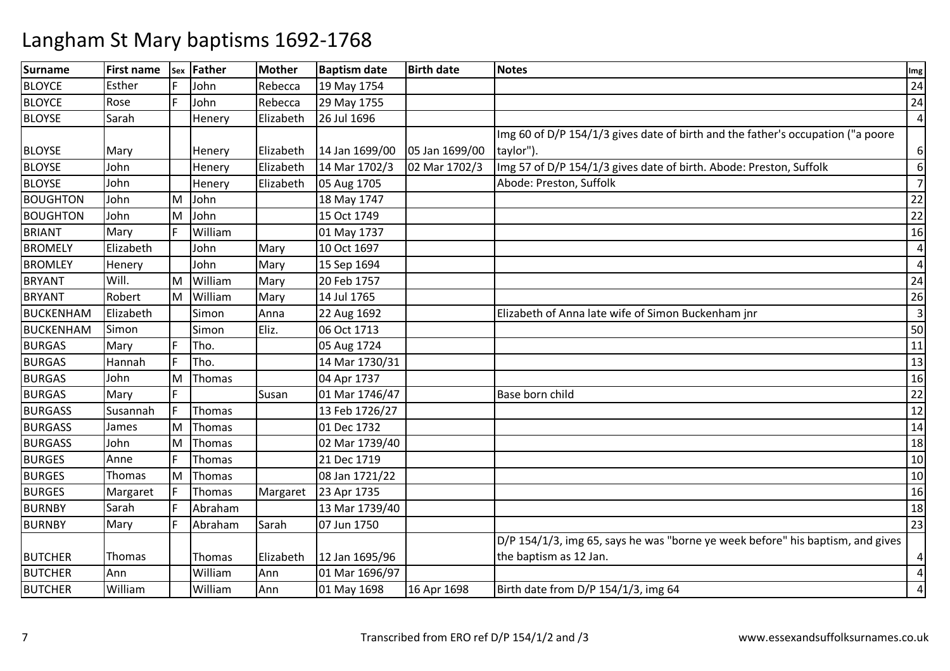| <b>Surname</b>   | <b>First name</b> |    | sex Father | Mother    | <b>Baptism date</b> | <b>Birth date</b> | <b>Notes</b>                                                                    | Img            |
|------------------|-------------------|----|------------|-----------|---------------------|-------------------|---------------------------------------------------------------------------------|----------------|
| <b>BLOYCE</b>    | Esther            |    | John       | Rebecca   | 19 May 1754         |                   |                                                                                 | 24             |
| <b>BLOYCE</b>    | Rose              | E  | John       | Rebecca   | 29 May 1755         |                   |                                                                                 | 24             |
| <b>BLOYSE</b>    | Sarah             |    | Henery     | Elizabeth | 26 Jul 1696         |                   |                                                                                 | $\overline{4}$ |
|                  |                   |    |            |           |                     |                   | Img 60 of D/P 154/1/3 gives date of birth and the father's occupation ("a poore |                |
| <b>BLOYSE</b>    | Mary              |    | Henery     | Elizabeth | 14 Jan 1699/00      | 05 Jan 1699/00    | taylor").                                                                       | 6              |
| <b>BLOYSE</b>    | John              |    | Henery     | Elizabeth | 14 Mar 1702/3       | 02 Mar 1702/3     | Img 57 of D/P 154/1/3 gives date of birth. Abode: Preston, Suffolk              | 6              |
| <b>BLOYSE</b>    | John              |    | Henery     | Elizabeth | 05 Aug 1705         |                   | Abode: Preston, Suffolk                                                         | 7              |
| <b>BOUGHTON</b>  | John              | M  | John       |           | 18 May 1747         |                   |                                                                                 | 22             |
| <b>BOUGHTON</b>  | John              | M  | John       |           | 15 Oct 1749         |                   |                                                                                 | 22             |
| <b>BRIANT</b>    | Mary              | IF | William    |           | 01 May 1737         |                   |                                                                                 | 16             |
| <b>BROMELY</b>   | Elizabeth         |    | John       | Mary      | 10 Oct 1697         |                   |                                                                                 | $\overline{4}$ |
| <b>BROMLEY</b>   | Henery            |    | John       | Mary      | 15 Sep 1694         |                   |                                                                                 | 4              |
| <b>BRYANT</b>    | Will.             | M  | William    | Mary      | 20 Feb 1757         |                   |                                                                                 | 24             |
| <b>BRYANT</b>    | Robert            | M  | William    | Mary      | 14 Jul 1765         |                   |                                                                                 | 26             |
| <b>BUCKENHAM</b> | Elizabeth         |    | Simon      | Anna      | 22 Aug 1692         |                   | Elizabeth of Anna late wife of Simon Buckenham jnr                              | $\overline{3}$ |
| <b>BUCKENHAM</b> | Simon             |    | Simon      | Eliz.     | 06 Oct 1713         |                   |                                                                                 | 50             |
| <b>BURGAS</b>    | Mary              |    | Tho.       |           | 05 Aug 1724         |                   |                                                                                 | 11             |
| <b>BURGAS</b>    | Hannah            | E  | Tho.       |           | 14 Mar 1730/31      |                   |                                                                                 | 13             |
| <b>BURGAS</b>    | John              | M  | Thomas     |           | 04 Apr 1737         |                   |                                                                                 | 16             |
| <b>BURGAS</b>    | Mary              |    |            | Susan     | 01 Mar 1746/47      |                   | Base born child                                                                 | 22             |
| <b>BURGASS</b>   | Susannah          |    | Thomas     |           | 13 Feb 1726/27      |                   |                                                                                 | 12             |
| <b>BURGASS</b>   | James             | M  | Thomas     |           | 01 Dec 1732         |                   |                                                                                 | 14             |
| <b>BURGASS</b>   | John              | M  | Thomas     |           | 02 Mar 1739/40      |                   |                                                                                 | 18             |
| <b>BURGES</b>    | Anne              | E  | Thomas     |           | 21 Dec 1719         |                   |                                                                                 | 10             |
| <b>BURGES</b>    | Thomas            | M  | Thomas     |           | 08 Jan 1721/22      |                   |                                                                                 | 10             |
| <b>BURGES</b>    | Margaret          |    | Thomas     | Margaret  | 23 Apr 1735         |                   |                                                                                 | 16             |
| <b>BURNBY</b>    | Sarah             |    | Abraham    |           | 13 Mar 1739/40      |                   |                                                                                 | 18             |
| <b>BURNBY</b>    | Mary              | E  | Abraham    | Sarah     | 07 Jun 1750         |                   |                                                                                 | 23             |
|                  |                   |    |            |           |                     |                   | D/P 154/1/3, img 65, says he was "borne ye week before" his baptism, and gives  |                |
| <b>BUTCHER</b>   | Thomas            |    | Thomas     | Elizabeth | 12 Jan 1695/96      |                   | the baptism as 12 Jan.                                                          | 4              |
| <b>BUTCHER</b>   | Ann               |    | William    | Ann       | 01 Mar 1696/97      |                   |                                                                                 | 4              |
| <b>BUTCHER</b>   | William           |    | William    | Ann       | 01 May 1698         | 16 Apr 1698       | Birth date from D/P 154/1/3, img 64                                             | 4              |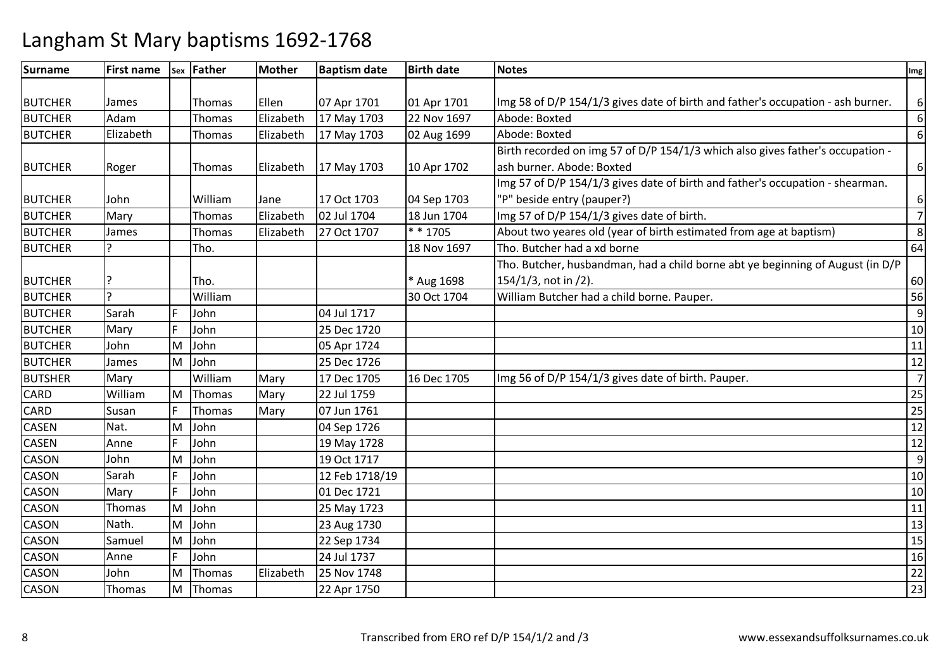| <b>Surname</b> | <b>First name</b> |    | sex Father | Mother    | <b>Baptism date</b> | <b>Birth date</b> | <b>Notes</b>                                                                    | Img            |
|----------------|-------------------|----|------------|-----------|---------------------|-------------------|---------------------------------------------------------------------------------|----------------|
|                |                   |    |            |           |                     |                   |                                                                                 |                |
| <b>BUTCHER</b> | James             |    | Thomas     | Ellen     | 07 Apr 1701         | 01 Apr 1701       | Img 58 of D/P 154/1/3 gives date of birth and father's occupation - ash burner. | 6              |
| <b>BUTCHER</b> | Adam              |    | Thomas     | Elizabeth | 17 May 1703         | 22 Nov 1697       | Abode: Boxted                                                                   | 6              |
| <b>BUTCHER</b> | Elizabeth         |    | Thomas     | Elizabeth | 17 May 1703         | 02 Aug 1699       | Abode: Boxted                                                                   | 6              |
|                |                   |    |            |           |                     |                   | Birth recorded on img 57 of D/P 154/1/3 which also gives father's occupation -  |                |
| <b>BUTCHER</b> | Roger             |    | Thomas     | Elizabeth | 17 May 1703         | 10 Apr 1702       | ash burner. Abode: Boxted                                                       | 6              |
|                |                   |    |            |           |                     |                   | Img 57 of D/P 154/1/3 gives date of birth and father's occupation - shearman.   |                |
| <b>BUTCHER</b> | John              |    | William    | Jane      | 17 Oct 1703         | 04 Sep 1703       | 'P" beside entry (pauper?)                                                      | 6              |
| <b>BUTCHER</b> | Mary              |    | Thomas     | Elizabeth | 02 Jul 1704         | 18 Jun 1704       | Img 57 of D/P 154/1/3 gives date of birth.                                      | $\overline{7}$ |
| <b>BUTCHER</b> | James             |    | Thomas     | Elizabeth | 27 Oct 1707         | $* * 1705$        | About two yeares old (year of birth estimated from age at baptism)              | 8              |
| <b>BUTCHER</b> |                   |    | Tho.       |           |                     | 18 Nov 1697       | Tho. Butcher had a xd borne                                                     | 64             |
|                |                   |    |            |           |                     |                   | Tho. Butcher, husbandman, had a child borne abt ye beginning of August (in D/P  |                |
| <b>BUTCHER</b> |                   |    | Tho.       |           |                     | * Aug 1698        | 154/1/3, not in /2).                                                            | 60             |
| <b>BUTCHER</b> | 5                 |    | William    |           |                     | 30 Oct 1704       | William Butcher had a child borne. Pauper.                                      | 56             |
| <b>BUTCHER</b> | Sarah             |    | John       |           | 04 Jul 1717         |                   |                                                                                 | 9              |
| <b>BUTCHER</b> | Mary              | IF | John       |           | 25 Dec 1720         |                   |                                                                                 | 10             |
| <b>BUTCHER</b> | John              | M  | John       |           | 05 Apr 1724         |                   |                                                                                 | 11             |
| <b>BUTCHER</b> | James             | M  | John       |           | 25 Dec 1726         |                   |                                                                                 | 12             |
| <b>BUTSHER</b> | Mary              |    | William    | Mary      | 17 Dec 1705         | 16 Dec 1705       | Img 56 of D/P 154/1/3 gives date of birth. Pauper.                              | $\overline{7}$ |
| <b>CARD</b>    | William           | M  | Thomas     | Mary      | 22 Jul 1759         |                   |                                                                                 | 25             |
| <b>CARD</b>    | Susan             |    | Thomas     | Mary      | 07 Jun 1761         |                   |                                                                                 | 25             |
| <b>CASEN</b>   | Nat.              | M  | John       |           | 04 Sep 1726         |                   |                                                                                 | 12             |
| <b>CASEN</b>   | Anne              |    | John       |           | 19 May 1728         |                   |                                                                                 | 12             |
| <b>CASON</b>   | John              | ΙM | John       |           | 19 Oct 1717         |                   |                                                                                 | 9              |
| <b>CASON</b>   | Sarah             |    | John       |           | 12 Feb 1718/19      |                   |                                                                                 | 10             |
| <b>CASON</b>   | Mary              |    | John       |           | 01 Dec 1721         |                   |                                                                                 | 10             |
| <b>CASON</b>   | <b>Thomas</b>     | M  | John       |           | 25 May 1723         |                   |                                                                                 | 11             |
| <b>CASON</b>   | Nath.             | M  | John       |           | 23 Aug 1730         |                   |                                                                                 | 13             |
| <b>CASON</b>   | Samuel            | M  | John       |           | 22 Sep 1734         |                   |                                                                                 | 15             |
| <b>CASON</b>   | Anne              |    | John       |           | 24 Jul 1737         |                   |                                                                                 | 16             |
| <b>CASON</b>   | John              | ΙM | Thomas     | Elizabeth | 25 Nov 1748         |                   |                                                                                 | 22             |
| <b>CASON</b>   | Thomas            | ΙM | Thomas     |           | 22 Apr 1750         |                   |                                                                                 | 23             |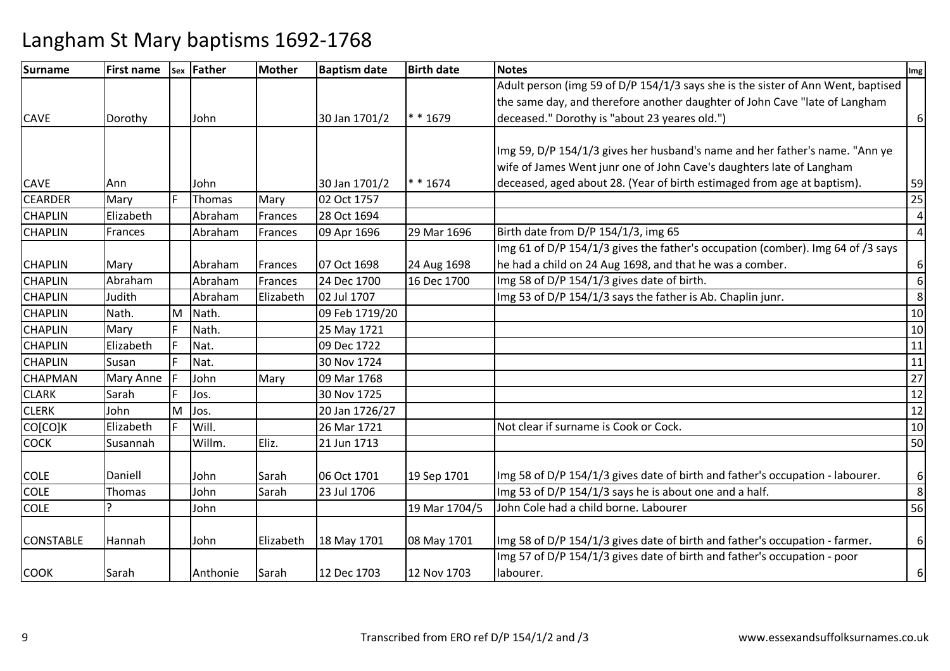| <b>Surname</b>   | <b>First name</b> |     | sex   Father | Mother    | <b>Baptism date</b> | <b>Birth date</b> | <b>Notes</b>                                                                     | Img             |
|------------------|-------------------|-----|--------------|-----------|---------------------|-------------------|----------------------------------------------------------------------------------|-----------------|
|                  |                   |     |              |           |                     |                   | Adult person (img 59 of D/P 154/1/3 says she is the sister of Ann Went, baptised |                 |
|                  |                   |     |              |           |                     |                   | the same day, and therefore another daughter of John Cave "late of Langham       |                 |
| <b>CAVE</b>      | Dorothy           |     | John         |           | 30 Jan 1701/2       | * * 1679          | deceased." Dorothy is "about 23 yeares old.")                                    | $6 \mid$        |
|                  |                   |     |              |           |                     |                   |                                                                                  |                 |
|                  |                   |     |              |           |                     |                   | Img 59, D/P 154/1/3 gives her husband's name and her father's name. "Ann ye      |                 |
|                  |                   |     |              |           |                     |                   | wife of James Went junr one of John Cave's daughters late of Langham             |                 |
| <b>CAVE</b>      | Ann               |     | John         |           | 30 Jan 1701/2       | $* * 1674$        | deceased, aged about 28. (Year of birth estimaged from age at baptism).          | 59              |
| <b>CEARDER</b>   | Mary              |     | Thomas       | Mary      | 02 Oct 1757         |                   |                                                                                  | 25              |
| <b>CHAPLIN</b>   | Elizabeth         |     | Abraham      | Frances   | 28 Oct 1694         |                   |                                                                                  | $\overline{4}$  |
| <b>CHAPLIN</b>   | Frances           |     | Abraham      | Frances   | 09 Apr 1696         | 29 Mar 1696       | Birth date from D/P 154/1/3, img 65                                              | $\overline{4}$  |
|                  |                   |     |              |           |                     |                   | Img 61 of D/P 154/1/3 gives the father's occupation (comber). Img 64 of /3 says  |                 |
| <b>CHAPLIN</b>   | Mary              |     | Abraham      | Frances   | 07 Oct 1698         | 24 Aug 1698       | he had a child on 24 Aug 1698, and that he was a comber.                         | $6 \mid$        |
| <b>CHAPLIN</b>   | Abraham           |     | Abraham      | Frances   | 24 Dec 1700         | 16 Dec 1700       | Img 58 of D/P 154/1/3 gives date of birth.                                       | 6               |
| <b>CHAPLIN</b>   | Judith            |     | Abraham      | Elizabeth | 02 Jul 1707         |                   | Img 53 of D/P 154/1/3 says the father is Ab. Chaplin junr.                       | $\,8\,$         |
| <b>CHAPLIN</b>   | Nath.             | ΙM  | Nath.        |           | 09 Feb 1719/20      |                   |                                                                                  | 10              |
| <b>CHAPLIN</b>   | Mary              |     | Nath.        |           | 25 May 1721         |                   |                                                                                  | $10\,$          |
| <b>CHAPLIN</b>   | Elizabeth         | l F | Nat.         |           | 09 Dec 1722         |                   |                                                                                  | 11              |
| <b>CHAPLIN</b>   | Susan             |     | Nat.         |           | 30 Nov 1724         |                   |                                                                                  | 11              |
| <b>CHAPMAN</b>   | Mary Anne         |     | John         | Mary      | 09 Mar 1768         |                   |                                                                                  | 27              |
| <b>CLARK</b>     | Sarah             |     | Jos.         |           | 30 Nov 1725         |                   |                                                                                  | 12              |
| <b>CLERK</b>     | John              | M   | Jos.         |           | 20 Jan 1726/27      |                   |                                                                                  | $\overline{12}$ |
| CO[CO]K          | Elizabeth         |     | Will.        |           | 26 Mar 1721         |                   | Not clear if surname is Cook or Cock.                                            | 10              |
| <b>COCK</b>      | Susannah          |     | Willm.       | Eliz.     | 21 Jun 1713         |                   |                                                                                  | 50              |
|                  |                   |     |              |           |                     |                   |                                                                                  |                 |
| <b>COLE</b>      | Daniell           |     | John         | Sarah     | 06 Oct 1701         | 19 Sep 1701       | Img 58 of D/P 154/1/3 gives date of birth and father's occupation - labourer.    | $6 \mid$        |
| <b>COLE</b>      | Thomas            |     | John         | Sarah     | 23 Jul 1706         |                   | Img 53 of D/P 154/1/3 says he is about one and a half.                           | 8               |
| <b>COLE</b>      |                   |     | John         |           |                     | 19 Mar 1704/5     | John Cole had a child borne. Labourer                                            | 56              |
|                  |                   |     |              |           |                     |                   |                                                                                  |                 |
| <b>CONSTABLE</b> | Hannah            |     | John         | Elizabeth | 18 May 1701         | 08 May 1701       | Img 58 of D/P 154/1/3 gives date of birth and father's occupation - farmer.      | $6 \mid$        |
|                  |                   |     |              |           |                     |                   | Img 57 of D/P 154/1/3 gives date of birth and father's occupation - poor         |                 |
| <b>COOK</b>      | Sarah             |     | Anthonie     | Sarah     | 12 Dec 1703         | 12 Nov 1703       | labourer.                                                                        | $6\vert$        |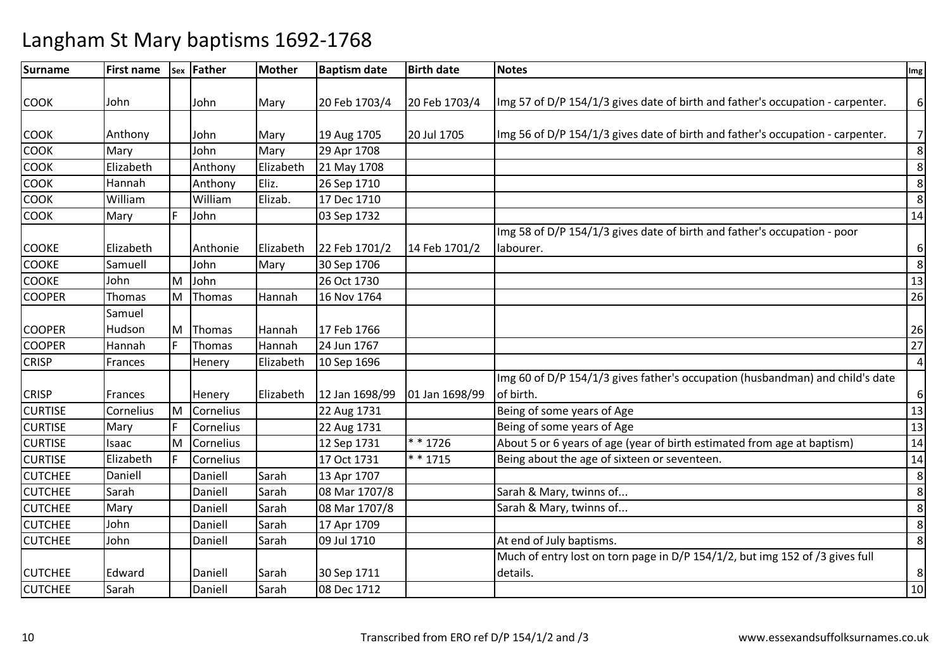| <b>Surname</b> | <b>First name</b> |   | sex Father  | <b>Mother</b> | <b>Baptism date</b> | <b>Birth date</b> | <b>Notes</b>                                                                               | Img              |
|----------------|-------------------|---|-------------|---------------|---------------------|-------------------|--------------------------------------------------------------------------------------------|------------------|
| <b>COOK</b>    | John              |   | John        | Mary          | 20 Feb 1703/4       | 20 Feb 1703/4     | Img 57 of D/P 154/1/3 gives date of birth and father's occupation - carpenter.             | $6 \mid$         |
| <b>COOK</b>    | Anthony           |   | John        | Mary          | 19 Aug 1705         | 20 Jul 1705       | Img 56 of D/P 154/1/3 gives date of birth and father's occupation - carpenter.             | $\overline{7}$   |
| <b>COOK</b>    | Mary              |   | John        | Mary          | 29 Apr 1708         |                   |                                                                                            | 8 <sup>1</sup>   |
| <b>COOK</b>    | Elizabeth         |   | Anthony     | Elizabeth     | 21 May 1708         |                   |                                                                                            | 8                |
| COOK           | Hannah            |   | Anthony     | Eliz.         | 26 Sep 1710         |                   |                                                                                            | 8 <sup>1</sup>   |
| COOK           | William           |   | William     | Elizab.       | 17 Dec 1710         |                   |                                                                                            | 8                |
| <b>COOK</b>    | Mary              |   | John        |               | 03 Sep 1732         |                   |                                                                                            | 14               |
|                |                   |   |             |               |                     |                   | Img 58 of D/P 154/1/3 gives date of birth and father's occupation - poor                   |                  |
| <b>COOKE</b>   | Elizabeth         |   | Anthonie    | Elizabeth     | 22 Feb 1701/2       | 14 Feb 1701/2     | labourer.                                                                                  | $6 \overline{6}$ |
| COOKE          | Samuell           |   | John        | Mary          | 30 Sep 1706         |                   |                                                                                            | 8                |
| <b>COOKE</b>   | John              | M | John        |               | 26 Oct 1730         |                   |                                                                                            | 13               |
| <b>COOPER</b>  | Thomas            |   | M Thomas    | Hannah        | 16 Nov 1764         |                   |                                                                                            | 26               |
|                | Samuel            |   |             |               |                     |                   |                                                                                            |                  |
| <b>COOPER</b>  | Hudson            |   | M Thomas    | Hannah        | 17 Feb 1766         |                   |                                                                                            | 26               |
| <b>COOPER</b>  | Hannah            | E | Thomas      | Hannah        | 24 Jun 1767         |                   |                                                                                            | 27               |
| <b>CRISP</b>   | Frances           |   | Henery      | Elizabeth     | 10 Sep 1696         |                   |                                                                                            | $\overline{4}$   |
| <b>CRISP</b>   | <b>Frances</b>    |   | Henery      | Elizabeth     | 12 Jan 1698/99      | 01 Jan 1698/99    | Img 60 of D/P 154/1/3 gives father's occupation (husbandman) and child's date<br>of birth. | $6 \mid$         |
| <b>CURTISE</b> | Cornelius         |   | M Cornelius |               | 22 Aug 1731         |                   | Being of some years of Age                                                                 | 13               |
| <b>CURTISE</b> | Mary              |   | Cornelius   |               | 22 Aug 1731         |                   | Being of some years of Age                                                                 | 13               |
| <b>CURTISE</b> | Isaac             | M | Cornelius   |               | 12 Sep 1731         | * * 1726          | About 5 or 6 years of age (year of birth estimated from age at baptism)                    | 14               |
| <b>CURTISE</b> | Elizabeth         |   | Cornelius   |               | 17 Oct 1731         | $* * 1715$        | Being about the age of sixteen or seventeen.                                               | 14               |
| <b>CUTCHEE</b> | Daniell           |   | Daniell     | Sarah         | 13 Apr 1707         |                   |                                                                                            | 8                |
| <b>CUTCHEE</b> | Sarah             |   | Daniell     | Sarah         | 08 Mar 1707/8       |                   | Sarah & Mary, twinns of                                                                    | 8                |
| <b>CUTCHEE</b> | Mary              |   | Daniell     | Sarah         | 08 Mar 1707/8       |                   | Sarah & Mary, twinns of                                                                    | 8                |
| <b>CUTCHEE</b> | John              |   | Daniell     | Sarah         | 17 Apr 1709         |                   |                                                                                            | 8                |
| <b>CUTCHEE</b> | John              |   | Daniell     | Sarah         | 09 Jul 1710         |                   | At end of July baptisms.                                                                   | 8                |
|                |                   |   |             |               |                     |                   | Much of entry lost on torn page in D/P 154/1/2, but img 152 of /3 gives full               |                  |
| <b>CUTCHEE</b> | Edward            |   | Daniell     | Sarah         | 30 Sep 1711         |                   | details.                                                                                   | 8 <sup>1</sup>   |
| <b>CUTCHEE</b> | Sarah             |   | Daniell     | Sarah         | 08 Dec 1712         |                   |                                                                                            | 10               |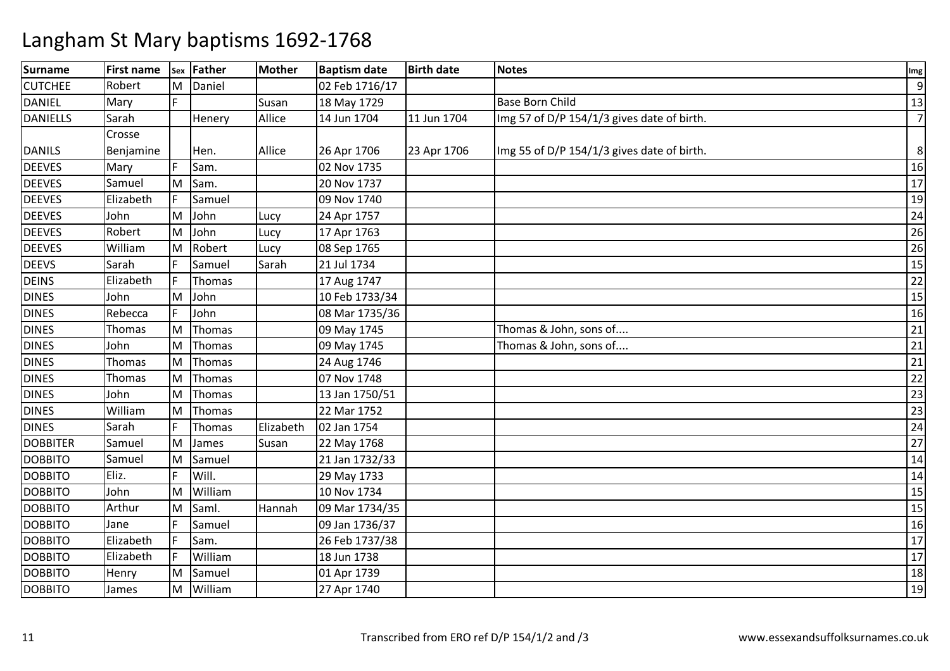| <b>Surname</b>  | <b>First name</b> |    | sex Father    | <b>Mother</b> | <b>Baptism date</b> | <b>Birth date</b> | <b>Notes</b>                               | Img            |
|-----------------|-------------------|----|---------------|---------------|---------------------|-------------------|--------------------------------------------|----------------|
| <b>CUTCHEE</b>  | Robert            |    | M Daniel      |               | 02 Feb 1716/17      |                   |                                            | 9              |
| <b>DANIEL</b>   | Mary              | F. |               | Susan         | 18 May 1729         |                   | <b>Base Born Child</b>                     | 13             |
| <b>DANIELLS</b> | Sarah             |    | Henery        | Allice        | 14 Jun 1704         | 11 Jun 1704       | Img 57 of D/P 154/1/3 gives date of birth. | $\overline{7}$ |
|                 | Crosse            |    |               |               |                     |                   |                                            |                |
| <b>DANILS</b>   | Benjamine         |    | Hen.          | Allice        | 26 Apr 1706         | 23 Apr 1706       | Img 55 of D/P 154/1/3 gives date of birth. | 8              |
| <b>DEEVES</b>   | Mary              |    | Sam.          |               | 02 Nov 1735         |                   |                                            | 16             |
| <b>DEEVES</b>   | Samuel            | M  | Sam.          |               | 20 Nov 1737         |                   |                                            | 17             |
| <b>DEEVES</b>   | Elizabeth         |    | Samuel        |               | 09 Nov 1740         |                   |                                            | 19             |
| <b>DEEVES</b>   | John              | M  | John          | Lucy          | 24 Apr 1757         |                   |                                            | 24             |
| <b>DEEVES</b>   | Robert            | M  | John          | Lucy          | 17 Apr 1763         |                   |                                            | 26             |
| <b>DEEVES</b>   | William           | M  | Robert        | Lucy          | 08 Sep 1765         |                   |                                            | 26             |
| <b>DEEVS</b>    | Sarah             |    | Samuel        | Sarah         | 21 Jul 1734         |                   |                                            | 15             |
| <b>DEINS</b>    | Elizabeth         | F  | Thomas        |               | 17 Aug 1747         |                   |                                            | 22             |
| <b>DINES</b>    | John              | M  | John          |               | 10 Feb 1733/34      |                   |                                            | 15             |
| <b>DINES</b>    | Rebecca           | F  | John          |               | 08 Mar 1735/36      |                   |                                            | 16             |
| <b>DINES</b>    | Thomas            | M  | Thomas        |               | 09 May 1745         |                   | Thomas & John, sons of                     | 21             |
| <b>DINES</b>    | John              | M  | Thomas        |               | 09 May 1745         |                   | Thomas & John, sons of                     | 21             |
| <b>DINES</b>    | Thomas            | M  | <b>Thomas</b> |               | 24 Aug 1746         |                   |                                            | 21             |
| <b>DINES</b>    | Thomas            | M  | Thomas        |               | 07 Nov 1748         |                   |                                            | 22             |
| <b>DINES</b>    | John              | M  | Thomas        |               | 13 Jan 1750/51      |                   |                                            | 23             |
| <b>DINES</b>    | William           | M  | Thomas        |               | 22 Mar 1752         |                   |                                            | 23             |
| <b>DINES</b>    | Sarah             | E  | <b>Thomas</b> | Elizabeth     | 02 Jan 1754         |                   |                                            | 24             |
| <b>DOBBITER</b> | Samuel            | M  | James         | Susan         | 22 May 1768         |                   |                                            | 27             |
| <b>DOBBITO</b>  | Samuel            | M  | Samuel        |               | 21 Jan 1732/33      |                   |                                            | 14             |
| <b>DOBBITO</b>  | Eliz.             | F  | Will.         |               | 29 May 1733         |                   |                                            | 14             |
| <b>DOBBITO</b>  | John              | M  | William       |               | 10 Nov 1734         |                   |                                            | 15             |
| <b>DOBBITO</b>  | Arthur            | M  | Saml.         | Hannah        | 09 Mar 1734/35      |                   |                                            | 15             |
| <b>DOBBITO</b>  | Jane              |    | Samuel        |               | 09 Jan 1736/37      |                   |                                            | 16             |
| <b>DOBBITO</b>  | Elizabeth         |    | Sam.          |               | 26 Feb 1737/38      |                   |                                            | 17             |
| <b>DOBBITO</b>  | Elizabeth         |    | William       |               | 18 Jun 1738         |                   |                                            | 17             |
| <b>DOBBITO</b>  | Henry             | M  | Samuel        |               | 01 Apr 1739         |                   |                                            | 18             |
| <b>DOBBITO</b>  | James             |    | M William     |               | 27 Apr 1740         |                   |                                            | 19             |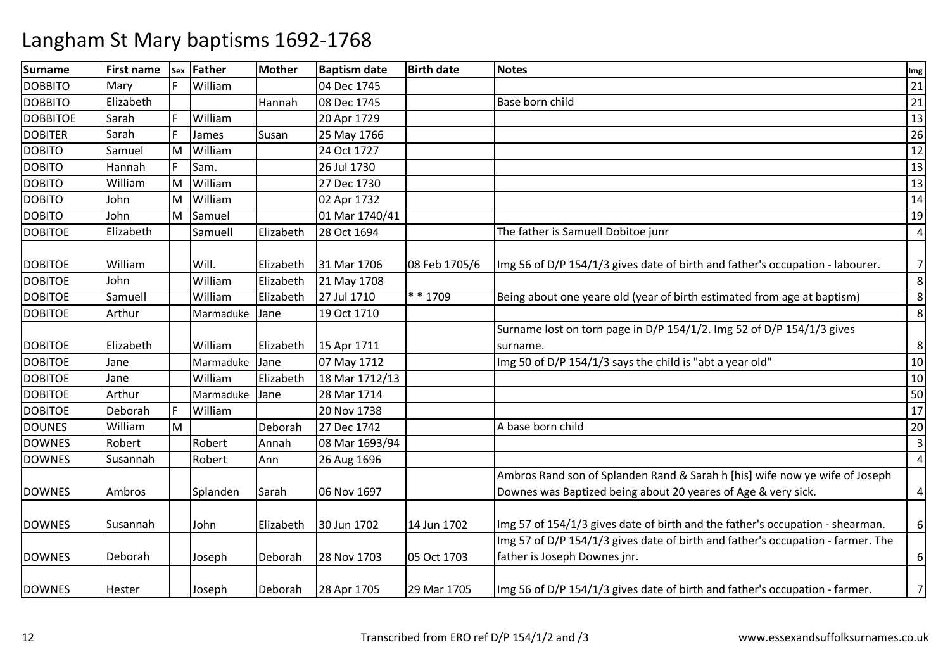| <b>Surname</b>  | <b>First name</b> |   | sex Father | <b>Mother</b> | <b>Baptism date</b> | <b>Birth date</b> | <b>Notes</b>                                                                    | Img            |
|-----------------|-------------------|---|------------|---------------|---------------------|-------------------|---------------------------------------------------------------------------------|----------------|
| <b>DOBBITO</b>  | Mary              |   | William    |               | 04 Dec 1745         |                   |                                                                                 | 21             |
| <b>DOBBITO</b>  | Elizabeth         |   |            | Hannah        | 08 Dec 1745         |                   | Base born child                                                                 | 21             |
| <b>DOBBITOE</b> | Sarah             | E | William    |               | 20 Apr 1729         |                   |                                                                                 | 13             |
| <b>DOBITER</b>  | Sarah             |   | James      | Susan         | 25 May 1766         |                   |                                                                                 | 26             |
| <b>DOBITO</b>   | Samuel            | M | William    |               | 24 Oct 1727         |                   |                                                                                 | 12             |
| <b>DOBITO</b>   | Hannah            | E | Sam.       |               | 26 Jul 1730         |                   |                                                                                 | 13             |
| <b>DOBITO</b>   | William           | M | William    |               | 27 Dec 1730         |                   |                                                                                 | 13             |
| <b>DOBITO</b>   | John              | M | William    |               | 02 Apr 1732         |                   |                                                                                 | 14             |
| <b>DOBITO</b>   | John              |   | M Samuel   |               | 01 Mar 1740/41      |                   |                                                                                 | 19             |
| <b>DOBITOE</b>  | Elizabeth         |   | Samuell    | Elizabeth     | 28 Oct 1694         |                   | The father is Samuell Dobitoe junr                                              | 4              |
|                 |                   |   |            |               |                     |                   |                                                                                 |                |
| <b>DOBITOE</b>  | William           |   | Will.      | Elizabeth     | 31 Mar 1706         | 08 Feb 1705/6     | Img 56 of D/P 154/1/3 gives date of birth and father's occupation - labourer.   | 7              |
| <b>DOBITOE</b>  | John              |   | William    | Elizabeth     | 21 May 1708         |                   |                                                                                 | 8              |
| <b>DOBITOE</b>  | Samuell           |   | William    | Elizabeth     | 27 Jul 1710         | $* * 1709$        | Being about one yeare old (year of birth estimated from age at baptism)         | 8              |
| <b>DOBITOE</b>  | Arthur            |   | Marmaduke  | Jane          | 19 Oct 1710         |                   |                                                                                 | 8              |
|                 |                   |   |            |               |                     |                   | Surname lost on torn page in D/P 154/1/2. Img 52 of D/P 154/1/3 gives           |                |
| <b>DOBITOE</b>  | Elizabeth         |   | William    | Elizabeth     | 15 Apr 1711         |                   | surname.                                                                        | 8              |
| <b>DOBITOE</b>  | Jane              |   | Marmaduke  | Jane          | 07 May 1712         |                   | Img 50 of D/P 154/1/3 says the child is "abt a year old"                        | 10             |
| <b>DOBITOE</b>  | Jane              |   | William    | Elizabeth     | 18 Mar 1712/13      |                   |                                                                                 | 10             |
| <b>DOBITOE</b>  | Arthur            |   | Marmaduke  | Jane          | 28 Mar 1714         |                   |                                                                                 | 50             |
| <b>DOBITOE</b>  | Deborah           |   | William    |               | 20 Nov 1738         |                   |                                                                                 | 17             |
| <b>DOUNES</b>   | William           | M |            | Deborah       | 27 Dec 1742         |                   | A base born child                                                               | 20             |
| <b>DOWNES</b>   | Robert            |   | Robert     | Annah         | 08 Mar 1693/94      |                   |                                                                                 | 3              |
| <b>DOWNES</b>   | Susannah          |   | Robert     | Ann           | 26 Aug 1696         |                   |                                                                                 | $\overline{4}$ |
|                 |                   |   |            |               |                     |                   | Ambros Rand son of Splanden Rand & Sarah h [his] wife now ye wife of Joseph     |                |
| <b>DOWNES</b>   | Ambros            |   | Splanden   | Sarah         | 06 Nov 1697         |                   | Downes was Baptized being about 20 yeares of Age & very sick.                   | 4              |
|                 |                   |   |            |               |                     |                   |                                                                                 |                |
| <b>DOWNES</b>   | Susannah          |   | John       | Elizabeth     | 30 Jun 1702         | 14 Jun 1702       | Img 57 of 154/1/3 gives date of birth and the father's occupation - shearman.   | 6              |
|                 |                   |   |            |               |                     |                   | Img 57 of D/P 154/1/3 gives date of birth and father's occupation - farmer. The |                |
| <b>DOWNES</b>   | Deborah           |   | Joseph     | Deborah       | 28 Nov 1703         | 05 Oct 1703       | father is Joseph Downes jnr.                                                    | 6              |
|                 |                   |   |            |               |                     |                   |                                                                                 |                |
| <b>DOWNES</b>   | Hester            |   | Joseph     | Deborah       | 28 Apr 1705         | 29 Mar 1705       | Img 56 of D/P 154/1/3 gives date of birth and father's occupation - farmer.     | $\overline{7}$ |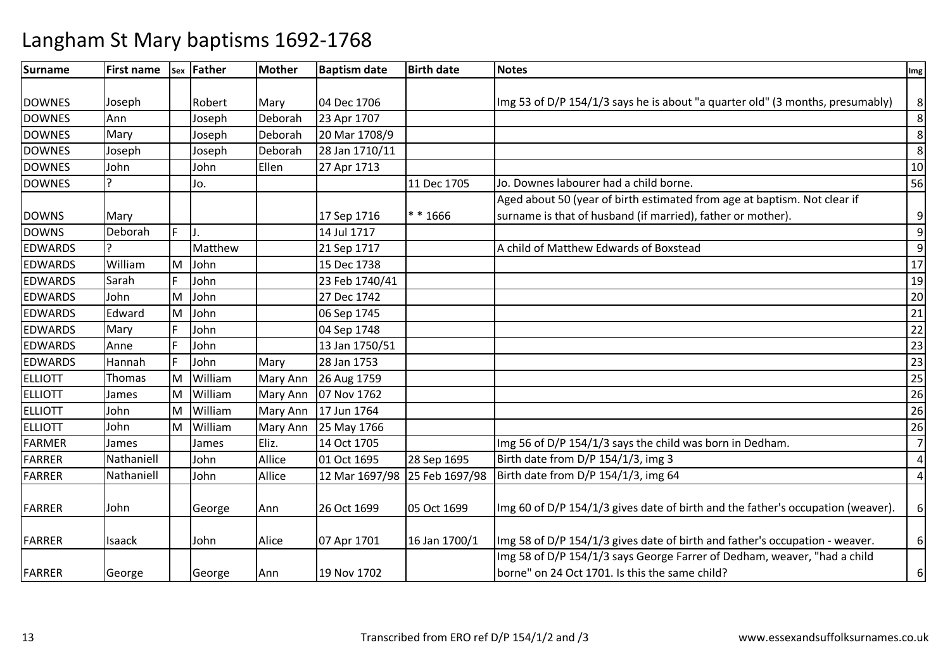| <b>Surname</b> | <b>First name</b> |   | sex Father | <b>Mother</b> | <b>Baptism date</b> | <b>Birth date</b> | <b>Notes</b>                                                                    | Img             |
|----------------|-------------------|---|------------|---------------|---------------------|-------------------|---------------------------------------------------------------------------------|-----------------|
|                |                   |   |            |               |                     |                   |                                                                                 |                 |
| <b>DOWNES</b>  | Joseph            |   | Robert     | Mary          | 04 Dec 1706         |                   | Img 53 of D/P 154/1/3 says he is about "a quarter old" (3 months, presumably)   | 8 <sup>1</sup>  |
| <b>DOWNES</b>  | Ann               |   | Joseph     | Deborah       | 23 Apr 1707         |                   |                                                                                 | 8 <sup>°</sup>  |
| <b>DOWNES</b>  | Mary              |   | Joseph     | Deborah       | 20 Mar 1708/9       |                   |                                                                                 | 8               |
| <b>DOWNES</b>  | Joseph            |   | Joseph     | Deborah       | 28 Jan 1710/11      |                   |                                                                                 | 8               |
| <b>DOWNES</b>  | John              |   | John       | Ellen         | 27 Apr 1713         |                   |                                                                                 | 10              |
| <b>DOWNES</b>  |                   |   | Jo.        |               |                     | 11 Dec 1705       | Jo. Downes labourer had a child borne.                                          | 56              |
|                |                   |   |            |               |                     |                   | Aged about 50 (year of birth estimated from age at baptism. Not clear if        |                 |
| <b>DOWNS</b>   | Mary              |   |            |               | 17 Sep 1716         | $* * 1666$        | surname is that of husband (if married), father or mother).                     | 9               |
| <b>DOWNS</b>   | Deborah           | F | IJ.        |               | 14 Jul 1717         |                   |                                                                                 | $\overline{9}$  |
| <b>EDWARDS</b> |                   |   | Matthew    |               | 21 Sep 1717         |                   | A child of Matthew Edwards of Boxstead                                          | $\overline{9}$  |
| <b>EDWARDS</b> | William           | M | John       |               | 15 Dec 1738         |                   |                                                                                 | 17              |
| <b>EDWARDS</b> | Sarah             | E | John       |               | 23 Feb 1740/41      |                   |                                                                                 | 19              |
| <b>EDWARDS</b> | John              | M | John       |               | 27 Dec 1742         |                   |                                                                                 | 20              |
| <b>EDWARDS</b> | Edward            | M | John       |               | 06 Sep 1745         |                   |                                                                                 | 21              |
| <b>EDWARDS</b> | Mary              | F | John       |               | 04 Sep 1748         |                   |                                                                                 | 22              |
| <b>EDWARDS</b> | Anne              | E | John       |               | 13 Jan 1750/51      |                   |                                                                                 | 23              |
| <b>EDWARDS</b> | Hannah            | E | John       | Mary          | 28 Jan 1753         |                   |                                                                                 | $\overline{23}$ |
| <b>ELLIOTT</b> | Thomas            | M | William    | Mary Ann      | 26 Aug 1759         |                   |                                                                                 | 25              |
| <b>ELLIOTT</b> | James             | M | William    | Mary Ann      | 07 Nov 1762         |                   |                                                                                 | 26              |
| <b>ELLIOTT</b> | John              | M | William    | Mary Ann      | 17 Jun 1764         |                   |                                                                                 | 26              |
| <b>ELLIOTT</b> | John              | M | William    | Mary Ann      | 25 May 1766         |                   |                                                                                 | 26              |
| FARMER         | James             |   | James      | Eliz.         | 14 Oct 1705         |                   | Img 56 of D/P 154/1/3 says the child was born in Dedham.                        | $\overline{7}$  |
| <b>FARRER</b>  | Nathaniell        |   | John       | Allice        | 01 Oct 1695         | 28 Sep 1695       | Birth date from D/P 154/1/3, img 3                                              | 4               |
| <b>FARRER</b>  | Nathaniell        |   | John       | Allice        | 12 Mar 1697/98      | 25 Feb 1697/98    | Birth date from D/P 154/1/3, img 64                                             | $\overline{a}$  |
|                |                   |   |            |               |                     |                   |                                                                                 |                 |
| <b>FARRER</b>  | John              |   | George     | Ann           | 26 Oct 1699         | 05 Oct 1699       | Img 60 of D/P 154/1/3 gives date of birth and the father's occupation (weaver). | $6 \mid$        |
| <b>FARRER</b>  | <b>Isaack</b>     |   | John       | Alice         | 07 Apr 1701         | 16 Jan 1700/1     | lmg 58 of D/P 154/1/3 gives date of birth and father's occupation - weaver.     | $6 \mid$        |
|                |                   |   |            |               |                     |                   | Img 58 of D/P 154/1/3 says George Farrer of Dedham, weaver, "had a child        |                 |
| <b>FARRER</b>  | George            |   | George     | Ann           | 19 Nov 1702         |                   | borne" on 24 Oct 1701. Is this the same child?                                  | $6 \mid$        |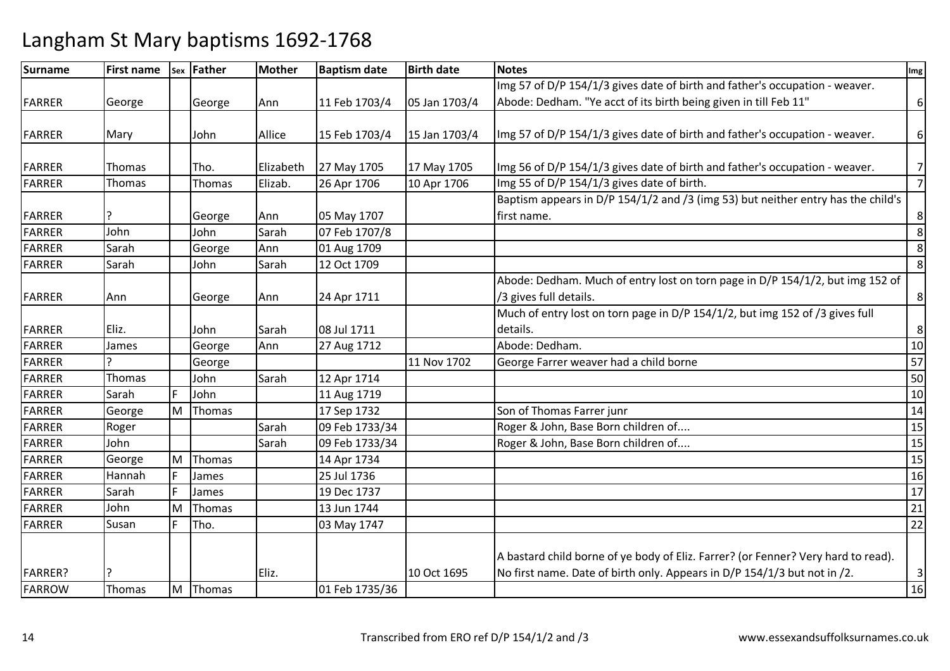| Surname        | <b>First name</b> |   | sex Father | <b>Mother</b> | <b>Baptism date</b> | <b>Birth date</b> | <b>Notes</b>                                                                      | Img            |
|----------------|-------------------|---|------------|---------------|---------------------|-------------------|-----------------------------------------------------------------------------------|----------------|
|                |                   |   |            |               |                     |                   | Img 57 of D/P 154/1/3 gives date of birth and father's occupation - weaver.       |                |
| <b>FARRER</b>  | George            |   | George     | Ann           | 11 Feb 1703/4       | 05 Jan 1703/4     | Abode: Dedham. "Ye acct of its birth being given in till Feb 11"                  | $6 \mid$       |
|                |                   |   |            |               |                     |                   |                                                                                   |                |
| <b>FARRER</b>  | Mary              |   | John       | Allice        | 15 Feb 1703/4       | 15 Jan 1703/4     | Img 57 of D/P 154/1/3 gives date of birth and father's occupation - weaver.       | $6 \mid$       |
|                |                   |   |            |               |                     |                   |                                                                                   |                |
| <b>FARRER</b>  | Thomas            |   | Tho.       | Elizabeth     | 27 May 1705         | 17 May 1705       | Img 56 of D/P 154/1/3 gives date of birth and father's occupation - weaver.       | 7              |
| <b>FARRER</b>  | Thomas            |   | Thomas     | Elizab.       | 26 Apr 1706         | 10 Apr 1706       | Img 55 of D/P 154/1/3 gives date of birth.                                        | $\overline{7}$ |
|                |                   |   |            |               |                     |                   | Baptism appears in D/P 154/1/2 and /3 (img 53) but neither entry has the child's  |                |
| <b>FARRER</b>  |                   |   | George     | Ann           | 05 May 1707         |                   | first name.                                                                       | 8 <sup>1</sup> |
| <b>FARRER</b>  | John              |   | John       | Sarah         | 07 Feb 1707/8       |                   |                                                                                   | 8 <sup>°</sup> |
| <b>FARRER</b>  | Sarah             |   | George     | Ann           | 01 Aug 1709         |                   |                                                                                   | 8              |
| <b>FARRER</b>  | Sarah             |   | John       | Sarah         | 12 Oct 1709         |                   |                                                                                   | 8              |
|                |                   |   |            |               |                     |                   | Abode: Dedham. Much of entry lost on torn page in D/P 154/1/2, but img 152 of     |                |
| <b>FARRER</b>  | Ann               |   | George     | Ann           | 24 Apr 1711         |                   | /3 gives full details.                                                            | 8 <sup>1</sup> |
|                |                   |   |            |               |                     |                   | Much of entry lost on torn page in D/P 154/1/2, but img 152 of /3 gives full      |                |
| <b>FARRER</b>  | Eliz.             |   | John       | Sarah         | 08 Jul 1711         |                   | details.                                                                          | $\bf 8$        |
| <b>FARRER</b>  | James             |   | George     | Ann           | 27 Aug 1712         |                   | Abode: Dedham.                                                                    | 10             |
| <b>FARRER</b>  |                   |   | George     |               |                     | 11 Nov 1702       | George Farrer weaver had a child borne                                            | 57             |
| <b>FARRER</b>  | Thomas            |   | John       | Sarah         | 12 Apr 1714         |                   |                                                                                   | 50             |
| <b>FARRER</b>  | Sarah             |   | John       |               | 11 Aug 1719         |                   |                                                                                   | 10             |
| <b>FARRER</b>  | George            | M | Thomas     |               | 17 Sep 1732         |                   | Son of Thomas Farrer junr                                                         | 14             |
| <b>FARRER</b>  | Roger             |   |            | Sarah         | 09 Feb 1733/34      |                   | Roger & John, Base Born children of                                               | 15             |
| <b>FARRER</b>  | John              |   |            | Sarah         | 09 Feb 1733/34      |                   | Roger & John, Base Born children of                                               | 15             |
| <b>FARRER</b>  | George            | M | Thomas     |               | 14 Apr 1734         |                   |                                                                                   | 15             |
| <b>FARRER</b>  | Hannah            |   | James      |               | 25 Jul 1736         |                   |                                                                                   | 16             |
| <b>FARRER</b>  | Sarah             |   | James      |               | 19 Dec 1737         |                   |                                                                                   | 17             |
| <b>FARRER</b>  | John              | M | Thomas     |               | 13 Jun 1744         |                   |                                                                                   | 21             |
| <b>FARRER</b>  | Susan             |   | Tho.       |               | 03 May 1747         |                   |                                                                                   | 22             |
|                |                   |   |            |               |                     |                   | A bastard child borne of ye body of Eliz. Farrer? (or Fenner? Very hard to read). |                |
| <b>FARRER?</b> | 2                 |   |            | Eliz.         |                     | 10 Oct 1695       | No first name. Date of birth only. Appears in D/P 154/1/3 but not in /2.          | $\overline{3}$ |
| <b>FARROW</b>  | Thomas            | M | Thomas     |               | 01 Feb 1735/36      |                   |                                                                                   | 16             |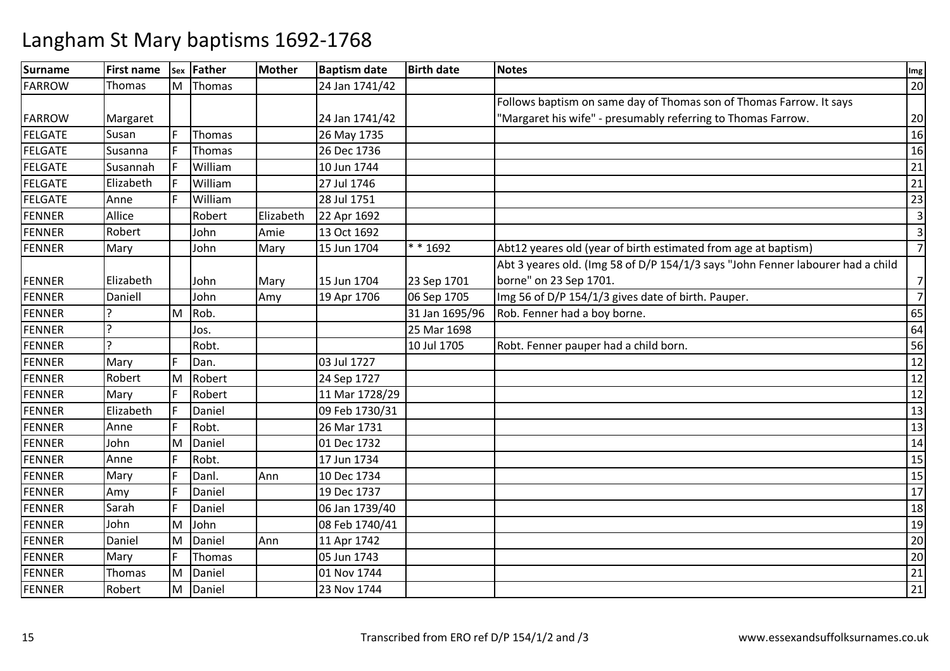| <b>Surname</b> | <b>First name</b> | Sex | Father   | <b>Mother</b> | <b>Baptism date</b> | <b>Birth date</b> | <b>Notes</b>                                                                    | Img            |
|----------------|-------------------|-----|----------|---------------|---------------------|-------------------|---------------------------------------------------------------------------------|----------------|
| <b>FARROW</b>  | Thomas            | M   | Thomas   |               | 24 Jan 1741/42      |                   |                                                                                 | 20             |
|                |                   |     |          |               |                     |                   | Follows baptism on same day of Thomas son of Thomas Farrow. It says             |                |
| <b>FARROW</b>  | Margaret          |     |          |               | 24 Jan 1741/42      |                   | "Margaret his wife" - presumably referring to Thomas Farrow.                    | 20             |
| <b>FELGATE</b> | Susan             |     | Thomas   |               | 26 May 1735         |                   |                                                                                 | 16             |
| <b>FELGATE</b> | Susanna           |     | Thomas   |               | 26 Dec 1736         |                   |                                                                                 | 16             |
| <b>FELGATE</b> | Susannah          |     | William  |               | 10 Jun 1744         |                   |                                                                                 | 21             |
| <b>FELGATE</b> | Elizabeth         |     | William  |               | 27 Jul 1746         |                   |                                                                                 | 21             |
| <b>FELGATE</b> | Anne              |     | William  |               | 28 Jul 1751         |                   |                                                                                 | 23             |
| <b>FENNER</b>  | Allice            |     | Robert   | Elizabeth     | 22 Apr 1692         |                   |                                                                                 | $\mathsf{3}$   |
| <b>FENNER</b>  | Robert            |     | John     | Amie          | 13 Oct 1692         |                   |                                                                                 | 3              |
| <b>FENNER</b>  | Mary              |     | John     | Mary          | 15 Jun 1704         | $* * 1692$        | Abt12 yeares old (year of birth estimated from age at baptism)                  | $\overline{7}$ |
|                |                   |     |          |               |                     |                   | Abt 3 yeares old. (Img 58 of D/P 154/1/3 says "John Fenner labourer had a child |                |
| <b>FENNER</b>  | Elizabeth         |     | John     | Mary          | 15 Jun 1704         | 23 Sep 1701       | borne" on 23 Sep 1701.                                                          | $\overline{7}$ |
| <b>FENNER</b>  | Daniell           |     | John     | Amy           | 19 Apr 1706         | 06 Sep 1705       | Img 56 of D/P 154/1/3 gives date of birth. Pauper.                              | $\overline{7}$ |
| <b>FENNER</b>  |                   | M   | Rob.     |               |                     | 31 Jan 1695/96    | Rob. Fenner had a boy borne.                                                    | 65             |
| <b>FENNER</b>  |                   |     | Jos.     |               |                     | 25 Mar 1698       |                                                                                 | 64             |
| <b>FENNER</b>  |                   |     | Robt.    |               |                     | 10 Jul 1705       | Robt. Fenner pauper had a child born.                                           | 56             |
| <b>FENNER</b>  | Mary              |     | Dan.     |               | 03 Jul 1727         |                   |                                                                                 | 12             |
| <b>FENNER</b>  | Robert            | M   | Robert   |               | 24 Sep 1727         |                   |                                                                                 | 12             |
| <b>FENNER</b>  | Mary              |     | Robert   |               | 11 Mar 1728/29      |                   |                                                                                 | 12             |
| <b>FENNER</b>  | Elizabeth         |     | Daniel   |               | 09 Feb 1730/31      |                   |                                                                                 | 13             |
| <b>FENNER</b>  | Anne              | F   | Robt.    |               | 26 Mar 1731         |                   |                                                                                 | 13             |
| <b>FENNER</b>  | John              | M   | Daniel   |               | 01 Dec 1732         |                   |                                                                                 | 14             |
| <b>FENNER</b>  | Anne              | F   | Robt.    |               | 17 Jun 1734         |                   |                                                                                 | 15             |
| <b>FENNER</b>  | Mary              | F   | Danl.    | Ann           | 10 Dec 1734         |                   |                                                                                 | 15             |
| <b>FENNER</b>  | Amy               | F   | Daniel   |               | 19 Dec 1737         |                   |                                                                                 | 17             |
| <b>FENNER</b>  | Sarah             | E   | Daniel   |               | 06 Jan 1739/40      |                   |                                                                                 | 18             |
| <b>FENNER</b>  | John              | M   | John     |               | 08 Feb 1740/41      |                   |                                                                                 | 19             |
| <b>FENNER</b>  | Daniel            | M   | Daniel   | Ann           | 11 Apr 1742         |                   |                                                                                 | 20             |
| <b>FENNER</b>  | Mary              | E   | Thomas   |               | 05 Jun 1743         |                   |                                                                                 | 20             |
| <b>FENNER</b>  | Thomas            | M   | Daniel   |               | 01 Nov 1744         |                   |                                                                                 | 21             |
| <b>FENNER</b>  | Robert            |     | M Daniel |               | 23 Nov 1744         |                   |                                                                                 | 21             |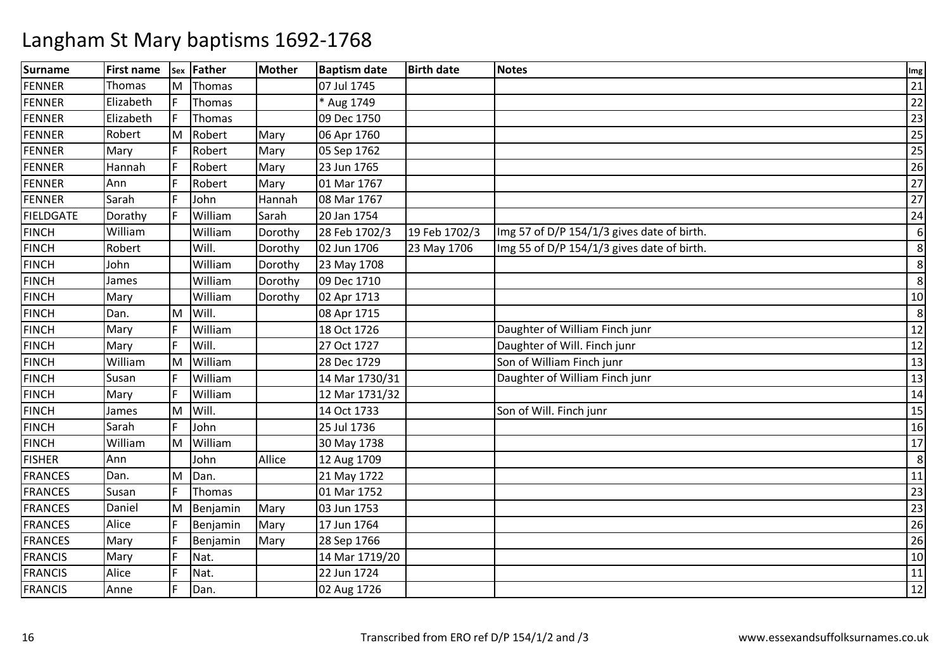| <b>Surname</b>   | <b>First name</b> |   | sex Father | <b>Mother</b> | <b>Baptism date</b> | <b>Birth date</b> | <b>Notes</b>                               | Img |
|------------------|-------------------|---|------------|---------------|---------------------|-------------------|--------------------------------------------|-----|
| <b>FENNER</b>    | Thomas            | M | Thomas     |               | 07 Jul 1745         |                   |                                            | 21  |
| <b>FENNER</b>    | Elizabeth         | F | Thomas     |               | * Aug 1749          |                   |                                            | 22  |
| <b>FENNER</b>    | Elizabeth         |   | Thomas     |               | 09 Dec 1750         |                   |                                            | 23  |
| <b>FENNER</b>    | Robert            | M | Robert     | Mary          | 06 Apr 1760         |                   |                                            | 25  |
| <b>FENNER</b>    | Mary              | E | Robert     | Mary          | 05 Sep 1762         |                   |                                            | 25  |
| <b>FENNER</b>    | Hannah            | E | Robert     | Mary          | 23 Jun 1765         |                   |                                            | 26  |
| <b>FENNER</b>    | Ann               | F | Robert     | Mary          | 01 Mar 1767         |                   |                                            | 27  |
| <b>FENNER</b>    | Sarah             | F | John       | Hannah        | 08 Mar 1767         |                   |                                            | 27  |
| <b>FIELDGATE</b> | Dorathy           | F | William    | Sarah         | 20 Jan 1754         |                   |                                            | 24  |
| <b>FINCH</b>     | William           |   | William    | Dorothy       | 28 Feb 1702/3       | 19 Feb 1702/3     | Img 57 of D/P 154/1/3 gives date of birth. | 6   |
| <b>FINCH</b>     | Robert            |   | Will.      | Dorothy       | 02 Jun 1706         | 23 May 1706       | Img 55 of D/P 154/1/3 gives date of birth. | 8   |
| <b>FINCH</b>     | John              |   | William    | Dorothy       | 23 May 1708         |                   |                                            | 8   |
| <b>FINCH</b>     | James             |   | William    | Dorothy       | 09 Dec 1710         |                   |                                            | 8   |
| <b>FINCH</b>     | Mary              |   | William    | Dorothy       | 02 Apr 1713         |                   |                                            | 10  |
| <b>FINCH</b>     | Dan.              | M | Will.      |               | 08 Apr 1715         |                   |                                            | 8   |
| <b>FINCH</b>     | Mary              |   | William    |               | 18 Oct 1726         |                   | Daughter of William Finch junr             | 12  |
| <b>FINCH</b>     | Mary              |   | Will.      |               | 27 Oct 1727         |                   | Daughter of Will. Finch junr               | 12  |
| <b>FINCH</b>     | William           | M | William    |               | 28 Dec 1729         |                   | Son of William Finch junr                  | 13  |
| <b>FINCH</b>     | Susan             |   | William    |               | 14 Mar 1730/31      |                   | Daughter of William Finch junr             | 13  |
| <b>FINCH</b>     | Mary              | F | William    |               | 12 Mar 1731/32      |                   |                                            | 14  |
| <b>FINCH</b>     | James             | M | Will.      |               | 14 Oct 1733         |                   | Son of Will. Finch junr                    | 15  |
| <b>FINCH</b>     | Sarah             | F | John       |               | 25 Jul 1736         |                   |                                            | 16  |
| <b>FINCH</b>     | William           | M | William    |               | 30 May 1738         |                   |                                            | 17  |
| <b>FISHER</b>    | Ann               |   | John       | Allice        | 12 Aug 1709         |                   |                                            | 8   |
| <b>FRANCES</b>   | Dan.              | M | Dan.       |               | 21 May 1722         |                   |                                            | 11  |
| <b>FRANCES</b>   | Susan             |   | Thomas     |               | 01 Mar 1752         |                   |                                            | 23  |
| <b>FRANCES</b>   | Daniel            | M | Benjamin   | Mary          | 03 Jun 1753         |                   |                                            | 23  |
| <b>FRANCES</b>   | Alice             | F | Benjamin   | Mary          | 17 Jun 1764         |                   |                                            | 26  |
| <b>FRANCES</b>   | Mary              | E | Benjamin   | Mary          | 28 Sep 1766         |                   |                                            | 26  |
| <b>FRANCIS</b>   | Mary              | E | Nat.       |               | 14 Mar 1719/20      |                   |                                            | 10  |
| <b>FRANCIS</b>   | Alice             |   | Nat.       |               | 22 Jun 1724         |                   |                                            | 11  |
| <b>FRANCIS</b>   | Anne              | F | Dan.       |               | 02 Aug 1726         |                   |                                            | 12  |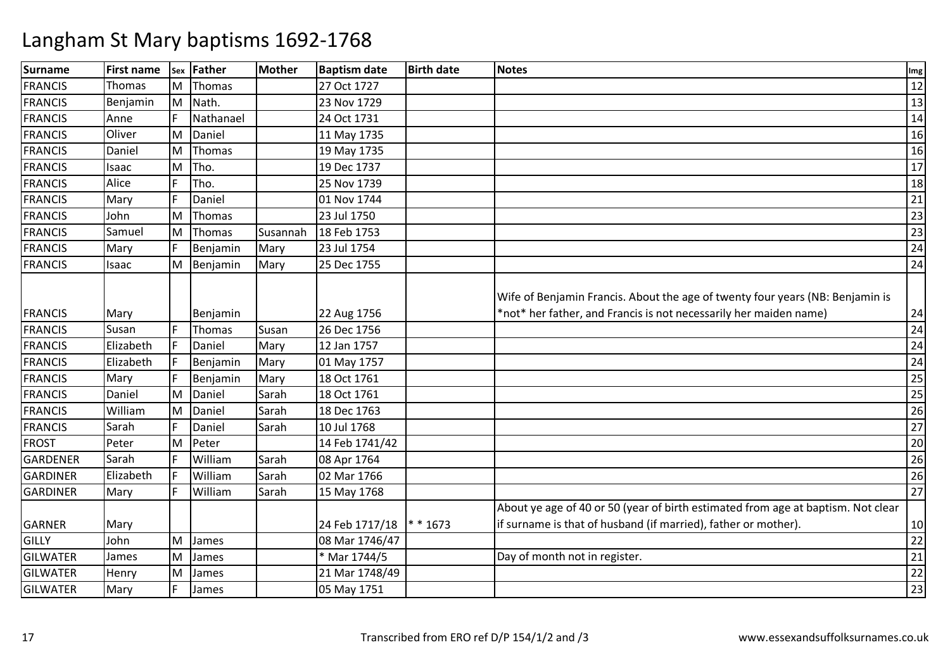| <b>Surname</b>  | <b>First name</b> |    | sex   Father | <b>Mother</b> | <b>Baptism date</b> | <b>Birth date</b> | <b>Notes</b>                                                                                                                                       | Img |
|-----------------|-------------------|----|--------------|---------------|---------------------|-------------------|----------------------------------------------------------------------------------------------------------------------------------------------------|-----|
| <b>FRANCIS</b>  | Thomas            |    | M Thomas     |               | 27 Oct 1727         |                   |                                                                                                                                                    | 12  |
| <b>FRANCIS</b>  | Benjamin          |    | M Nath.      |               | 23 Nov 1729         |                   |                                                                                                                                                    | 13  |
| <b>FRANCIS</b>  | Anne              |    | Nathanael    |               | 24 Oct 1731         |                   |                                                                                                                                                    | 14  |
| <b>FRANCIS</b>  | Oliver            | M  | Daniel       |               | 11 May 1735         |                   |                                                                                                                                                    | 16  |
| <b>FRANCIS</b>  | Daniel            | M  | Thomas       |               | 19 May 1735         |                   |                                                                                                                                                    | 16  |
| <b>FRANCIS</b>  | <b>Isaac</b>      |    | M Tho.       |               | 19 Dec 1737         |                   |                                                                                                                                                    | 17  |
| <b>FRANCIS</b>  | Alice             | F  | Tho.         |               | 25 Nov 1739         |                   |                                                                                                                                                    | 18  |
| <b>FRANCIS</b>  | Mary              |    | Daniel       |               | 01 Nov 1744         |                   |                                                                                                                                                    | 21  |
| <b>FRANCIS</b>  | John              | M  | Thomas       |               | 23 Jul 1750         |                   |                                                                                                                                                    | 23  |
| <b>FRANCIS</b>  | Samuel            |    | M Thomas     | Susannah      | 18 Feb 1753         |                   |                                                                                                                                                    | 23  |
| <b>FRANCIS</b>  | Mary              | E  | Benjamin     | Mary          | 23 Jul 1754         |                   |                                                                                                                                                    | 24  |
| <b>FRANCIS</b>  | <b>Isaac</b>      |    | M Benjamin   | Mary          | 25 Dec 1755         |                   |                                                                                                                                                    | 24  |
| <b>FRANCIS</b>  | Mary              |    | Benjamin     |               | 22 Aug 1756         |                   | Wife of Benjamin Francis. About the age of twenty four years (NB: Benjamin is<br>*not* her father, and Francis is not necessarily her maiden name) | 24  |
| <b>FRANCIS</b>  | Susan             |    | Thomas       | Susan         | 26 Dec 1756         |                   |                                                                                                                                                    | 24  |
| <b>FRANCIS</b>  | Elizabeth         | IF | Daniel       | Mary          | 12 Jan 1757         |                   |                                                                                                                                                    | 24  |
| <b>FRANCIS</b>  | Elizabeth         | F  | Benjamin     | Mary          | 01 May 1757         |                   |                                                                                                                                                    | 24  |
| <b>FRANCIS</b>  | Mary              |    | Benjamin     | Mary          | 18 Oct 1761         |                   |                                                                                                                                                    | 25  |
| <b>FRANCIS</b>  | Daniel            | M  | Daniel       | Sarah         | 18 Oct 1761         |                   |                                                                                                                                                    | 25  |
| <b>FRANCIS</b>  | William           | M  | Daniel       | Sarah         | 18 Dec 1763         |                   |                                                                                                                                                    | 26  |
| <b>FRANCIS</b>  | Sarah             | F  | Daniel       | Sarah         | 10 Jul 1768         |                   |                                                                                                                                                    | 27  |
| <b>FROST</b>    | Peter             | M  | Peter        |               | 14 Feb 1741/42      |                   |                                                                                                                                                    | 20  |
| <b>GARDENER</b> | Sarah             |    | William      | Sarah         | 08 Apr 1764         |                   |                                                                                                                                                    | 26  |
| <b>GARDINER</b> | Elizabeth         | ١F | William      | Sarah         | 02 Mar 1766         |                   |                                                                                                                                                    | 26  |
| <b>GARDINER</b> | Mary              |    | William      | Sarah         | 15 May 1768         |                   |                                                                                                                                                    | 27  |
|                 |                   |    |              |               |                     |                   | About ye age of 40 or 50 (year of birth estimated from age at baptism. Not clear                                                                   |     |
| <b>GARNER</b>   | Mary              |    |              |               | 24 Feb 1717/18      | $* * 1673$        | if surname is that of husband (if married), father or mother).                                                                                     | 10  |
| <b>GILLY</b>    | John              | M  | James        |               | 08 Mar 1746/47      |                   |                                                                                                                                                    | 22  |
| <b>GILWATER</b> | James             | M  | James        |               | * Mar 1744/5        |                   | Day of month not in register.                                                                                                                      | 21  |
| <b>GILWATER</b> | Henry             | M  | James        |               | 21 Mar 1748/49      |                   |                                                                                                                                                    | 22  |
| <b>GILWATER</b> | Mary              |    | James        |               | 05 May 1751         |                   |                                                                                                                                                    | 23  |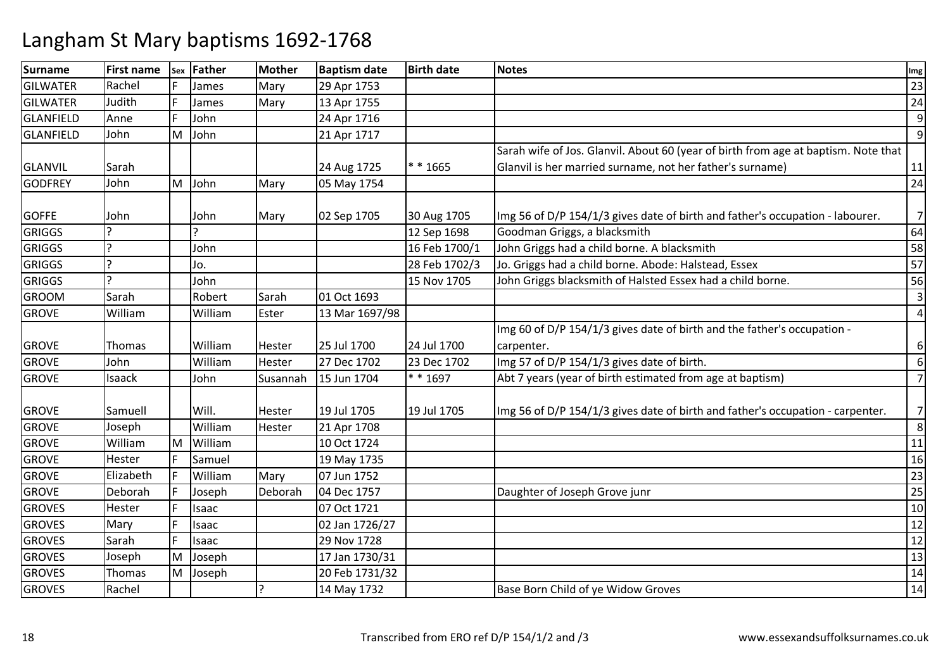| <b>Surname</b>   | <b>First name</b> |     | sex Father | Mother   | <b>Baptism date</b> | <b>Birth date</b> | <b>Notes</b>                                                                       | Img            |
|------------------|-------------------|-----|------------|----------|---------------------|-------------------|------------------------------------------------------------------------------------|----------------|
| <b>GILWATER</b>  | Rachel            |     | James      | Mary     | 29 Apr 1753         |                   |                                                                                    | 23             |
| <b>GILWATER</b>  | Judith            | F   | James      | Mary     | 13 Apr 1755         |                   |                                                                                    | 24             |
| <b>GLANFIELD</b> | Anne              | F   | John       |          | 24 Apr 1716         |                   |                                                                                    | 9              |
| <b>GLANFIELD</b> | John              | M   | John       |          | 21 Apr 1717         |                   |                                                                                    | 9              |
|                  |                   |     |            |          |                     |                   | Sarah wife of Jos. Glanvil. About 60 (year of birth from age at baptism. Note that |                |
| <b>GLANVIL</b>   | Sarah             |     |            |          | 24 Aug 1725         | * * 1665          | Glanvil is her married surname, not her father's surname)                          | 11             |
| <b>GODFREY</b>   | John              |     | M John     | Mary     | 05 May 1754         |                   |                                                                                    | 24             |
| <b>GOFFE</b>     | John              |     | John       | Mary     | 02 Sep 1705         | 30 Aug 1705       | Img 56 of D/P 154/1/3 gives date of birth and father's occupation - labourer.      | 7              |
| <b>GRIGGS</b>    | $\overline{?}$    |     | C.         |          |                     | 12 Sep 1698       | Goodman Griggs, a blacksmith                                                       | 64             |
| <b>GRIGGS</b>    | l?                |     | John       |          |                     | 16 Feb 1700/1     | John Griggs had a child borne. A blacksmith                                        | 58             |
| <b>GRIGGS</b>    |                   |     | Jo.        |          |                     | 28 Feb 1702/3     | Jo. Griggs had a child borne. Abode: Halstead, Essex                               | 57             |
| <b>GRIGGS</b>    |                   |     | John       |          |                     | 15 Nov 1705       | John Griggs blacksmith of Halsted Essex had a child borne.                         | 56             |
| <b>GROOM</b>     | Sarah             |     | Robert     | Sarah    | 01 Oct 1693         |                   |                                                                                    | 3              |
| <b>GROVE</b>     | William           |     | William    | Ester    | 13 Mar 1697/98      |                   |                                                                                    | $\overline{4}$ |
|                  |                   |     |            |          |                     |                   | Img 60 of D/P 154/1/3 gives date of birth and the father's occupation -            |                |
| <b>GROVE</b>     | Thomas            |     | William    | Hester   | 25 Jul 1700         | 24 Jul 1700       | carpenter.                                                                         | 6              |
| <b>GROVE</b>     | John              |     | William    | Hester   | 27 Dec 1702         | 23 Dec 1702       | Img 57 of D/P 154/1/3 gives date of birth.                                         | 6              |
| <b>GROVE</b>     | Isaack            |     | John       | Susannah | 15 Jun 1704         | * * 1697          | Abt 7 years (year of birth estimated from age at baptism)                          | $\overline{7}$ |
| <b>GROVE</b>     | Samuell           |     | Will.      | Hester   | 19 Jul 1705         | 19 Jul 1705       | Img 56 of D/P 154/1/3 gives date of birth and father's occupation - carpenter.     | $\overline{7}$ |
| <b>GROVE</b>     | Joseph            |     | William    | Hester   | 21 Apr 1708         |                   |                                                                                    | 8              |
| <b>GROVE</b>     | William           | M   | William    |          | 10 Oct 1724         |                   |                                                                                    | 11             |
| <b>GROVE</b>     | Hester            |     | Samuel     |          | 19 May 1735         |                   |                                                                                    | 16             |
| <b>GROVE</b>     | Elizabeth         | l F | William    | Mary     | 07 Jun 1752         |                   |                                                                                    | 23             |
| <b>GROVE</b>     | Deborah           |     | Joseph     | Deborah  | 04 Dec 1757         |                   | Daughter of Joseph Grove junr                                                      | 25             |
| <b>GROVES</b>    | <b>Hester</b>     |     | Isaac      |          | 07 Oct 1721         |                   |                                                                                    | 10             |
| <b>GROVES</b>    | Mary              |     | Isaac      |          | 02 Jan 1726/27      |                   |                                                                                    | 12             |
| <b>GROVES</b>    | Sarah             | F   | Isaac      |          | 29 Nov 1728         |                   |                                                                                    | 12             |
| <b>GROVES</b>    | Joseph            | M   | Joseph     |          | 17 Jan 1730/31      |                   |                                                                                    | 13             |
| <b>GROVES</b>    | Thomas            | M   | Joseph     |          | 20 Feb 1731/32      |                   |                                                                                    | 14             |
| <b>GROVES</b>    | Rachel            |     |            |          | 14 May 1732         |                   | Base Born Child of ye Widow Groves                                                 | 14             |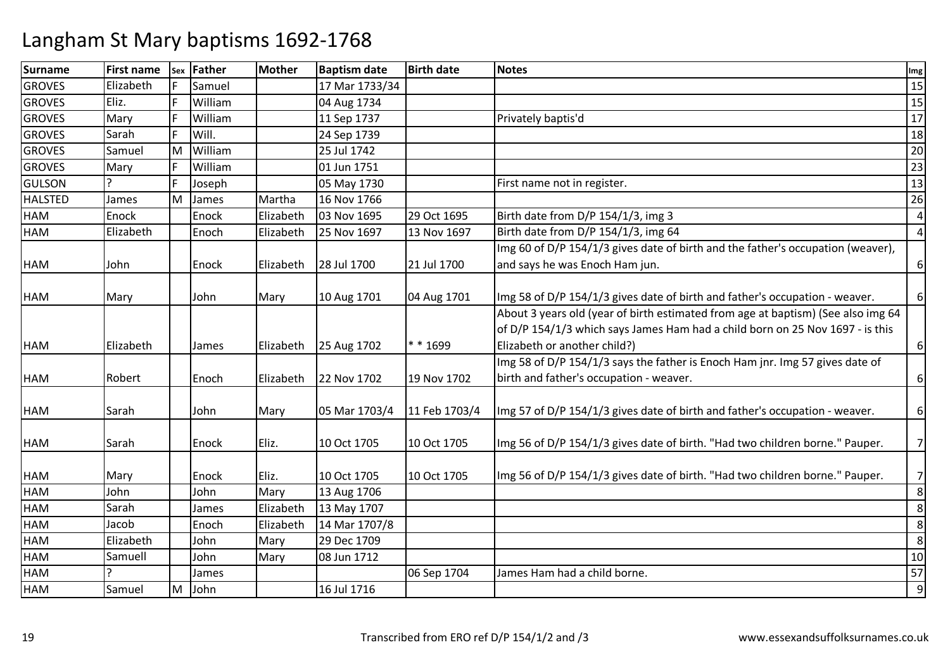| <b>Surname</b> | <b>First name</b> | <b>Sex</b> | Father  | <b>Mother</b> | <b>Baptism date</b> | <b>Birth date</b> | <b>Notes</b>                                                                     | Img            |
|----------------|-------------------|------------|---------|---------------|---------------------|-------------------|----------------------------------------------------------------------------------|----------------|
| <b>GROVES</b>  | Elizabeth         |            | Samuel  |               | 17 Mar 1733/34      |                   |                                                                                  | 15             |
| <b>GROVES</b>  | Eliz.             | E          | William |               | 04 Aug 1734         |                   |                                                                                  | 15             |
| <b>GROVES</b>  | Mary              | E          | William |               | 11 Sep 1737         |                   | Privately baptis'd                                                               | 17             |
| <b>GROVES</b>  | Sarah             |            | Will.   |               | 24 Sep 1739         |                   |                                                                                  | 18             |
| <b>GROVES</b>  | Samuel            | M          | William |               | 25 Jul 1742         |                   |                                                                                  | 20             |
| <b>GROVES</b>  | Mary              | F          | William |               | 01 Jun 1751         |                   |                                                                                  | 23             |
| <b>GULSON</b>  |                   | E          | Joseph  |               | 05 May 1730         |                   | First name not in register.                                                      | 13             |
| <b>HALSTED</b> | James             | M          | James   | Martha        | 16 Nov 1766         |                   |                                                                                  | 26             |
| HAM            | Enock             |            | Enock   | Elizabeth     | 03 Nov 1695         | 29 Oct 1695       | Birth date from D/P 154/1/3, img 3                                               | $\overline{4}$ |
| HAM            | Elizabeth         |            | Enoch   | Elizabeth     | 25 Nov 1697         | 13 Nov 1697       | Birth date from D/P 154/1/3, img 64                                              | $\overline{4}$ |
|                |                   |            |         |               |                     |                   | Img 60 of D/P 154/1/3 gives date of birth and the father's occupation (weaver),  |                |
| HAM            | John              |            | Enock   | Elizabeth     | 28 Jul 1700         | 21 Jul 1700       | and says he was Enoch Ham jun.                                                   | 6              |
|                |                   |            |         |               |                     |                   |                                                                                  |                |
| HAM            | Mary              |            | John    | Mary          | 10 Aug 1701         | 04 Aug 1701       | Img 58 of D/P 154/1/3 gives date of birth and father's occupation - weaver.      | 6              |
|                |                   |            |         |               |                     |                   | About 3 years old (year of birth estimated from age at baptism) (See also img 64 |                |
|                |                   |            |         |               |                     |                   | of D/P 154/1/3 which says James Ham had a child born on 25 Nov 1697 - is this    |                |
| HAM            | Elizabeth         |            | James   | Elizabeth     | 25 Aug 1702         | $* * 1699$        | Elizabeth or another child?)                                                     | 6              |
|                |                   |            |         |               |                     |                   | Img 58 of D/P 154/1/3 says the father is Enoch Ham jnr. Img 57 gives date of     |                |
| HAM            | Robert            |            | Enoch   | Elizabeth     | 22 Nov 1702         | 19 Nov 1702       | birth and father's occupation - weaver.                                          | 6              |
|                |                   |            |         |               |                     |                   |                                                                                  |                |
| HAM            | Sarah             |            | John    | Mary          | 05 Mar 1703/4       | 11 Feb 1703/4     | Img 57 of D/P 154/1/3 gives date of birth and father's occupation - weaver.      | 6              |
|                |                   |            |         |               |                     |                   |                                                                                  |                |
| HAM            | Sarah             |            | Enock   | Eliz.         | 10 Oct 1705         | 10 Oct 1705       | Img 56 of D/P 154/1/3 gives date of birth. "Had two children borne." Pauper.     | $\overline{7}$ |
|                |                   |            |         |               |                     |                   |                                                                                  |                |
| HAM            | Mary              |            | Enock   | Eliz.         | 10 Oct 1705         | 10 Oct 1705       | Img 56 of D/P 154/1/3 gives date of birth. "Had two children borne." Pauper.     | $\overline{7}$ |
| HAM            | John              |            | John    | Mary          | 13 Aug 1706         |                   |                                                                                  | $\bf 8$        |
| HAM            | Sarah             |            | James   | Elizabeth     | 13 May 1707         |                   |                                                                                  | 8              |
| HAM            | Jacob             |            | Enoch   | Elizabeth     | 14 Mar 1707/8       |                   |                                                                                  | 8              |
| HAM            | Elizabeth         |            | John    | Mary          | 29 Dec 1709         |                   |                                                                                  | 8              |
| HAM            | Samuell           |            | John    | Mary          | 08 Jun 1712         |                   |                                                                                  | 10             |
| HAM            |                   |            | James   |               |                     | 06 Sep 1704       | James Ham had a child borne.                                                     | 57             |
| HAM            | Samuel            | M          | John    |               | 16 Jul 1716         |                   |                                                                                  | $\overline{9}$ |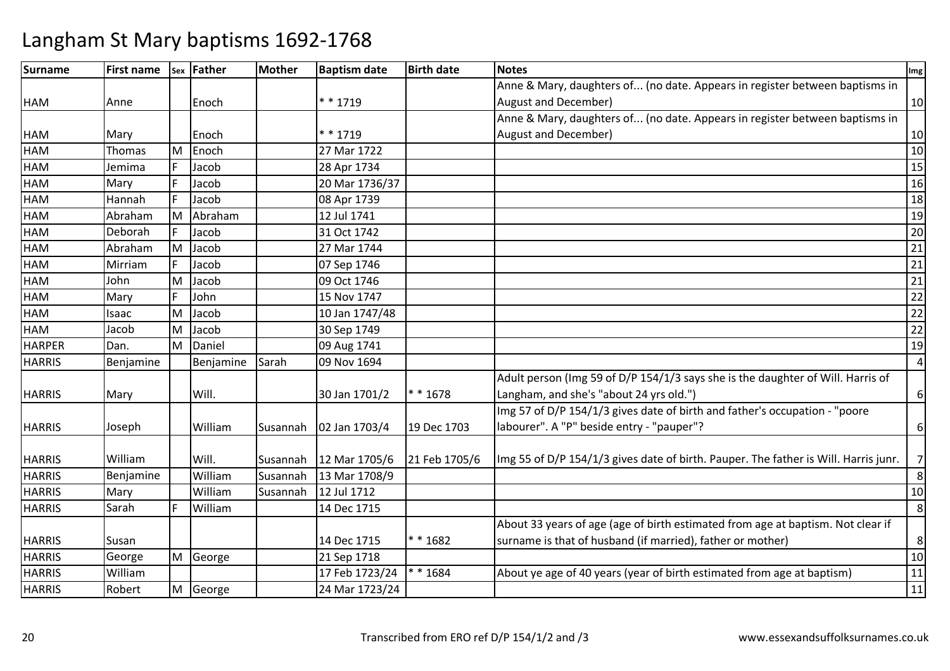| <b>Surname</b> | <b>First name</b> |   | sex Father | <b>Mother</b> | <b>Baptism date</b> | <b>Birth date</b> | <b>Notes</b>                                                                        | Img              |
|----------------|-------------------|---|------------|---------------|---------------------|-------------------|-------------------------------------------------------------------------------------|------------------|
|                |                   |   |            |               |                     |                   | Anne & Mary, daughters of (no date. Appears in register between baptisms in         |                  |
| HAM            | Anne              |   | Enoch      |               | ** 1719             |                   | <b>August and December)</b>                                                         | 10               |
|                |                   |   |            |               |                     |                   | Anne & Mary, daughters of (no date. Appears in register between baptisms in         |                  |
| HAM            | Mary              |   | Enoch      |               | ** 1719             |                   | August and December)                                                                | 10               |
| HAM            | Thomas            |   | M Enoch    |               | 27 Mar 1722         |                   |                                                                                     | 10               |
| HAM            | Jemima            |   | Jacob      |               | 28 Apr 1734         |                   |                                                                                     | 15               |
| HAM            | Mary              | E | Jacob      |               | 20 Mar 1736/37      |                   |                                                                                     | 16               |
| HAM            | Hannah            | F | Jacob      |               | 08 Apr 1739         |                   |                                                                                     | 18               |
| HAM            | Abraham           | M | Abraham    |               | 12 Jul 1741         |                   |                                                                                     | 19               |
| HAM            | Deborah           |   | Jacob      |               | 31 Oct 1742         |                   |                                                                                     | $20\,$           |
| <b>HAM</b>     | Abraham           | M | Jacob      |               | 27 Mar 1744         |                   |                                                                                     | 21               |
| HAM            | Mirriam           |   | Jacob      |               | 07 Sep 1746         |                   |                                                                                     | 21               |
| HAM            | John              | M | Jacob      |               | 09 Oct 1746         |                   |                                                                                     | 21               |
| HAM            | Mary              | E | John       |               | 15 Nov 1747         |                   |                                                                                     | 22               |
| HAM            | Isaac             | M | Jacob      |               | 10 Jan 1747/48      |                   |                                                                                     | 22               |
| HAM            | Jacob             | M | Jacob      |               | 30 Sep 1749         |                   |                                                                                     | 22               |
| <b>HARPER</b>  | Dan.              |   | M Daniel   |               | 09 Aug 1741         |                   |                                                                                     | 19               |
| <b>HARRIS</b>  | Benjamine         |   | Benjamine  | Sarah         | 09 Nov 1694         |                   |                                                                                     | $\overline{4}$   |
|                |                   |   |            |               |                     |                   | Adult person (Img 59 of D/P 154/1/3 says she is the daughter of Will. Harris of     |                  |
| <b>HARRIS</b>  | Mary              |   | Will.      |               | 30 Jan 1701/2       | * * 1678          | Langham, and she's "about 24 yrs old.")                                             | $\boldsymbol{6}$ |
|                |                   |   |            |               |                     |                   | Img 57 of D/P 154/1/3 gives date of birth and father's occupation - "poore          |                  |
| <b>HARRIS</b>  | Joseph            |   | William    | Susannah      | 02 Jan 1703/4       | 19 Dec 1703       | labourer". A "P" beside entry - "pauper"?                                           | 6                |
|                |                   |   |            |               |                     |                   |                                                                                     |                  |
| <b>HARRIS</b>  | William           |   | Will.      | Susannah      | 12 Mar 1705/6       | 21 Feb 1705/6     | Img 55 of D/P 154/1/3 gives date of birth. Pauper. The father is Will. Harris junr. | $\overline{7}$   |
| <b>HARRIS</b>  | Benjamine         |   | William    | Susannah      | 13 Mar 1708/9       |                   |                                                                                     | 8                |
| <b>HARRIS</b>  | Mary              |   | William    | Susannah      | 12 Jul 1712         |                   |                                                                                     | 10               |
| <b>HARRIS</b>  | Sarah             | E | William    |               | 14 Dec 1715         |                   |                                                                                     | 8                |
|                |                   |   |            |               |                     |                   | About 33 years of age (age of birth estimated from age at baptism. Not clear if     |                  |
| <b>HARRIS</b>  | Susan             |   |            |               | 14 Dec 1715         | * * 1682          | surname is that of husband (if married), father or mother)                          | $\,8\,$          |
| <b>HARRIS</b>  | George            |   | M George   |               | 21 Sep 1718         |                   |                                                                                     | $10\,$           |
| <b>HARRIS</b>  | William           |   |            |               | 17 Feb 1723/24      | ** 1684           | About ye age of 40 years (year of birth estimated from age at baptism)              | 11               |
| <b>HARRIS</b>  | Robert            |   | M George   |               | 24 Mar 1723/24      |                   |                                                                                     | 11               |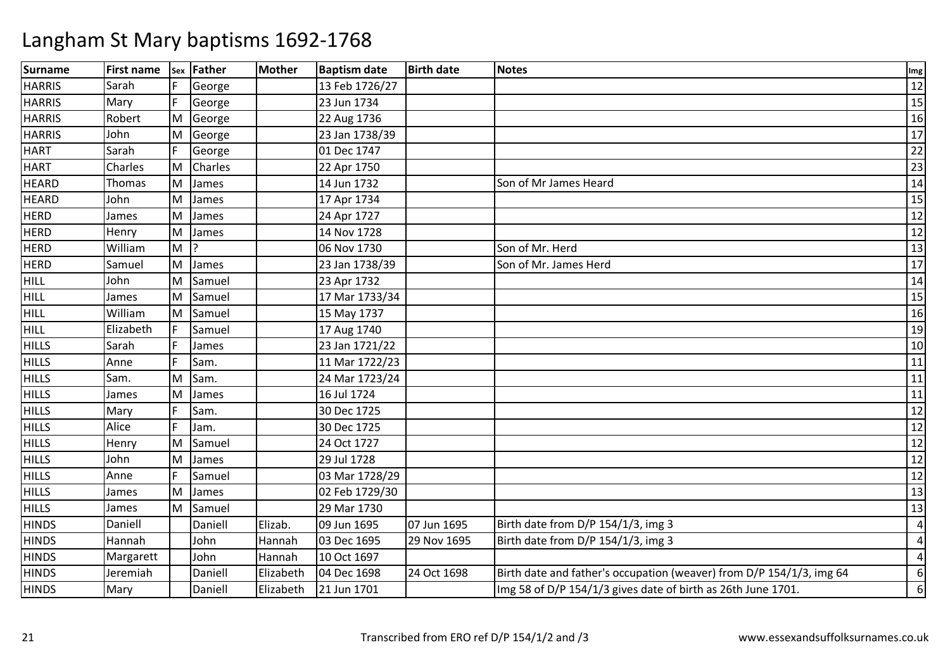| <b>Surname</b> | <b>First name</b> |   | sex Father     | <b>Mother</b> | <b>Baptism date</b> | <b>Birth date</b> | <b>Notes</b>                                                         | Img            |
|----------------|-------------------|---|----------------|---------------|---------------------|-------------------|----------------------------------------------------------------------|----------------|
| <b>HARRIS</b>  | Sarah             |   | George         |               | 13 Feb 1726/27      |                   |                                                                      | 12             |
| <b>HARRIS</b>  | Mary              | E | George         |               | 23 Jun 1734         |                   |                                                                      | 15             |
| <b>HARRIS</b>  | Robert            |   | M George       |               | 22 Aug 1736         |                   |                                                                      | 16             |
| <b>HARRIS</b>  | John              | M | George         |               | 23 Jan 1738/39      |                   |                                                                      | 17             |
| <b>HART</b>    | Sarah             | E | George         |               | 01 Dec 1747         |                   |                                                                      | 22             |
| <b>HART</b>    | Charles           | M | <b>Charles</b> |               | 22 Apr 1750         |                   |                                                                      | 23             |
| <b>HEARD</b>   | Thomas            | M | James          |               | 14 Jun 1732         |                   | Son of Mr James Heard                                                | 14             |
| <b>HEARD</b>   | John              | M | James          |               | 17 Apr 1734         |                   |                                                                      | 15             |
| <b>HERD</b>    | James             | M | James          |               | 24 Apr 1727         |                   |                                                                      | 12             |
| <b>HERD</b>    | Henry             | M | James          |               | 14 Nov 1728         |                   |                                                                      | 12             |
| <b>HERD</b>    | William           | M |                |               | 06 Nov 1730         |                   | Son of Mr. Herd                                                      | 13             |
| <b>HERD</b>    | Samuel            | M | James          |               | 23 Jan 1738/39      |                   | Son of Mr. James Herd                                                | 17             |
| <b>HILL</b>    | John              | M | Samuel         |               | 23 Apr 1732         |                   |                                                                      | 14             |
| <b>HILL</b>    | James             | M | Samuel         |               | 17 Mar 1733/34      |                   |                                                                      | 15             |
| <b>HILL</b>    | William           | M | Samuel         |               | 15 May 1737         |                   |                                                                      | 16             |
| <b>HILL</b>    | Elizabeth         |   | Samuel         |               | 17 Aug 1740         |                   |                                                                      | 19             |
| <b>HILLS</b>   | Sarah             |   | James          |               | 23 Jan 1721/22      |                   |                                                                      | 10             |
| <b>HILLS</b>   | Anne              |   | Sam.           |               | 11 Mar 1722/23      |                   |                                                                      | 11             |
| <b>HILLS</b>   | Sam.              | м | Sam.           |               | 24 Mar 1723/24      |                   |                                                                      | 11             |
| <b>HILLS</b>   | James             | M | James          |               | 16 Jul 1724         |                   |                                                                      | 11             |
| <b>HILLS</b>   | Mary              | F | Sam.           |               | 30 Dec 1725         |                   |                                                                      | 12             |
| <b>HILLS</b>   | Alice             | F | Jam.           |               | 30 Dec 1725         |                   |                                                                      | 12             |
| <b>HILLS</b>   | Henry             | M | Samuel         |               | 24 Oct 1727         |                   |                                                                      | 12             |
| <b>HILLS</b>   | John              | M | James          |               | 29 Jul 1728         |                   |                                                                      | 12             |
| <b>HILLS</b>   | Anne              | F | Samuel         |               | 03 Mar 1728/29      |                   |                                                                      | 12             |
| <b>HILLS</b>   | James             | M | James          |               | 02 Feb 1729/30      |                   |                                                                      | 13             |
| <b>HILLS</b>   | James             | M | Samuel         |               | 29 Mar 1730         |                   |                                                                      | 13             |
| <b>HINDS</b>   | Daniell           |   | Daniell        | Elizab.       | 09 Jun 1695         | 07 Jun 1695       | Birth date from D/P 154/1/3, img 3                                   | $\overline{4}$ |
| <b>HINDS</b>   | Hannah            |   | John           | Hannah        | 03 Dec 1695         | 29 Nov 1695       | Birth date from D/P 154/1/3, img 3                                   | 4              |
| <b>HINDS</b>   | Margarett         |   | John           | Hannah        | 10 Oct 1697         |                   |                                                                      | 4              |
| <b>HINDS</b>   | Jeremiah          |   | Daniell        | Elizabeth     | 04 Dec 1698         | 24 Oct 1698       | Birth date and father's occupation (weaver) from D/P 154/1/3, img 64 | 6              |
| <b>HINDS</b>   | Mary              |   | Daniell        | Elizabeth     | 21 Jun 1701         |                   | Img 58 of D/P 154/1/3 gives date of birth as 26th June 1701.         | 6              |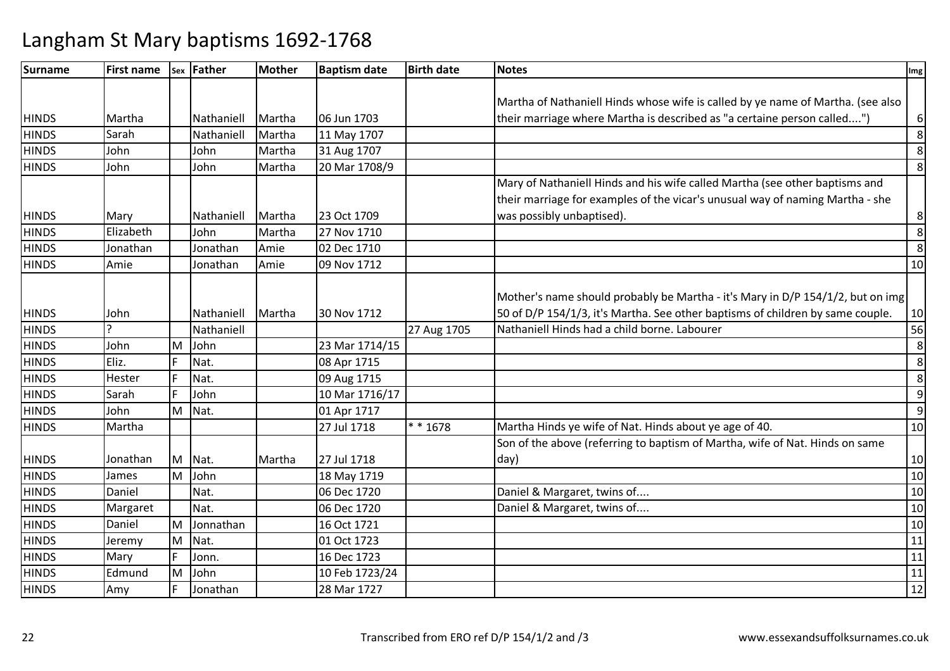| <b>Surname</b> | <b>First name</b> |   | sex Father | <b>Mother</b> | <b>Baptism date</b> | <b>Birth date</b> | <b>Notes</b>                                                                    | Img            |
|----------------|-------------------|---|------------|---------------|---------------------|-------------------|---------------------------------------------------------------------------------|----------------|
|                |                   |   |            |               |                     |                   |                                                                                 |                |
|                |                   |   |            |               |                     |                   | Martha of Nathaniell Hinds whose wife is called by ye name of Martha. (see also |                |
| <b>HINDS</b>   | Martha            |   | Nathaniell | Martha        | 06 Jun 1703         |                   | their marriage where Martha is described as "a certaine person called")         | $6 \mid$       |
| <b>HINDS</b>   | Sarah             |   | Nathaniell | Martha        | 11 May 1707         |                   |                                                                                 | 8              |
| <b>HINDS</b>   | John              |   | John       | Martha        | 31 Aug 1707         |                   |                                                                                 | 8              |
| <b>HINDS</b>   | John              |   | John       | Martha        | 20 Mar 1708/9       |                   |                                                                                 | 8 <sup>1</sup> |
|                |                   |   |            |               |                     |                   | Mary of Nathaniell Hinds and his wife called Martha (see other baptisms and     |                |
|                |                   |   |            |               |                     |                   | their marriage for examples of the vicar's unusual way of naming Martha - she   |                |
| <b>HINDS</b>   | Mary              |   | Nathaniell | Martha        | 23 Oct 1709         |                   | was possibly unbaptised).                                                       | 8 <sup>1</sup> |
| <b>HINDS</b>   | Elizabeth         |   | John       | Martha        | 27 Nov 1710         |                   |                                                                                 | 8              |
| <b>HINDS</b>   | Jonathan          |   | Jonathan   | Amie          | 02 Dec 1710         |                   |                                                                                 | 8              |
| <b>HINDS</b>   | Amie              |   | Jonathan   | Amie          | 09 Nov 1712         |                   |                                                                                 | 10             |
|                |                   |   |            |               |                     |                   |                                                                                 |                |
|                |                   |   |            |               |                     |                   | Mother's name should probably be Martha - it's Mary in D/P 154/1/2, but on img  |                |
| <b>HINDS</b>   | John              |   | Nathaniell | Martha        | 30 Nov 1712         |                   | 50 of D/P 154/1/3, it's Martha. See other baptisms of children by same couple.  | 10             |
| <b>HINDS</b>   |                   |   | Nathaniell |               |                     | 27 Aug 1705       | Nathaniell Hinds had a child borne. Labourer                                    | 56             |
| <b>HINDS</b>   | John              | M | John       |               | 23 Mar 1714/15      |                   |                                                                                 | $\bf 8$        |
| <b>HINDS</b>   | Eliz.             |   | Nat.       |               | 08 Apr 1715         |                   |                                                                                 | 8              |
| <b>HINDS</b>   | <b>Hester</b>     | E | Nat.       |               | 09 Aug 1715         |                   |                                                                                 | $\,8\,$        |
| <b>HINDS</b>   | Sarah             |   | John       |               | 10 Mar 1716/17      |                   |                                                                                 | 9              |
| <b>HINDS</b>   | John              | M | Nat.       |               | 01 Apr 1717         |                   |                                                                                 | 9              |
| <b>HINDS</b>   | Martha            |   |            |               | 27 Jul 1718         | $* * 1678$        | Martha Hinds ye wife of Nat. Hinds about ye age of 40.                          | 10             |
|                |                   |   |            |               |                     |                   | Son of the above (referring to baptism of Martha, wife of Nat. Hinds on same    |                |
| <b>HINDS</b>   | Jonathan          |   | M Nat.     | Martha        | 27 Jul 1718         |                   | day)                                                                            | 10             |
| <b>HINDS</b>   | James             | M | John       |               | 18 May 1719         |                   |                                                                                 | 10             |
| <b>HINDS</b>   | Daniel            |   | Nat.       |               | 06 Dec 1720         |                   | Daniel & Margaret, twins of                                                     | 10             |
| <b>HINDS</b>   | Margaret          |   | Nat.       |               | 06 Dec 1720         |                   | Daniel & Margaret, twins of                                                     | 10             |
| <b>HINDS</b>   | Daniel            | M | Jonnathan  |               | 16 Oct 1721         |                   |                                                                                 | 10             |
| <b>HINDS</b>   | Jeremy            | M | Nat.       |               | 01 Oct 1723         |                   |                                                                                 | 11             |
| <b>HINDS</b>   | Mary              | F | Jonn.      |               | 16 Dec 1723         |                   |                                                                                 | 11             |
| <b>HINDS</b>   | Edmund            | M | John       |               | 10 Feb 1723/24      |                   |                                                                                 | 11             |
| <b>HINDS</b>   | Amy               | F | Jonathan   |               | 28 Mar 1727         |                   |                                                                                 | 12             |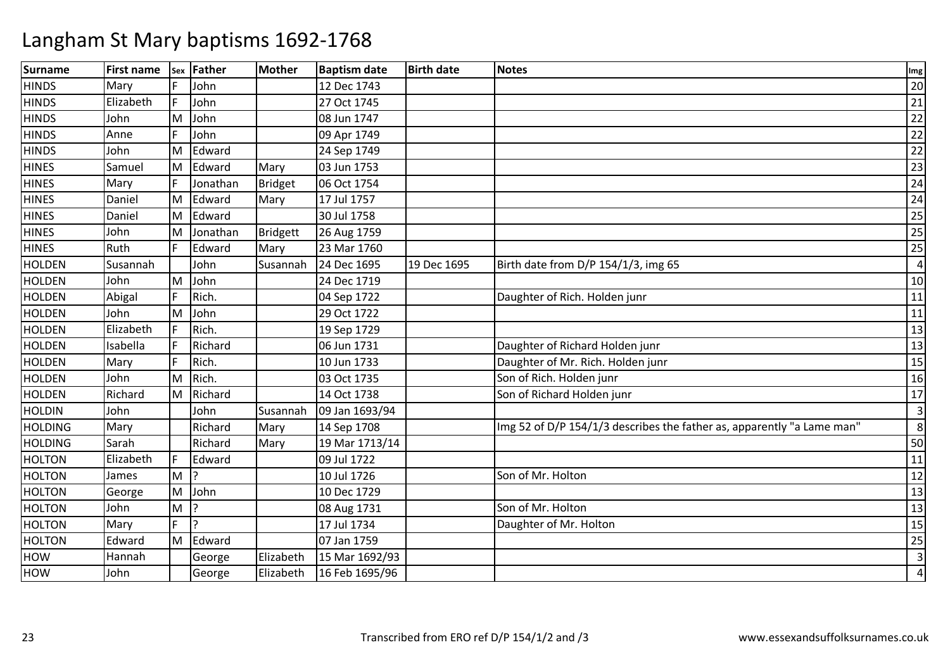| <b>Surname</b> | <b>First name</b> |   | sex Father   | <b>Mother</b>   | <b>Baptism date</b> | <b>Birth date</b> | <b>Notes</b>                                                           | Img            |
|----------------|-------------------|---|--------------|-----------------|---------------------|-------------------|------------------------------------------------------------------------|----------------|
| <b>HINDS</b>   | Mary              |   | John         |                 | 12 Dec 1743         |                   |                                                                        | 20             |
| <b>HINDS</b>   | Elizabeth         |   | John         |                 | 27 Oct 1745         |                   |                                                                        | 21             |
| <b>HINDS</b>   | John              | м | John         |                 | 08 Jun 1747         |                   |                                                                        | 22             |
| <b>HINDS</b>   | Anne              | F | John         |                 | 09 Apr 1749         |                   |                                                                        | 22             |
| <b>HINDS</b>   | John              | M | Edward       |                 | 24 Sep 1749         |                   |                                                                        | 22             |
| <b>HINES</b>   | Samuel            | M | Edward       | Mary            | 03 Jun 1753         |                   |                                                                        | 23             |
| <b>HINES</b>   | Mary              | F | Jonathan     | <b>Bridget</b>  | 06 Oct 1754         |                   |                                                                        | 24             |
| <b>HINES</b>   | Daniel            | M | Edward       | Mary            | 17 Jul 1757         |                   |                                                                        | 24             |
| <b>HINES</b>   | Daniel            | M | Edward       |                 | 30 Jul 1758         |                   |                                                                        | 25             |
| <b>HINES</b>   | John              | M | Jonathan     | <b>Bridgett</b> | 26 Aug 1759         |                   |                                                                        | 25             |
| <b>HINES</b>   | Ruth              | E | Edward       | Mary            | 23 Mar 1760         |                   |                                                                        | 25             |
| <b>HOLDEN</b>  | Susannah          |   | John         | Susannah        | 24 Dec 1695         | 19 Dec 1695       | Birth date from D/P 154/1/3, img 65                                    | $\overline{4}$ |
| <b>HOLDEN</b>  | John              | М | John         |                 | 24 Dec 1719         |                   |                                                                        | 10             |
| <b>HOLDEN</b>  | Abigal            | F | Rich.        |                 | 04 Sep 1722         |                   | Daughter of Rich. Holden junr                                          | 11             |
| <b>HOLDEN</b>  | John              | M | John         |                 | 29 Oct 1722         |                   |                                                                        | 11             |
| <b>HOLDEN</b>  | Elizabeth         |   | Rich.        |                 | 19 Sep 1729         |                   |                                                                        | 13             |
| <b>HOLDEN</b>  | Isabella          | F | Richard      |                 | 06 Jun 1731         |                   | Daughter of Richard Holden junr                                        | 13             |
| <b>HOLDEN</b>  | Mary              | E | Rich.        |                 | 10 Jun 1733         |                   | Daughter of Mr. Rich. Holden junr                                      | 15             |
| <b>HOLDEN</b>  | John              | М | Rich.        |                 | 03 Oct 1735         |                   | Son of Rich. Holden junr                                               | 16             |
| <b>HOLDEN</b>  | Richard           | M | Richard      |                 | 14 Oct 1738         |                   | Son of Richard Holden junr                                             | 17             |
| <b>HOLDIN</b>  | John              |   | John         | Susannah        | 09 Jan 1693/94      |                   |                                                                        | $\overline{3}$ |
| <b>HOLDING</b> | Mary              |   | Richard      | Mary            | 14 Sep 1708         |                   | Img 52 of D/P 154/1/3 describes the father as, apparently "a Lame man" | 8              |
| <b>HOLDING</b> | Sarah             |   | Richard      | Mary            | 19 Mar 1713/14      |                   |                                                                        | 50             |
| <b>HOLTON</b>  | Elizabeth         | F | Edward       |                 | 09 Jul 1722         |                   |                                                                        | 11             |
| <b>HOLTON</b>  | James             | M |              |                 | 10 Jul 1726         |                   | Son of Mr. Holton                                                      | 12             |
| <b>HOLTON</b>  | George            | M | John         |                 | 10 Dec 1729         |                   |                                                                        | 13             |
| <b>HOLTON</b>  | John              | M |              |                 | 08 Aug 1731         |                   | Son of Mr. Holton                                                      | 13             |
| <b>HOLTON</b>  | Mary              |   | $\mathbf{C}$ |                 | 17 Jul 1734         |                   | Daughter of Mr. Holton                                                 | 15             |
| <b>HOLTON</b>  | Edward            |   | M Edward     |                 | 07 Jan 1759         |                   |                                                                        | 25             |
| HOW            | Hannah            |   | George       | Elizabeth       | 15 Mar 1692/93      |                   |                                                                        | $\overline{3}$ |
| <b>HOW</b>     | John              |   | George       | Elizabeth       | 16 Feb 1695/96      |                   |                                                                        | $\overline{4}$ |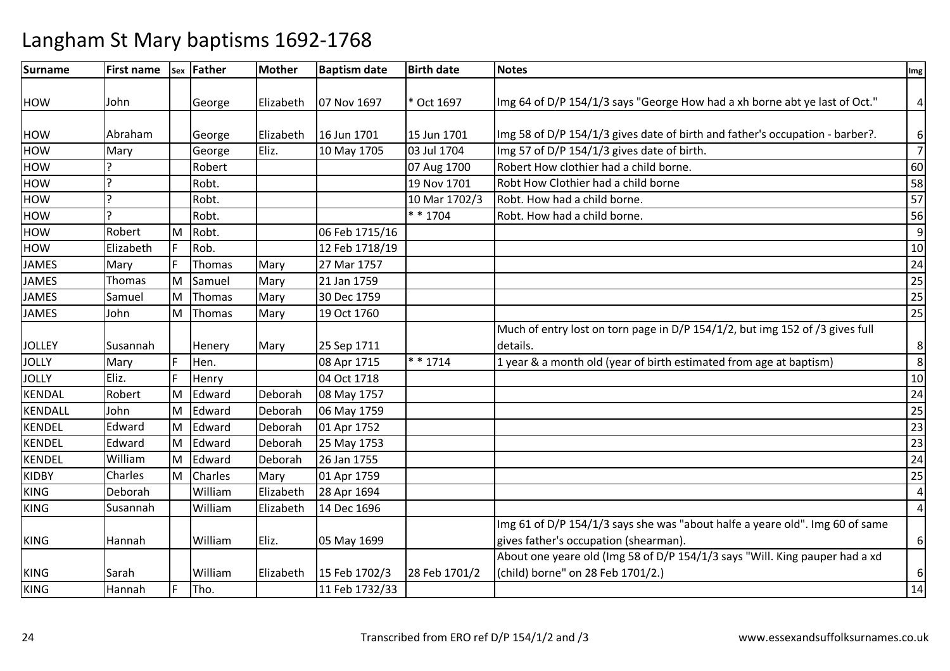| <b>Surname</b> | <b>First name</b> |    | sex Father     | <b>Mother</b> | <b>Baptism date</b> | <b>Birth date</b> | <b>Notes</b>                                                                 | Img              |
|----------------|-------------------|----|----------------|---------------|---------------------|-------------------|------------------------------------------------------------------------------|------------------|
|                |                   |    |                |               |                     |                   |                                                                              |                  |
| <b>HOW</b>     | John              |    | George         | Elizabeth     | 07 Nov 1697         | * Oct 1697        | Img 64 of D/P 154/1/3 says "George How had a xh borne abt ye last of Oct."   | $\overline{a}$   |
|                |                   |    |                |               |                     |                   |                                                                              |                  |
| <b>HOW</b>     | Abraham           |    | George         | Elizabeth     | 16 Jun 1701         | 15 Jun 1701       | Img 58 of D/P 154/1/3 gives date of birth and father's occupation - barber?. | 6                |
| <b>HOW</b>     | Mary              |    | George         | Eliz.         | 10 May 1705         | 03 Jul 1704       | Img 57 of D/P 154/1/3 gives date of birth.                                   | $\overline{7}$   |
| <b>HOW</b>     |                   |    | Robert         |               |                     | 07 Aug 1700       | Robert How clothier had a child borne.                                       | 60               |
| <b>HOW</b>     | ١P                |    | Robt.          |               |                     | 19 Nov 1701       | Robt How Clothier had a child borne                                          | 58               |
| <b>HOW</b>     |                   |    | Robt.          |               |                     | 10 Mar 1702/3     | Robt. How had a child borne.                                                 | 57               |
| HOW            |                   |    | Robt.          |               |                     | $* * 1704$        | Robt. How had a child borne.                                                 | 56               |
| <b>HOW</b>     | Robert            | M  | Robt.          |               | 06 Feb 1715/16      |                   |                                                                              | 9                |
| <b>HOW</b>     | Elizabeth         | IF | Rob.           |               | 12 Feb 1718/19      |                   |                                                                              | 10               |
| <b>JAMES</b>   | Mary              | E  | Thomas         | Mary          | 27 Mar 1757         |                   |                                                                              | 24               |
| <b>JAMES</b>   | Thomas            | M  | Samuel         | Mary          | 21 Jan 1759         |                   |                                                                              | 25               |
| <b>JAMES</b>   | Samuel            | M  | Thomas         | Mary          | 30 Dec 1759         |                   |                                                                              | 25               |
| <b>JAMES</b>   | John              | M  | Thomas         | Mary          | 19 Oct 1760         |                   |                                                                              | 25               |
|                |                   |    |                |               |                     |                   | Much of entry lost on torn page in D/P 154/1/2, but img 152 of /3 gives full |                  |
| <b>JOLLEY</b>  | Susannah          |    | Henery         | Mary          | 25 Sep 1711         |                   | details.                                                                     | $\bf 8$          |
| <b>JOLLY</b>   | Mary              | E  | Hen.           |               | 08 Apr 1715         | $* * 1714$        | 1 year & a month old (year of birth estimated from age at baptism)           | 8                |
| <b>JOLLY</b>   | Eliz.             | E  | Henry          |               | 04 Oct 1718         |                   |                                                                              | 10               |
| <b>KENDAL</b>  | Robert            | M  | Edward         | Deborah       | 08 May 1757         |                   |                                                                              | 24               |
| <b>KENDALL</b> | John              | M  | Edward         | Deborah       | 06 May 1759         |                   |                                                                              | 25               |
| <b>KENDEL</b>  | Edward            |    | M Edward       | Deborah       | 01 Apr 1752         |                   |                                                                              | 23               |
| <b>KENDEL</b>  | Edward            | M  | Edward         | Deborah       | 25 May 1753         |                   |                                                                              | 23               |
| <b>KENDEL</b>  | William           | M  | Edward         | Deborah       | 26 Jan 1755         |                   |                                                                              | 24               |
| <b>KIDBY</b>   | Charles           | M  | <b>Charles</b> | Mary          | 01 Apr 1759         |                   |                                                                              | 25               |
| <b>KING</b>    | Deborah           |    | William        | Elizabeth     | 28 Apr 1694         |                   |                                                                              | $\overline{4}$   |
| <b>KING</b>    | Susannah          |    | William        | Elizabeth     | 14 Dec 1696         |                   |                                                                              | $\overline{a}$   |
|                |                   |    |                |               |                     |                   | Img 61 of D/P 154/1/3 says she was "about halfe a yeare old". Img 60 of same |                  |
| <b>KING</b>    | Hannah            |    | William        | Eliz.         | 05 May 1699         |                   | gives father's occupation (shearman).                                        | 6                |
|                |                   |    |                |               |                     |                   | About one yeare old (Img 58 of D/P 154/1/3 says "Will. King pauper had a xd  |                  |
| <b>KING</b>    | Sarah             |    | William        | Elizabeth     | 15 Feb 1702/3       | 28 Feb 1701/2     | (child) borne" on 28 Feb 1701/2.)                                            | $\boldsymbol{6}$ |
| <b>KING</b>    | Hannah            |    | Tho.           |               | 11 Feb 1732/33      |                   |                                                                              | 14               |
|                |                   |    |                |               |                     |                   |                                                                              |                  |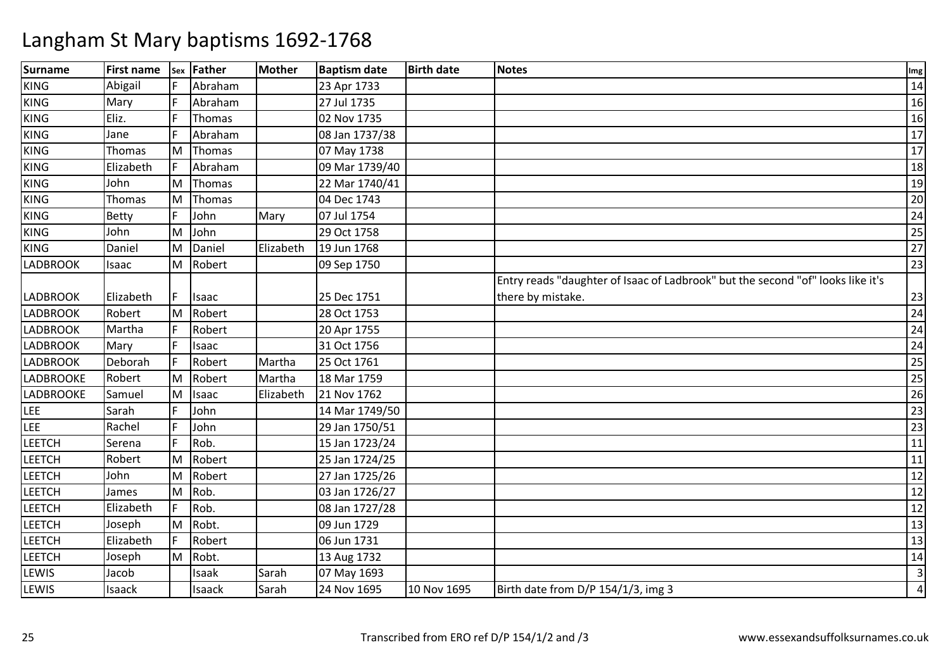| <b>Surname</b>   | <b>First name</b> |     | sex Father | <b>Mother</b> | <b>Baptism date</b> | <b>Birth date</b> | <b>Notes</b>                                                                    | Img |
|------------------|-------------------|-----|------------|---------------|---------------------|-------------------|---------------------------------------------------------------------------------|-----|
| <b>KING</b>      | Abigail           | E   | Abraham    |               | 23 Apr 1733         |                   |                                                                                 | 14  |
| <b>KING</b>      | Mary              | F   | Abraham    |               | 27 Jul 1735         |                   |                                                                                 | 16  |
| <b>KING</b>      | Eliz.             | F   | Thomas     |               | 02 Nov 1735         |                   |                                                                                 | 16  |
| <b>KING</b>      | Jane              |     | Abraham    |               | 08 Jan 1737/38      |                   |                                                                                 | 17  |
| <b>KING</b>      | Thomas            | M   | Thomas     |               | 07 May 1738         |                   |                                                                                 | 17  |
| <b>KING</b>      | Elizabeth         | IF  | Abraham    |               | 09 Mar 1739/40      |                   |                                                                                 | 18  |
| <b>KING</b>      | John              | M   | Thomas     |               | 22 Mar 1740/41      |                   |                                                                                 | 19  |
| <b>KING</b>      | Thomas            | M   | Thomas     |               | 04 Dec 1743         |                   |                                                                                 | 20  |
| <b>KING</b>      | <b>Betty</b>      | F   | John       | Mary          | 07 Jul 1754         |                   |                                                                                 | 24  |
| <b>KING</b>      | John              | M   | John       |               | 29 Oct 1758         |                   |                                                                                 | 25  |
| <b>KING</b>      | Daniel            | M   | Daniel     | Elizabeth     | 19 Jun 1768         |                   |                                                                                 | 27  |
| <b>LADBROOK</b>  | Isaac             | M   | Robert     |               | 09 Sep 1750         |                   |                                                                                 | 23  |
|                  |                   |     |            |               |                     |                   | Entry reads "daughter of Isaac of Ladbrook" but the second "of" looks like it's |     |
| <b>LADBROOK</b>  | Elizabeth         |     | Isaac      |               | 25 Dec 1751         |                   | there by mistake.                                                               | 23  |
| <b>LADBROOK</b>  | Robert            | M   | Robert     |               | 28 Oct 1753         |                   |                                                                                 | 24  |
| <b>LADBROOK</b>  | Martha            |     | Robert     |               | 20 Apr 1755         |                   |                                                                                 | 24  |
| <b>LADBROOK</b>  | Mary              | E   | Isaac      |               | 31 Oct 1756         |                   |                                                                                 | 24  |
| <b>LADBROOK</b>  | Deborah           | IF  | Robert     | Martha        | 25 Oct 1761         |                   |                                                                                 | 25  |
| <b>LADBROOKE</b> | Robert            | M   | Robert     | Martha        | 18 Mar 1759         |                   |                                                                                 | 25  |
| LADBROOKE        | Samuel            | M   | Isaac      | Elizabeth     | 21 Nov 1762         |                   |                                                                                 | 26  |
| <b>LEE</b>       | Sarah             | F   | John       |               | 14 Mar 1749/50      |                   |                                                                                 | 23  |
| <b>LEE</b>       | Rachel            | IF  | John       |               | 29 Jan 1750/51      |                   |                                                                                 | 23  |
| LEETCH           | Serena            | E   | Rob.       |               | 15 Jan 1723/24      |                   |                                                                                 | 11  |
| <b>LEETCH</b>    | Robert            | M   | Robert     |               | 25 Jan 1724/25      |                   |                                                                                 | 11  |
| <b>LEETCH</b>    | John              | M   | Robert     |               | 27 Jan 1725/26      |                   |                                                                                 | 12  |
| LEETCH           | James             | M   | Rob.       |               | 03 Jan 1726/27      |                   |                                                                                 | 12  |
| LEETCH           | Elizabeth         |     | Rob.       |               | 08 Jan 1727/28      |                   |                                                                                 | 12  |
| <b>LEETCH</b>    | Joseph            | M   | Robt.      |               | 09 Jun 1729         |                   |                                                                                 | 13  |
| <b>LEETCH</b>    | Elizabeth         | l F | Robert     |               | 06 Jun 1731         |                   |                                                                                 | 13  |
| LEETCH           | Joseph            | M   | Robt.      |               | 13 Aug 1732         |                   |                                                                                 | 14  |
| LEWIS            | Jacob             |     | Isaak      | Sarah         | 07 May 1693         |                   |                                                                                 | 3   |
| LEWIS            | Isaack            |     | Isaack     | Sarah         | 24 Nov 1695         | 10 Nov 1695       | Birth date from D/P 154/1/3, img 3                                              | 4   |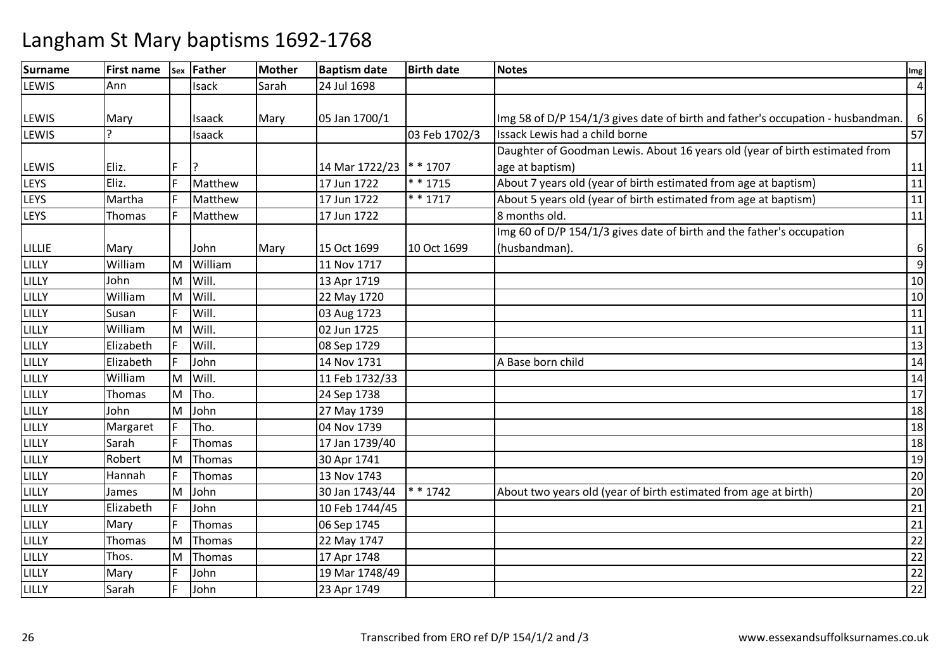| <b>Surname</b> | <b>First name</b> |     | sex Father | <b>Mother</b> | <b>Baptism date</b> | <b>Birth date</b> | <b>Notes</b>                                                                    | Img            |
|----------------|-------------------|-----|------------|---------------|---------------------|-------------------|---------------------------------------------------------------------------------|----------------|
| <b>LEWIS</b>   | Ann               |     | Isack      | Sarah         | 24 Jul 1698         |                   |                                                                                 | $\overline{4}$ |
|                |                   |     |            |               |                     |                   |                                                                                 |                |
| LEWIS          | Mary              |     | Isaack     | Mary          | 05 Jan 1700/1       |                   | Img 58 of D/P 154/1/3 gives date of birth and father's occupation - husbandman. | -6             |
| LEWIS          |                   |     | Isaack     |               |                     | 03 Feb 1702/3     | Issack Lewis had a child borne                                                  | 57             |
|                |                   |     |            |               |                     |                   | Daughter of Goodman Lewis. About 16 years old (year of birth estimated from     |                |
| LEWIS          | Eliz.             | F   | 12         |               | 14 Mar 1722/23      | $* * 1707$        | age at baptism)                                                                 | 11             |
| LEYS           | Eliz.             | F   | Matthew    |               | 17 Jun 1722         | $* * 1715$        | About 7 years old (year of birth estimated from age at baptism)                 | 11             |
| LEYS           | Martha            | IF  | Matthew    |               | 17 Jun 1722         | $* * 1717$        | About 5 years old (year of birth estimated from age at baptism)                 | 11             |
| LEYS           | <b>Thomas</b>     | E   | Matthew    |               | 17 Jun 1722         |                   | 8 months old.                                                                   | 11             |
|                |                   |     |            |               |                     |                   | Img 60 of D/P 154/1/3 gives date of birth and the father's occupation           |                |
| <b>LILLIE</b>  | Mary              |     | John       | Mary          | 15 Oct 1699         | 10 Oct 1699       | (husbandman).                                                                   | 6              |
| LILLY          | William           | M   | William    |               | 11 Nov 1717         |                   |                                                                                 | 9              |
| <b>LILLY</b>   | John              | M   | Will.      |               | 13 Apr 1719         |                   |                                                                                 | 10             |
| LILLY          | William           | M   | Will.      |               | 22 May 1720         |                   |                                                                                 | 10             |
| LILLY          | Susan             |     | Will.      |               | 03 Aug 1723         |                   |                                                                                 | 11             |
| LILLY          | William           | M   | Will.      |               | 02 Jun 1725         |                   |                                                                                 | 11             |
| LILLY          | Elizabeth         | l F | Will.      |               | 08 Sep 1729         |                   |                                                                                 | 13             |
| LILLY          | Elizabeth         |     | John       |               | 14 Nov 1731         |                   | A Base born child                                                               | 14             |
| LILLY          | William           | M   | Will.      |               | 11 Feb 1732/33      |                   |                                                                                 | 14             |
| LILLY          | Thomas            | M   | Tho.       |               | 24 Sep 1738         |                   |                                                                                 | 17             |
| LILLY          | John              | M   | John       |               | 27 May 1739         |                   |                                                                                 | 18             |
| LILLY          | Margaret          | IF  | Tho.       |               | 04 Nov 1739         |                   |                                                                                 | 18             |
| LILLY          | Sarah             | E   | Thomas     |               | 17 Jan 1739/40      |                   |                                                                                 | 18             |
| LILLY          | Robert            | M   | Thomas     |               | 30 Apr 1741         |                   |                                                                                 | 19             |
| LILLY          | Hannah            | F   | Thomas     |               | 13 Nov 1743         |                   |                                                                                 | 20             |
| LILLY          | James             | M   | John       |               | 30 Jan 1743/44      | $* * 1742$        | About two years old (year of birth estimated from age at birth)                 | 20             |
| LILLY          | Elizabeth         |     | John       |               | 10 Feb 1744/45      |                   |                                                                                 | 21             |
| LILLY          | Mary              |     | Thomas     |               | 06 Sep 1745         |                   |                                                                                 | 21             |
| LILLY          | <b>Thomas</b>     | M   | Thomas     |               | 22 May 1747         |                   |                                                                                 | 22             |
| LILLY          | Thos.             | M   | Thomas     |               | 17 Apr 1748         |                   |                                                                                 | 22             |
| LILLY          | Mary              | F   | John       |               | 19 Mar 1748/49      |                   |                                                                                 | 22             |
| LILLY          | Sarah             | F   | John       |               | 23 Apr 1749         |                   |                                                                                 | 22             |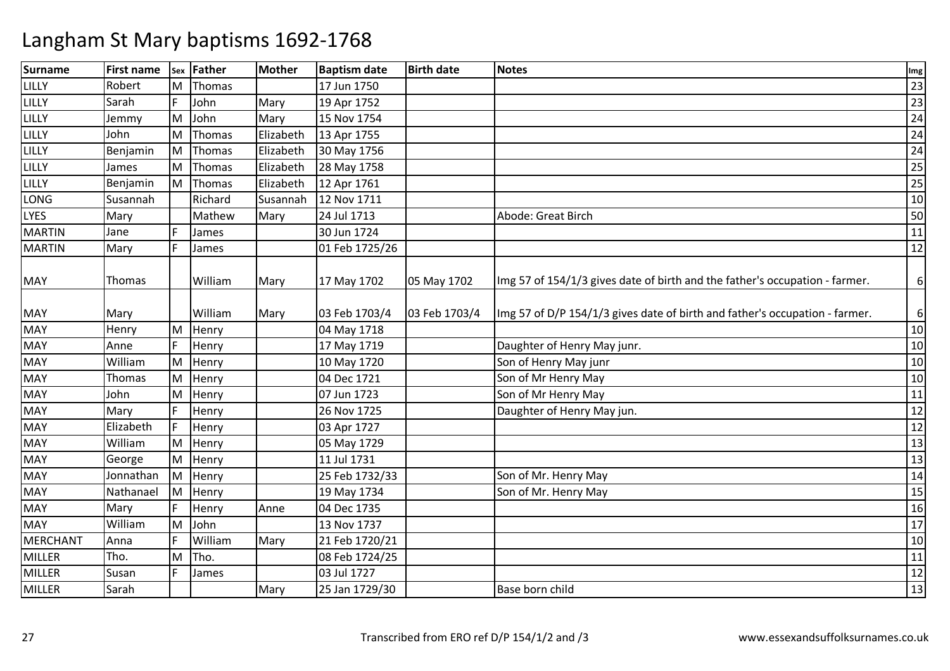| <b>Surname</b>  | <b>First name</b> |   | sex Father | Mother    | <b>Baptism date</b> | <b>Birth date</b> | <b>Notes</b>                                                                | Img |
|-----------------|-------------------|---|------------|-----------|---------------------|-------------------|-----------------------------------------------------------------------------|-----|
| LILLY           | Robert            | M | Thomas     |           | 17 Jun 1750         |                   |                                                                             | 23  |
| LILLY           | Sarah             | F | John       | Mary      | 19 Apr 1752         |                   |                                                                             | 23  |
| LILLY           | Jemmy             | M | John       | Mary      | 15 Nov 1754         |                   |                                                                             | 24  |
| LILLY           | John              | M | Thomas     | Elizabeth | 13 Apr 1755         |                   |                                                                             | 24  |
| LILLY           | Benjamin          | M | Thomas     | Elizabeth | 30 May 1756         |                   |                                                                             | 24  |
| LILLY           | James             | M | Thomas     | Elizabeth | 28 May 1758         |                   |                                                                             | 25  |
| LILLY           | Benjamin          | M | Thomas     | Elizabeth | 12 Apr 1761         |                   |                                                                             | 25  |
| LONG            | Susannah          |   | Richard    | Susannah  | 12 Nov 1711         |                   |                                                                             | 10  |
| <b>LYES</b>     | Mary              |   | Mathew     | Mary      | 24 Jul 1713         |                   | Abode: Great Birch                                                          | 50  |
| <b>MARTIN</b>   | Jane              | F | James      |           | 30 Jun 1724         |                   |                                                                             | 11  |
| <b>MARTIN</b>   | Mary              | F | James      |           | 01 Feb 1725/26      |                   |                                                                             | 12  |
| MAY             | Thomas            |   | William    | Mary      | 17 May 1702         | 05 May 1702       | Img 57 of 154/1/3 gives date of birth and the father's occupation - farmer. | 6   |
| <b>MAY</b>      | Mary              |   | William    | Mary      | 03 Feb 1703/4       | 03 Feb 1703/4     | Img 57 of D/P 154/1/3 gives date of birth and father's occupation - farmer. | 6   |
| MAY             | Henry             | M | Henry      |           | 04 May 1718         |                   |                                                                             | 10  |
| <b>MAY</b>      | Anne              | F | Henry      |           | 17 May 1719         |                   | Daughter of Henry May junr.                                                 | 10  |
| <b>MAY</b>      | William           | M | Henry      |           | 10 May 1720         |                   | Son of Henry May junr                                                       | 10  |
| <b>MAY</b>      | Thomas            | M | Henry      |           | 04 Dec 1721         |                   | Son of Mr Henry May                                                         | 10  |
| <b>MAY</b>      | John              | M | Henry      |           | 07 Jun 1723         |                   | Son of Mr Henry May                                                         | 11  |
| <b>MAY</b>      | Mary              | F | Henry      |           | 26 Nov 1725         |                   | Daughter of Henry May jun.                                                  | 12  |
| <b>MAY</b>      | Elizabeth         | F | Henry      |           | 03 Apr 1727         |                   |                                                                             | 12  |
| <b>MAY</b>      | William           | M | Henry      |           | 05 May 1729         |                   |                                                                             | 13  |
| <b>MAY</b>      | George            | M | Henry      |           | 11 Jul 1731         |                   |                                                                             | 13  |
| <b>MAY</b>      | Jonnathan         | M | Henry      |           | 25 Feb 1732/33      |                   | Son of Mr. Henry May                                                        | 14  |
| <b>MAY</b>      | Nathanael         | M | Henry      |           | 19 May 1734         |                   | Son of Mr. Henry May                                                        | 15  |
| MAY             | Mary              |   | Henry      | Anne      | 04 Dec 1735         |                   |                                                                             | 16  |
| <b>MAY</b>      | William           | M | John       |           | 13 Nov 1737         |                   |                                                                             | 17  |
| <b>MERCHANT</b> | Anna              | E | William    | Mary      | 21 Feb 1720/21      |                   |                                                                             | 10  |
| <b>MILLER</b>   | Tho.              | M | Tho.       |           | 08 Feb 1724/25      |                   |                                                                             | 11  |
| <b>MILLER</b>   | Susan             |   | James      |           | 03 Jul 1727         |                   |                                                                             | 12  |
| <b>MILLER</b>   | Sarah             |   |            | Mary      | 25 Jan 1729/30      |                   | Base born child                                                             | 13  |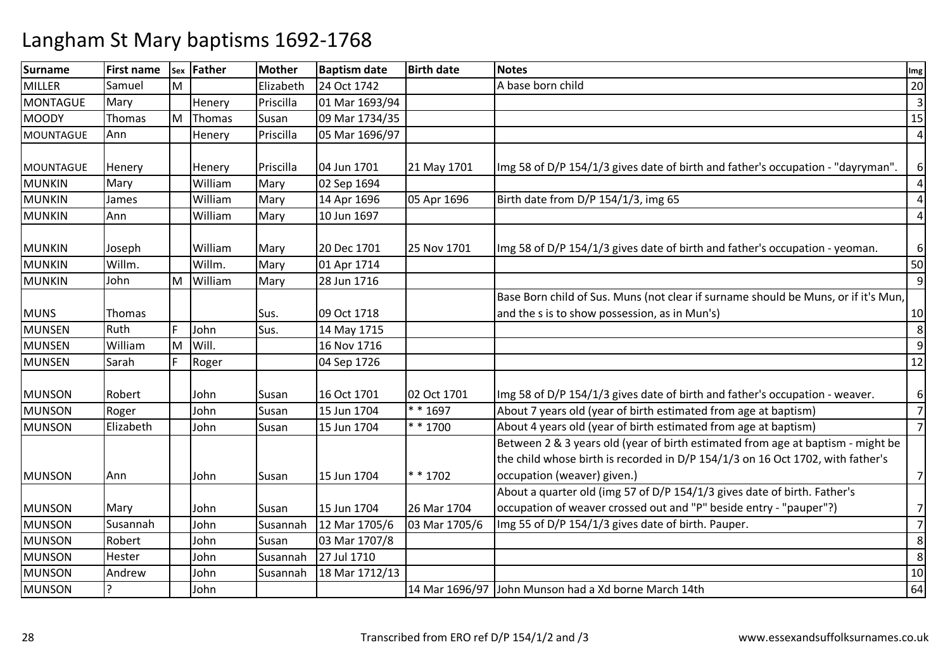| A base born child<br><b>MILLER</b><br>Samuel<br>Elizabeth<br>24 Oct 1742<br>M                                                                                      |                |
|--------------------------------------------------------------------------------------------------------------------------------------------------------------------|----------------|
|                                                                                                                                                                    | 20             |
| <b>MONTAGUE</b><br>Priscilla<br>Mary<br>Henery<br>01 Mar 1693/94                                                                                                   | $\overline{3}$ |
| <b>MOODY</b><br>Thomas<br>09 Mar 1734/35<br>M<br>Thomas<br>Susan                                                                                                   | 15             |
| 05 Mar 1696/97<br>Priscilla<br><b>MOUNTAGUE</b><br>Ann<br>Henery                                                                                                   | 4              |
|                                                                                                                                                                    |                |
| Priscilla<br>Img 58 of D/P 154/1/3 gives date of birth and father's occupation - "dayryman".<br><b>MOUNTAGUE</b><br>04 Jun 1701<br>21 May 1701<br>Henery<br>Henery | 6              |
| <b>MUNKIN</b><br>William<br>Mary<br>Mary<br>02 Sep 1694                                                                                                            | 4              |
| Birth date from D/P 154/1/3, img 65<br><b>MUNKIN</b><br>William<br>14 Apr 1696<br>05 Apr 1696<br>Mary<br>James                                                     | 4              |
| <b>MUNKIN</b><br>William<br>10 Jun 1697<br>Ann<br>Mary                                                                                                             | $\overline{4}$ |
| 25 Nov 1701<br><b>MUNKIN</b><br>William<br>20 Dec 1701<br>Img 58 of D/P 154/1/3 gives date of birth and father's occupation - yeoman.<br>Joseph<br>Mary            | 6              |
| Willm.<br><b>MUNKIN</b><br>Willm.<br>Mary<br>01 Apr 1714                                                                                                           | 50             |
| <b>MUNKIN</b><br>John<br>William<br>28 Jun 1716<br>M<br>Mary                                                                                                       | 9              |
| Base Born child of Sus. Muns (not clear if surname should be Muns, or if it's Mun,                                                                                 |                |
| and the s is to show possession, as in Mun's)<br><b>MUNS</b><br>09 Oct 1718<br>Thomas<br>Sus.                                                                      | 10             |
| <b>MUNSEN</b><br>John<br>14 May 1715<br>Ruth<br>Sus.                                                                                                               | 8              |
| William<br>Will.<br><b>MUNSEN</b><br>16 Nov 1716<br>M                                                                                                              | 9              |
| <b>MUNSEN</b><br>Sarah<br>04 Sep 1726<br>Roger                                                                                                                     | 12             |
|                                                                                                                                                                    |                |
| Img 58 of D/P 154/1/3 gives date of birth and father's occupation - weaver.<br><b>MUNSON</b><br>Robert<br>16 Oct 1701<br>02 Oct 1701<br>John<br>Susan              | 6              |
| $* * 1697$<br><b>MUNSON</b><br>John<br>15 Jun 1704<br>About 7 years old (year of birth estimated from age at baptism)<br>Roger<br>Susan                            | $\overline{7}$ |
| About 4 years old (year of birth estimated from age at baptism)<br><b>MUNSON</b><br>Elizabeth<br>John<br>$* * 1700$<br>15 Jun 1704<br>Susan                        | $\overline{7}$ |
| Between 2 & 3 years old (year of birth estimated from age at baptism - might be                                                                                    |                |
| the child whose birth is recorded in D/P 154/1/3 on 16 Oct 1702, with father's                                                                                     |                |
| $* * 1702$<br>occupation (weaver) given.)<br><b>MUNSON</b><br>John<br>15 Jun 1704<br>Ann<br>Susan                                                                  | $\overline{7}$ |
| About a quarter old (img 57 of D/P 154/1/3 gives date of birth. Father's                                                                                           |                |
| occupation of weaver crossed out and "P" beside entry - "pauper"?)<br><b>MUNSON</b><br>15 Jun 1704<br>26 Mar 1704<br>John<br>Mary<br>Susan                         | $\overline{7}$ |
| <b>MUNSON</b><br>John<br>12 Mar 1705/6<br>03 Mar 1705/6<br>Img 55 of D/P 154/1/3 gives date of birth. Pauper.<br>Susannah<br>Susannah                              | $\overline{7}$ |
| <b>MUNSON</b><br>Robert<br>John<br>Susan<br>03 Mar 1707/8                                                                                                          | 8              |
| <b>MUNSON</b><br>27 Jul 1710<br>Hester<br>John<br>Susannah                                                                                                         | 8              |
| <b>MUNSON</b><br>John<br>18 Mar 1712/13<br>Andrew<br>Susannah                                                                                                      | 10             |
| <b>MUNSON</b><br>14 Mar 1696/97 John Munson had a Xd borne March 14th<br>John                                                                                      | 64             |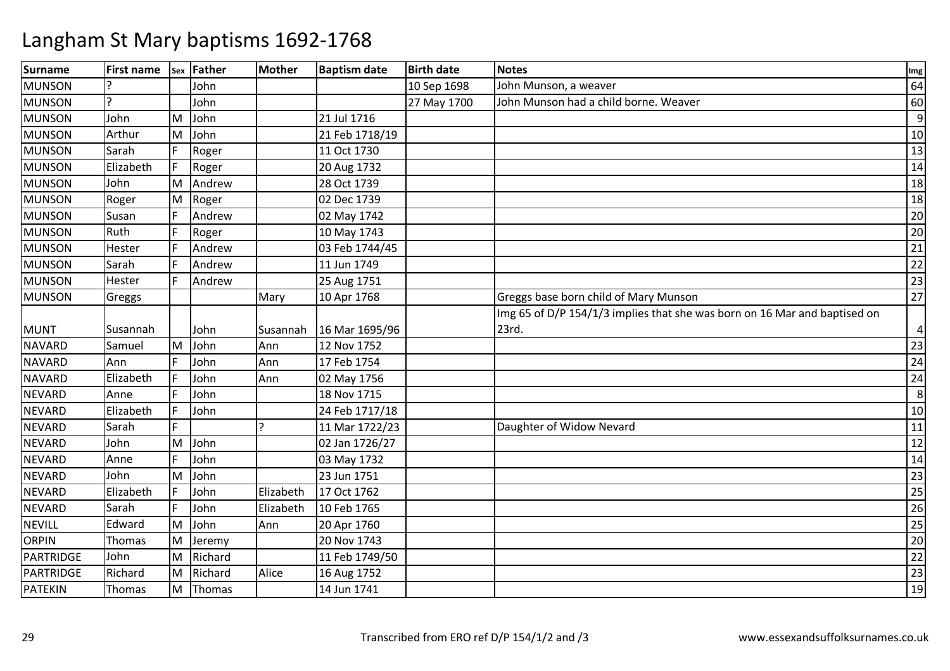| <b>Surname</b>   | <b>First name</b> |   | sex Father | <b>Mother</b> | <b>Baptism date</b> | <b>Birth date</b> | <b>Notes</b>                                                              | Img |
|------------------|-------------------|---|------------|---------------|---------------------|-------------------|---------------------------------------------------------------------------|-----|
| <b>MUNSON</b>    |                   |   | John       |               |                     | 10 Sep 1698       | John Munson, a weaver                                                     | 64  |
| <b>MUNSON</b>    |                   |   | John       |               |                     | 27 May 1700       | John Munson had a child borne. Weaver                                     | 60  |
| <b>MUNSON</b>    | John              | M | John       |               | 21 Jul 1716         |                   |                                                                           | 9   |
| <b>MUNSON</b>    | Arthur            | M | John       |               | 21 Feb 1718/19      |                   |                                                                           | 10  |
| <b>MUNSON</b>    | Sarah             | F | Roger      |               | 11 Oct 1730         |                   |                                                                           | 13  |
| <b>MUNSON</b>    | Elizabeth         | E | Roger      |               | 20 Aug 1732         |                   |                                                                           | 14  |
| <b>MUNSON</b>    | John              | M | Andrew     |               | 28 Oct 1739         |                   |                                                                           | 18  |
| <b>MUNSON</b>    | Roger             | M | Roger      |               | 02 Dec 1739         |                   |                                                                           | 18  |
| <b>MUNSON</b>    | Susan             |   | Andrew     |               | 02 May 1742         |                   |                                                                           | 20  |
| <b>MUNSON</b>    | Ruth              | F | Roger      |               | 10 May 1743         |                   |                                                                           | 20  |
| <b>MUNSON</b>    | Hester            |   | Andrew     |               | 03 Feb 1744/45      |                   |                                                                           | 21  |
| <b>MUNSON</b>    | Sarah             | F | Andrew     |               | 11 Jun 1749         |                   |                                                                           | 22  |
| <b>MUNSON</b>    | Hester            | E | Andrew     |               | 25 Aug 1751         |                   |                                                                           | 23  |
| <b>MUNSON</b>    | Greggs            |   |            | Mary          | 10 Apr 1768         |                   | Greggs base born child of Mary Munson                                     | 27  |
|                  |                   |   |            |               |                     |                   | Img 65 of D/P 154/1/3 implies that she was born on 16 Mar and baptised on |     |
| <b>MUNT</b>      | Susannah          |   | John       | Susannah      | 16 Mar 1695/96      |                   | 23rd.                                                                     | 4   |
| <b>NAVARD</b>    | Samuel            | M | John       | Ann           | 12 Nov 1752         |                   |                                                                           | 23  |
| <b>NAVARD</b>    | Ann               | F | John       | Ann           | 17 Feb 1754         |                   |                                                                           | 24  |
| <b>NAVARD</b>    | Elizabeth         |   | John       | Ann           | 02 May 1756         |                   |                                                                           | 24  |
| <b>NEVARD</b>    | Anne              | F | John       |               | 18 Nov 1715         |                   |                                                                           | 8   |
| <b>NEVARD</b>    | Elizabeth         | E | John       |               | 24 Feb 1717/18      |                   |                                                                           | 10  |
| <b>NEVARD</b>    | Sarah             | F |            | 2             | 11 Mar 1722/23      |                   | Daughter of Widow Nevard                                                  | 11  |
| <b>NEVARD</b>    | John              | M | John       |               | 02 Jan 1726/27      |                   |                                                                           | 12  |
| <b>NEVARD</b>    | Anne              | E | John       |               | 03 May 1732         |                   |                                                                           | 14  |
| <b>NEVARD</b>    | John              | M | John       |               | 23 Jun 1751         |                   |                                                                           | 23  |
| <b>NEVARD</b>    | Elizabeth         |   | John       | Elizabeth     | 17 Oct 1762         |                   |                                                                           | 25  |
| <b>NEVARD</b>    | Sarah             | E | John       | Elizabeth     | 10 Feb 1765         |                   |                                                                           | 26  |
| <b>NEVILL</b>    | Edward            | M | John       | Ann           | 20 Apr 1760         |                   |                                                                           | 25  |
| <b>ORPIN</b>     | Thomas            | M | Jeremy     |               | 20 Nov 1743         |                   |                                                                           | 20  |
| PARTRIDGE        | John              | M | Richard    |               | 11 Feb 1749/50      |                   |                                                                           | 22  |
| <b>PARTRIDGE</b> | Richard           | M | Richard    | Alice         | 16 Aug 1752         |                   |                                                                           | 23  |
| <b>PATEKIN</b>   | Thomas            | M | Thomas     |               | 14 Jun 1741         |                   |                                                                           | 19  |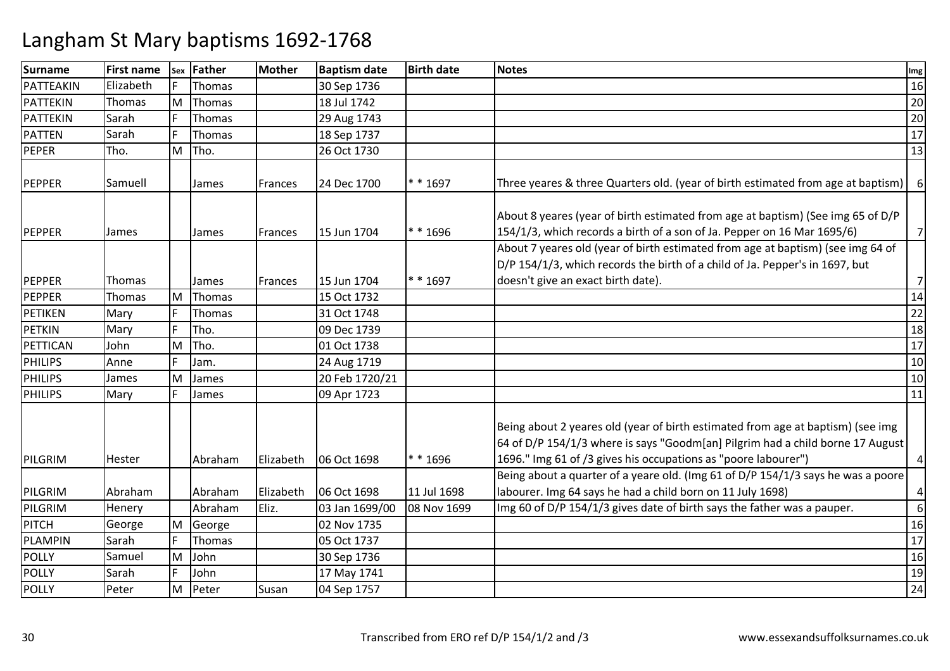| <b>Surname</b> | <b>First name</b> |   | sex Father | Mother    | <b>Baptism date</b> | <b>Birth date</b> | <b>Notes</b>                                                                                                                                                      | Img            |
|----------------|-------------------|---|------------|-----------|---------------------|-------------------|-------------------------------------------------------------------------------------------------------------------------------------------------------------------|----------------|
| PATTEAKIN      | Elizabeth         |   | Thomas     |           | 30 Sep 1736         |                   |                                                                                                                                                                   | 16             |
| PATTEKIN       | Thomas            |   | M Thomas   |           | 18 Jul 1742         |                   |                                                                                                                                                                   | 20             |
| PATTEKIN       | Sarah             |   | Thomas     |           | 29 Aug 1743         |                   |                                                                                                                                                                   | 20             |
| PATTEN         | Sarah             |   | Thomas     |           | 18 Sep 1737         |                   |                                                                                                                                                                   | 17             |
| PEPER          | Tho.              |   | M Tho.     |           | 26 Oct 1730         |                   |                                                                                                                                                                   | 13             |
| <b>PEPPER</b>  | Samuell           |   | James      | Frances   | 24 Dec 1700         | * * 1697          | Three yeares & three Quarters old. (year of birth estimated from age at baptism)                                                                                  | 6              |
| PEPPER         | James             |   | James      | Frances   | 15 Jun 1704         | ** 1696           | About 8 yeares (year of birth estimated from age at baptism) (See img 65 of D/P<br>154/1/3, which records a birth of a son of Ja. Pepper on 16 Mar 1695/6)        | $\overline{7}$ |
|                |                   |   |            |           |                     |                   | About 7 yeares old (year of birth estimated from age at baptism) (see img 64 of<br>D/P 154/1/3, which records the birth of a child of Ja. Pepper's in 1697, but   |                |
| <b>PEPPER</b>  | Thomas            |   | James      | Frances   | 15 Jun 1704         | $* * 1697$        | doesn't give an exact birth date).                                                                                                                                | $\overline{7}$ |
| PEPPER         | Thomas            |   | M Thomas   |           | 15 Oct 1732         |                   |                                                                                                                                                                   | 14             |
| <b>PETIKEN</b> | Mary              | F | Thomas     |           | 31 Oct 1748         |                   |                                                                                                                                                                   | 22             |
| <b>PETKIN</b>  | Mary              | F | Tho.       |           | 09 Dec 1739         |                   |                                                                                                                                                                   | 18             |
| PETTICAN       | John              | M | Tho.       |           | 01 Oct 1738         |                   |                                                                                                                                                                   | 17             |
| <b>PHILIPS</b> | Anne              | F | Jam.       |           | 24 Aug 1719         |                   |                                                                                                                                                                   | 10             |
| <b>PHILIPS</b> | James             | M | James      |           | 20 Feb 1720/21      |                   |                                                                                                                                                                   | 10             |
| <b>PHILIPS</b> | Mary              | F | James      |           | 09 Apr 1723         |                   |                                                                                                                                                                   | 11             |
|                |                   |   |            |           |                     |                   | Being about 2 yeares old (year of birth estimated from age at baptism) (see img<br>64 of D/P 154/1/3 where is says "Goodm[an] Pilgrim had a child borne 17 August |                |
| PILGRIM        | <b>Hester</b>     |   | Abraham    | Elizabeth | 06 Oct 1698         | * * 1696          | 1696." Img 61 of /3 gives his occupations as "poore labourer")                                                                                                    | 4              |
|                |                   |   |            |           |                     |                   | Being about a quarter of a yeare old. (Img 61 of D/P 154/1/3 says he was a poore                                                                                  |                |
| PILGRIM        | Abraham           |   | Abraham    | Elizabeth | 06 Oct 1698         | 11 Jul 1698       | labourer. Img 64 says he had a child born on 11 July 1698)                                                                                                        | 4              |
| PILGRIM        | Henery            |   | Abraham    | Eliz.     | 03 Jan 1699/00      | 08 Nov 1699       | Img 60 of D/P 154/1/3 gives date of birth says the father was a pauper.                                                                                           | 6              |
| <b>PITCH</b>   | George            |   | M George   |           | 02 Nov 1735         |                   |                                                                                                                                                                   | 16             |
| <b>PLAMPIN</b> | Sarah             |   | Thomas     |           | 05 Oct 1737         |                   |                                                                                                                                                                   | 17             |
| <b>POLLY</b>   | Samuel            | M | John       |           | 30 Sep 1736         |                   |                                                                                                                                                                   | 16             |
| POLLY          | Sarah             | E | John       |           | 17 May 1741         |                   |                                                                                                                                                                   | 19             |
| POLLY          | Peter             |   | M Peter    | Susan     | 04 Sep 1757         |                   |                                                                                                                                                                   | 24             |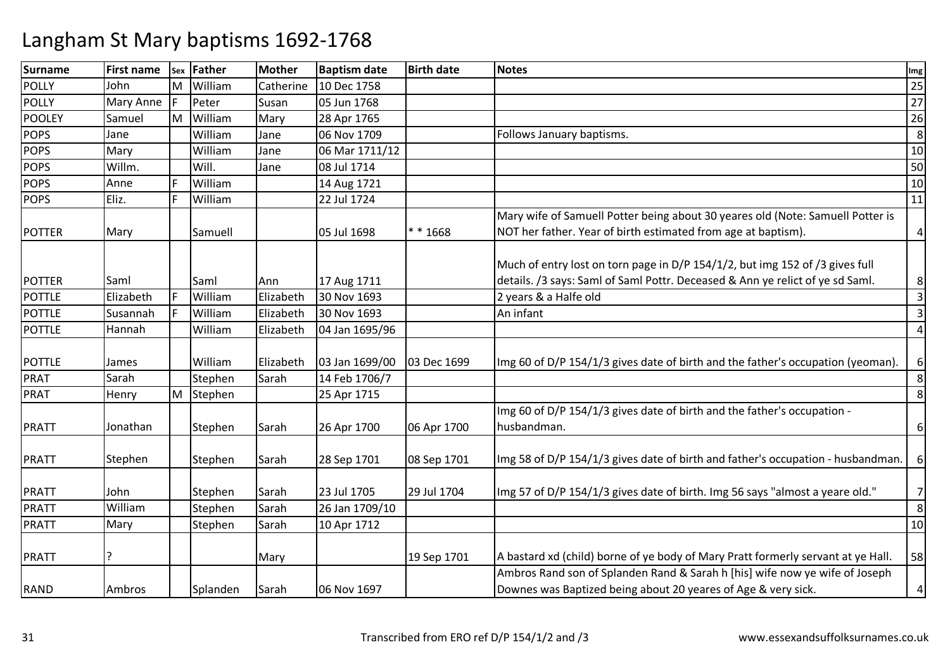| Surname       | <b>First name</b> | Sex | Father    | Mother    | <b>Baptism date</b> | <b>Birth date</b> | <b>Notes</b>                                                                     | Img            |
|---------------|-------------------|-----|-----------|-----------|---------------------|-------------------|----------------------------------------------------------------------------------|----------------|
| <b>POLLY</b>  | John              |     | M William | Catherine | 10 Dec 1758         |                   |                                                                                  | 25             |
| <b>POLLY</b>  | <b>Mary Anne</b>  |     | Peter     | Susan     | 05 Jun 1768         |                   |                                                                                  | 27             |
| POOLEY        | Samuel            | M   | William   | Mary      | 28 Apr 1765         |                   |                                                                                  | 26             |
| <b>POPS</b>   | Jane              |     | William   | Jane      | 06 Nov 1709         |                   | Follows January baptisms.                                                        | 8              |
| <b>POPS</b>   | Mary              |     | William   | Jane      | 06 Mar 1711/12      |                   |                                                                                  | $10\,$         |
| <b>POPS</b>   | Willm.            |     | Will.     | Jane      | 08 Jul 1714         |                   |                                                                                  | 50             |
| <b>POPS</b>   | Anne              | F   | William   |           | 14 Aug 1721         |                   |                                                                                  | 10             |
| <b>POPS</b>   | Eliz.             |     | William   |           | 22 Jul 1724         |                   |                                                                                  | 11             |
|               |                   |     |           |           |                     |                   | Mary wife of Samuell Potter being about 30 yeares old (Note: Samuell Potter is   |                |
| <b>POTTER</b> | Mary              |     | Samuell   |           | 05 Jul 1698         | ** 1668           | NOT her father. Year of birth estimated from age at baptism).                    | 4              |
|               |                   |     |           |           |                     |                   | Much of entry lost on torn page in D/P 154/1/2, but img 152 of /3 gives full     |                |
| <b>POTTER</b> | Saml              |     | Saml      | Ann       | 17 Aug 1711         |                   | details. /3 says: Saml of Saml Pottr. Deceased & Ann ye relict of ye sd Saml.    | 8              |
| <b>POTTLE</b> | Elizabeth         |     | William   | Elizabeth | 30 Nov 1693         |                   | 2 years & a Halfe old                                                            | $\overline{3}$ |
| <b>POTTLE</b> | Susannah          |     | William   | Elizabeth | 30 Nov 1693         |                   | An infant                                                                        | 3              |
| <b>POTTLE</b> | Hannah            |     | William   | Elizabeth | 04 Jan 1695/96      |                   |                                                                                  | 4              |
|               |                   |     |           |           |                     |                   |                                                                                  |                |
| <b>POTTLE</b> | James             |     | William   | Elizabeth | 03 Jan 1699/00      | 03 Dec 1699       | Img 60 of D/P 154/1/3 gives date of birth and the father's occupation (yeoman).  | 6              |
| <b>PRAT</b>   | Sarah             |     | Stephen   | Sarah     | 14 Feb 1706/7       |                   |                                                                                  | $\,8\,$        |
| <b>PRAT</b>   | Henry             |     | M Stephen |           | 25 Apr 1715         |                   |                                                                                  | 8              |
|               |                   |     |           |           |                     |                   | Img 60 of D/P 154/1/3 gives date of birth and the father's occupation -          |                |
| <b>PRATT</b>  | Jonathan          |     | Stephen   | Sarah     | 26 Apr 1700         | 06 Apr 1700       | husbandman.                                                                      | 6              |
|               |                   |     |           |           |                     |                   |                                                                                  |                |
| <b>PRATT</b>  | Stephen           |     | Stephen   | Sarah     | 28 Sep 1701         | 08 Sep 1701       | Img 58 of D/P 154/1/3 gives date of birth and father's occupation - husbandman.  | 6              |
| <b>PRATT</b>  | John              |     | Stephen   | Sarah     | 23 Jul 1705         | 29 Jul 1704       | Img 57 of D/P 154/1/3 gives date of birth. Img 56 says "almost a yeare old."     | $\overline{7}$ |
| <b>PRATT</b>  | William           |     | Stephen   | Sarah     | 26 Jan 1709/10      |                   |                                                                                  | 8              |
| <b>PRATT</b>  | Mary              |     | Stephen   | Sarah     | 10 Apr 1712         |                   |                                                                                  | 10             |
| <b>PRATT</b>  | P.                |     |           | Mary      |                     | 19 Sep 1701       | A bastard xd (child) borne of ye body of Mary Pratt formerly servant at ye Hall. | 58             |
|               |                   |     |           |           |                     |                   | Ambros Rand son of Splanden Rand & Sarah h [his] wife now ye wife of Joseph      |                |
| <b>RAND</b>   | Ambros            |     | Splanden  | Sarah     | 06 Nov 1697         |                   | Downes was Baptized being about 20 yeares of Age & very sick.                    | 4              |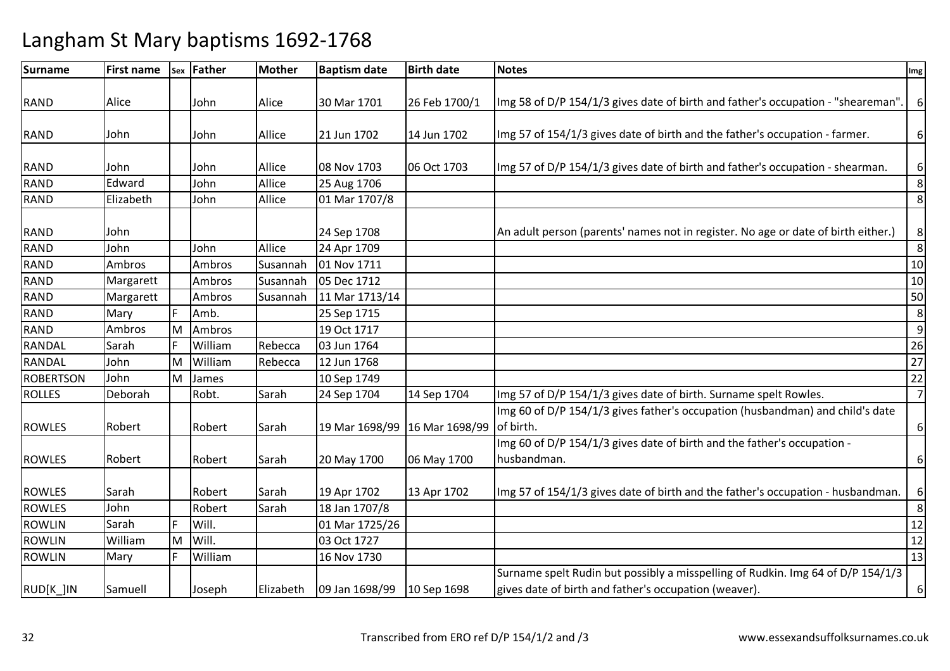| <b>Surname</b>   | <b>First name</b> |    | sex Father | <b>Mother</b> | <b>Baptism date</b> | <b>Birth date</b> | <b>Notes</b>                                                                      | Img            |
|------------------|-------------------|----|------------|---------------|---------------------|-------------------|-----------------------------------------------------------------------------------|----------------|
|                  |                   |    |            |               |                     |                   |                                                                                   |                |
| <b>RAND</b>      | Alice             |    | John       | Alice         | 30 Mar 1701         | 26 Feb 1700/1     | limg 58 of D/P 154/1/3 gives date of birth and father's occupation - "sheareman". | $6 \mid$       |
|                  |                   |    |            |               |                     |                   |                                                                                   |                |
| <b>RAND</b>      | John              |    | John       | Allice        | 21 Jun 1702         | 14 Jun 1702       | Img 57 of 154/1/3 gives date of birth and the father's occupation - farmer.       | $6 \mid$       |
| <b>RAND</b>      | John              |    | John       | Allice        | 08 Nov 1703         | 06 Oct 1703       | Img 57 of D/P 154/1/3 gives date of birth and father's occupation - shearman.     | $6 \mid$       |
| <b>RAND</b>      | Edward            |    | John       | Allice        | 25 Aug 1706         |                   |                                                                                   | 8              |
| <b>RAND</b>      | Elizabeth         |    | John       | Allice        | 01 Mar 1707/8       |                   |                                                                                   | 8 <sup>°</sup> |
|                  |                   |    |            |               |                     |                   |                                                                                   |                |
| <b>RAND</b>      | John              |    |            |               | 24 Sep 1708         |                   | An adult person (parents' names not in register. No age or date of birth either.) | 8 <sup>1</sup> |
| <b>RAND</b>      | John              |    | John       | Allice        | 24 Apr 1709         |                   |                                                                                   | 8 <sup>°</sup> |
| <b>RAND</b>      | Ambros            |    | Ambros     | Susannah      | 01 Nov 1711         |                   |                                                                                   | 10             |
| <b>RAND</b>      | Margarett         |    | Ambros     | Susannah      | 05 Dec 1712         |                   |                                                                                   | 10             |
| <b>RAND</b>      | Margarett         |    | Ambros     | Susannah      | 11 Mar 1713/14      |                   |                                                                                   | 50             |
| <b>RAND</b>      | Mary              | IF | Amb.       |               | 25 Sep 1715         |                   |                                                                                   | 8              |
| <b>RAND</b>      | Ambros            | M  | Ambros     |               | 19 Oct 1717         |                   |                                                                                   | $9\,$          |
| RANDAL           | Sarah             | IF | William    | Rebecca       | 03 Jun 1764         |                   |                                                                                   | 26             |
| <b>RANDAL</b>    | John              | M  | William    | Rebecca       | 12 Jun 1768         |                   |                                                                                   | 27             |
| <b>ROBERTSON</b> | John              | M  | James      |               | 10 Sep 1749         |                   |                                                                                   | 22             |
| <b>ROLLES</b>    | Deborah           |    | Robt.      | Sarah         | 24 Sep 1704         | 14 Sep 1704       | Img 57 of D/P 154/1/3 gives date of birth. Surname spelt Rowles.                  | $\overline{7}$ |
|                  |                   |    |            |               |                     |                   | Img 60 of D/P 154/1/3 gives father's occupation (husbandman) and child's date     |                |
| <b>ROWLES</b>    | Robert            |    | Robert     | Sarah         | 19 Mar 1698/99      | 16 Mar 1698/99    | of birth.                                                                         | $6 \mid$       |
|                  |                   |    |            |               |                     |                   | Img 60 of D/P 154/1/3 gives date of birth and the father's occupation -           |                |
| <b>ROWLES</b>    | Robert            |    | Robert     | Sarah         | 20 May 1700         | 06 May 1700       | husbandman.                                                                       | $6 \mid$       |
|                  |                   |    |            |               |                     |                   |                                                                                   |                |
| <b>ROWLES</b>    | Sarah             |    | Robert     | Sarah         | 19 Apr 1702         | 13 Apr 1702       | Img 57 of 154/1/3 gives date of birth and the father's occupation - husbandman.   | $6 \mid$       |
| <b>ROWLES</b>    | John              |    | Robert     | Sarah         | 18 Jan 1707/8       |                   |                                                                                   | 8              |
| <b>ROWLIN</b>    | Sarah             |    | Will.      |               | 01 Mar 1725/26      |                   |                                                                                   | 12             |
| <b>ROWLIN</b>    | William           | M  | Will.      |               | 03 Oct 1727         |                   |                                                                                   | 12             |
| <b>ROWLIN</b>    | Mary              | IF | William    |               | 16 Nov 1730         |                   |                                                                                   | 13             |
|                  |                   |    |            |               |                     |                   | Surname spelt Rudin but possibly a misspelling of Rudkin. Img 64 of D/P 154/1/3   |                |
| RUD[K_]IN        | Samuell           |    | Joseph     | Elizabeth     | 09 Jan 1698/99      | 10 Sep 1698       | gives date of birth and father's occupation (weaver).                             | $6 \mid$       |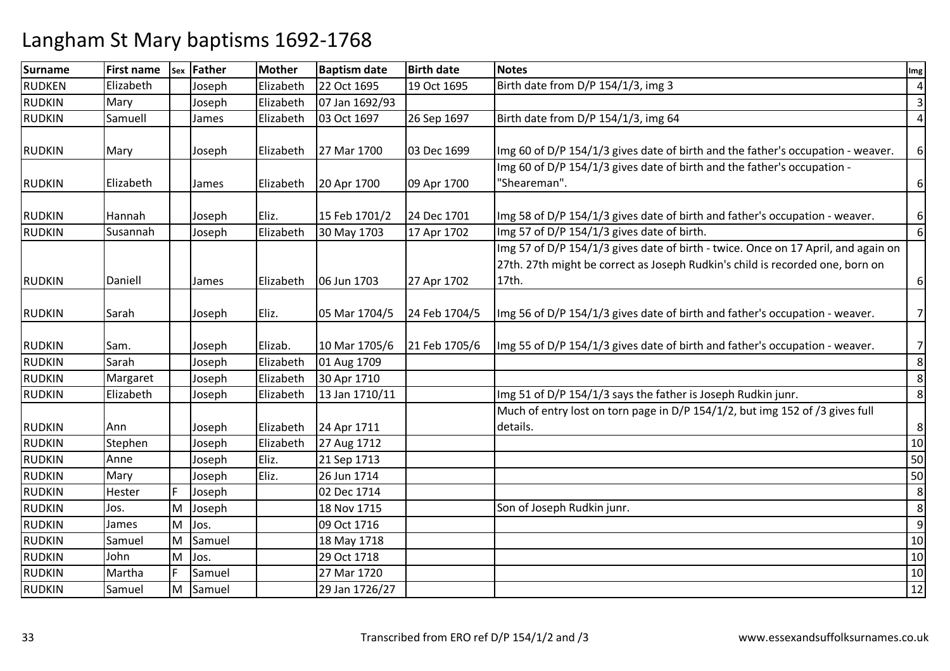| <b>Surname</b> | <b>First name</b> |   | sex Father | <b>Mother</b> | <b>Baptism date</b> | <b>Birth date</b> | <b>Notes</b>                                                                                                                                                       | Img            |
|----------------|-------------------|---|------------|---------------|---------------------|-------------------|--------------------------------------------------------------------------------------------------------------------------------------------------------------------|----------------|
| <b>RUDKEN</b>  | Elizabeth         |   | Joseph     | Elizabeth     | 22 Oct 1695         | 19 Oct 1695       | Birth date from D/P 154/1/3, img 3                                                                                                                                 | $\overline{4}$ |
| <b>RUDKIN</b>  | Mary              |   | Joseph     | Elizabeth     | 07 Jan 1692/93      |                   |                                                                                                                                                                    | 3              |
| <b>RUDKIN</b>  | Samuell           |   | James      | Elizabeth     | 03 Oct 1697         | 26 Sep 1697       | Birth date from D/P 154/1/3, img 64                                                                                                                                | 4              |
|                |                   |   |            |               |                     |                   |                                                                                                                                                                    |                |
| <b>RUDKIN</b>  | Mary              |   | Joseph     | Elizabeth     | 27 Mar 1700         | 03 Dec 1699       | Img 60 of D/P 154/1/3 gives date of birth and the father's occupation - weaver.                                                                                    | 6              |
|                |                   |   |            |               |                     |                   | Img 60 of D/P 154/1/3 gives date of birth and the father's occupation -                                                                                            |                |
| <b>RUDKIN</b>  | Elizabeth         |   | James      | Elizabeth     | 20 Apr 1700         | 09 Apr 1700       | "Sheareman".                                                                                                                                                       | 6              |
| <b>RUDKIN</b>  | Hannah            |   | Joseph     | Eliz.         | 15 Feb 1701/2       | 24 Dec 1701       | Img 58 of D/P 154/1/3 gives date of birth and father's occupation - weaver.                                                                                        | 6              |
| <b>RUDKIN</b>  | Susannah          |   | Joseph     | Elizabeth     | 30 May 1703         | 17 Apr 1702       | Img 57 of D/P 154/1/3 gives date of birth.                                                                                                                         | 6              |
|                |                   |   |            |               |                     |                   | Img 57 of D/P 154/1/3 gives date of birth - twice. Once on 17 April, and again on<br>27th. 27th might be correct as Joseph Rudkin's child is recorded one, born on |                |
| <b>RUDKIN</b>  | Daniell           |   | James      | Elizabeth     | 06 Jun 1703         | 27 Apr 1702       | 17th.                                                                                                                                                              | 6              |
|                |                   |   |            |               |                     |                   |                                                                                                                                                                    |                |
| <b>RUDKIN</b>  | Sarah             |   | Joseph     | Eliz.         | 05 Mar 1704/5       | 24 Feb 1704/5     | Img 56 of D/P 154/1/3 gives date of birth and father's occupation - weaver.                                                                                        | 7              |
|                |                   |   |            |               |                     |                   |                                                                                                                                                                    |                |
| <b>RUDKIN</b>  | Sam.              |   | Joseph     | Elizab.       | 10 Mar 1705/6       | 21 Feb 1705/6     | Img 55 of D/P 154/1/3 gives date of birth and father's occupation - weaver.                                                                                        | $\overline{7}$ |
| <b>RUDKIN</b>  | Sarah             |   | Joseph     | Elizabeth     | 01 Aug 1709         |                   |                                                                                                                                                                    | 8              |
| <b>RUDKIN</b>  | Margaret          |   | Joseph     | Elizabeth     | 30 Apr 1710         |                   |                                                                                                                                                                    | 8              |
| <b>RUDKIN</b>  | Elizabeth         |   | Joseph     | Elizabeth     | 13 Jan 1710/11      |                   | Img 51 of D/P 154/1/3 says the father is Joseph Rudkin junr.                                                                                                       | 8              |
|                |                   |   |            |               |                     |                   | Much of entry lost on torn page in D/P 154/1/2, but img 152 of /3 gives full                                                                                       |                |
| <b>RUDKIN</b>  | Ann               |   | Joseph     | Elizabeth     | 24 Apr 1711         |                   | details.                                                                                                                                                           | 8              |
| <b>RUDKIN</b>  | Stephen           |   | Joseph     | Elizabeth     | 27 Aug 1712         |                   |                                                                                                                                                                    | 10             |
| <b>RUDKIN</b>  | Anne              |   | Joseph     | Eliz.         | 21 Sep 1713         |                   |                                                                                                                                                                    | 50             |
| <b>RUDKIN</b>  | Mary              |   | Joseph     | Eliz.         | 26 Jun 1714         |                   |                                                                                                                                                                    | 50             |
| <b>RUDKIN</b>  | Hester            | E | Joseph     |               | 02 Dec 1714         |                   |                                                                                                                                                                    | 8              |
| <b>RUDKIN</b>  | Jos.              | M | Joseph     |               | 18 Nov 1715         |                   | Son of Joseph Rudkin junr.                                                                                                                                         | 8              |
| <b>RUDKIN</b>  | James             | M | Jos.       |               | 09 Oct 1716         |                   |                                                                                                                                                                    | 9              |
| <b>RUDKIN</b>  | Samuel            | М | Samuel     |               | 18 May 1718         |                   |                                                                                                                                                                    | 10             |
| <b>RUDKIN</b>  | John              | M | Jos.       |               | 29 Oct 1718         |                   |                                                                                                                                                                    | 10             |
| <b>RUDKIN</b>  | Martha            | F | Samuel     |               | 27 Mar 1720         |                   |                                                                                                                                                                    | 10             |
| <b>RUDKIN</b>  | Samuel            |   | M Samuel   |               | 29 Jan 1726/27      |                   |                                                                                                                                                                    | 12             |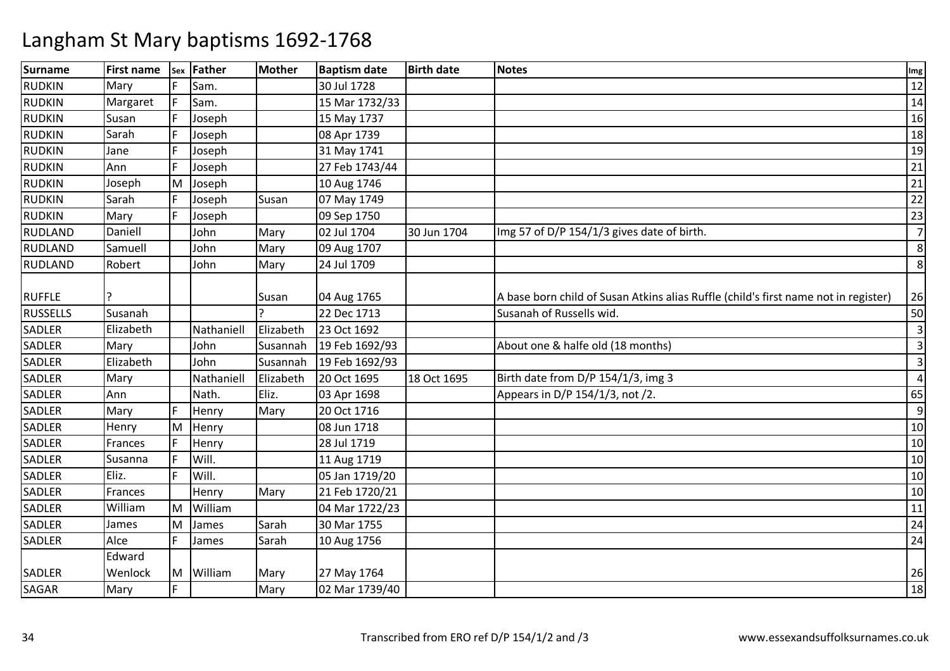| <b>Surname</b>  | <b>First name</b> |    | sex Father | <b>Mother</b> | <b>Baptism date</b> | <b>Birth date</b> | <b>Notes</b>                                                                        | Img            |
|-----------------|-------------------|----|------------|---------------|---------------------|-------------------|-------------------------------------------------------------------------------------|----------------|
| <b>RUDKIN</b>   | Mary              |    | Sam.       |               | 30 Jul 1728         |                   |                                                                                     | 12             |
| <b>RUDKIN</b>   | Margaret          | F  | Sam.       |               | 15 Mar 1732/33      |                   |                                                                                     | 14             |
| <b>RUDKIN</b>   | Susan             |    | Joseph     |               | 15 May 1737         |                   |                                                                                     | 16             |
| <b>RUDKIN</b>   | Sarah             | F  | Joseph     |               | 08 Apr 1739         |                   |                                                                                     | 18             |
| <b>RUDKIN</b>   | Jane              | F  | Joseph     |               | 31 May 1741         |                   |                                                                                     | 19             |
| <b>RUDKIN</b>   | Ann               | E  | Joseph     |               | 27 Feb 1743/44      |                   |                                                                                     | 21             |
| <b>RUDKIN</b>   | Joseph            | M  | Joseph     |               | 10 Aug 1746         |                   |                                                                                     | 21             |
| <b>RUDKIN</b>   | Sarah             | F  | Joseph     | Susan         | 07 May 1749         |                   |                                                                                     | 22             |
| <b>RUDKIN</b>   | Mary              | F  | Joseph     |               | 09 Sep 1750         |                   |                                                                                     | 23             |
| <b>RUDLAND</b>  | Daniell           |    | John       | Mary          | 02 Jul 1704         | 30 Jun 1704       | Img 57 of D/P 154/1/3 gives date of birth.                                          | $\overline{7}$ |
| RUDLAND         | Samuell           |    | John       | Mary          | 09 Aug 1707         |                   |                                                                                     | 8              |
| <b>RUDLAND</b>  | Robert            |    | John       | Mary          | 24 Jul 1709         |                   |                                                                                     | 8              |
| <b>RUFFLE</b>   |                   |    |            | Susan         | 04 Aug 1765         |                   | A base born child of Susan Atkins alias Ruffle (child's first name not in register) | 26             |
| <b>RUSSELLS</b> | Susanah           |    |            |               | 22 Dec 1713         |                   | Susanah of Russells wid.                                                            | 50             |
| SADLER          | Elizabeth         |    | Nathaniell | Elizabeth     | 23 Oct 1692         |                   |                                                                                     | $\overline{3}$ |
| SADLER          | Mary              |    | John       | Susannah      | 19 Feb 1692/93      |                   | About one & halfe old (18 months)                                                   | 3              |
| SADLER          | Elizabeth         |    | John       | Susannah      | 19 Feb 1692/93      |                   |                                                                                     | 3              |
| SADLER          | Mary              |    | Nathaniell | Elizabeth     | 20 Oct 1695         | 18 Oct 1695       | Birth date from D/P 154/1/3, img 3                                                  | $\overline{4}$ |
| SADLER          | Ann               |    | Nath.      | Eliz.         | 03 Apr 1698         |                   | Appears in D/P 154/1/3, not /2.                                                     | 65             |
| SADLER          | Mary              | F  | Henry      | Mary          | 20 Oct 1716         |                   |                                                                                     | 9              |
| SADLER          | Henry             | M  | Henry      |               | 08 Jun 1718         |                   |                                                                                     | 10             |
| SADLER          | Frances           | E  | Henry      |               | 28 Jul 1719         |                   |                                                                                     | 10             |
| SADLER          | Susanna           |    | Will.      |               | 11 Aug 1719         |                   |                                                                                     | 10             |
| SADLER          | Eliz.             |    | Will.      |               | 05 Jan 1719/20      |                   |                                                                                     | 10             |
| SADLER          | Frances           |    | Henry      | Mary          | 21 Feb 1720/21      |                   |                                                                                     | 10             |
| SADLER          | William           | M  | William    |               | 04 Mar 1722/23      |                   |                                                                                     | 11             |
| SADLER          | James             | M  | James      | Sarah         | 30 Mar 1755         |                   |                                                                                     | 24             |
| SADLER          | Alce              | F  | James      | Sarah         | 10 Aug 1756         |                   |                                                                                     | 24             |
|                 | Edward            |    |            |               |                     |                   |                                                                                     |                |
| SADLER          | Wenlock           |    | M William  | Mary          | 27 May 1764         |                   |                                                                                     | 26             |
| SAGAR           | Mary              | F. |            | Mary          | 02 Mar 1739/40      |                   |                                                                                     | 18             |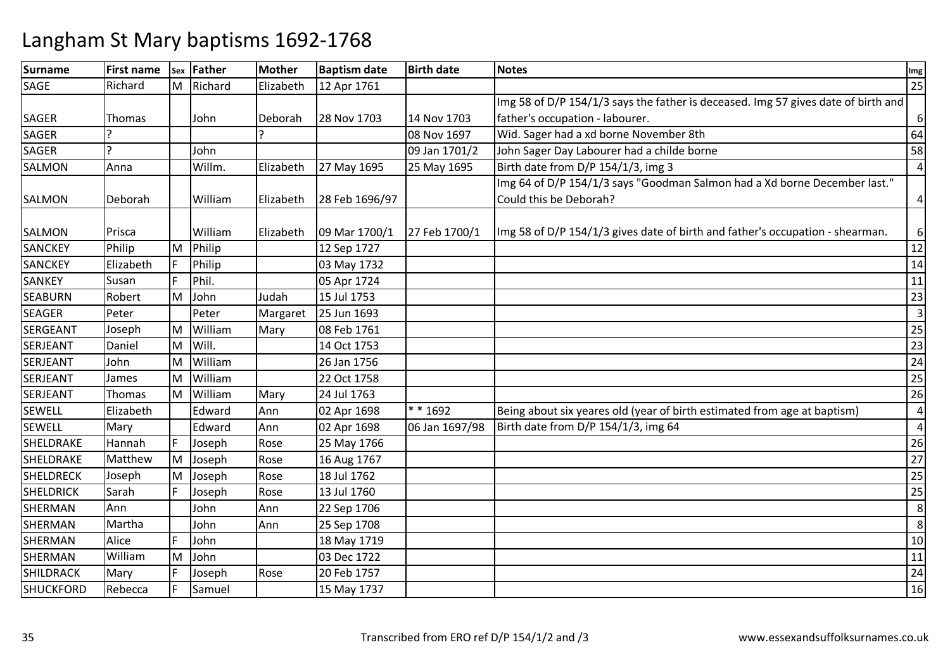| <b>Surname</b>   | <b>First name</b> |   | sex Father | <b>Mother</b> | <b>Baptism date</b> | <b>Birth date</b> | <b>Notes</b>                                                                      | Img                     |
|------------------|-------------------|---|------------|---------------|---------------------|-------------------|-----------------------------------------------------------------------------------|-------------------------|
| SAGE             | Richard           |   | M Richard  | Elizabeth     | 12 Apr 1761         |                   |                                                                                   | 25                      |
|                  |                   |   |            |               |                     |                   | Img 58 of D/P 154/1/3 says the father is deceased. Img 57 gives date of birth and |                         |
| SAGER            | Thomas            |   | John       | Deborah       | 28 Nov 1703         | 14 Nov 1703       | father's occupation - labourer.                                                   | 6                       |
| SAGER            |                   |   |            |               |                     | 08 Nov 1697       | Wid. Sager had a xd borne November 8th                                            | 64                      |
| SAGER            |                   |   | John       |               |                     | 09 Jan 1701/2     | John Sager Day Labourer had a childe borne                                        | 58                      |
| SALMON           | Anna              |   | Willm.     | Elizabeth     | 27 May 1695         | 25 May 1695       | Birth date from D/P 154/1/3, img 3                                                | $\overline{4}$          |
|                  |                   |   |            |               |                     |                   | Img 64 of D/P 154/1/3 says "Goodman Salmon had a Xd borne December last."         |                         |
| SALMON           | Deborah           |   | William    | Elizabeth     | 28 Feb 1696/97      |                   | Could this be Deborah?                                                            | 4                       |
| SALMON           | Prisca            |   | William    | Elizabeth     | 09 Mar 1700/1       | 27 Feb 1700/1     | Img 58 of D/P 154/1/3 gives date of birth and father's occupation - shearman.     | 6                       |
| SANCKEY          | Philip            | M | Philip     |               | 12 Sep 1727         |                   |                                                                                   | 12                      |
| SANCKEY          | Elizabeth         | F | Philip     |               | 03 May 1732         |                   |                                                                                   | 14                      |
| SANKEY           | Susan             | E | Phil.      |               | 05 Apr 1724         |                   |                                                                                   | 11                      |
| <b>SEABURN</b>   | Robert            | M | John       | Judah         | 15 Jul 1753         |                   |                                                                                   | 23                      |
| <b>SEAGER</b>    | Peter             |   | Peter      | Margaret      | 25 Jun 1693         |                   |                                                                                   | 3                       |
| SERGEANT         | Joseph            | M | William    | Mary          | 08 Feb 1761         |                   |                                                                                   | 25                      |
| SERJEANT         | Daniel            | M | Will.      |               | 14 Oct 1753         |                   |                                                                                   | 23                      |
| SERJEANT         | John              | M | William    |               | 26 Jan 1756         |                   |                                                                                   | 24                      |
| SERJEANT         | James             | M | William    |               | 22 Oct 1758         |                   |                                                                                   | 25                      |
| SERJEANT         | Thomas            | M | William    | Mary          | 24 Jul 1763         |                   |                                                                                   | 26                      |
| SEWELL           | Elizabeth         |   | Edward     | Ann           | 02 Apr 1698         | $* * 1692$        | Being about six yeares old (year of birth estimated from age at baptism)          | $\overline{4}$          |
| <b>SEWELL</b>    | Mary              |   | Edward     | Ann           | 02 Apr 1698         | 06 Jan 1697/98    | Birth date from D/P 154/1/3, img 64                                               | $\overline{\mathbf{4}}$ |
| SHELDRAKE        | Hannah            | F | Joseph     | Rose          | 25 May 1766         |                   |                                                                                   | 26                      |
| SHELDRAKE        | Matthew           | M | Joseph     | Rose          | 16 Aug 1767         |                   |                                                                                   | 27                      |
| SHELDRECK        | Joseph            | M | Joseph     | Rose          | 18 Jul 1762         |                   |                                                                                   | 25                      |
| <b>SHELDRICK</b> | Sarah             |   | Joseph     | Rose          | 13 Jul 1760         |                   |                                                                                   | 25                      |
| SHERMAN          | Ann               |   | John       | Ann           | 22 Sep 1706         |                   |                                                                                   | 8                       |
| SHERMAN          | Martha            |   | John       | Ann           | 25 Sep 1708         |                   |                                                                                   | 8                       |
| SHERMAN          | Alice             |   | John       |               | 18 May 1719         |                   |                                                                                   | 10                      |
| SHERMAN          | William           | M | John       |               | 03 Dec 1722         |                   |                                                                                   | 11                      |
| SHILDRACK        | Mary              |   | Joseph     | Rose          | 20 Feb 1757         |                   |                                                                                   | 24                      |
| SHUCKFORD        | Rebecca           |   | Samuel     |               | 15 May 1737         |                   |                                                                                   | 16                      |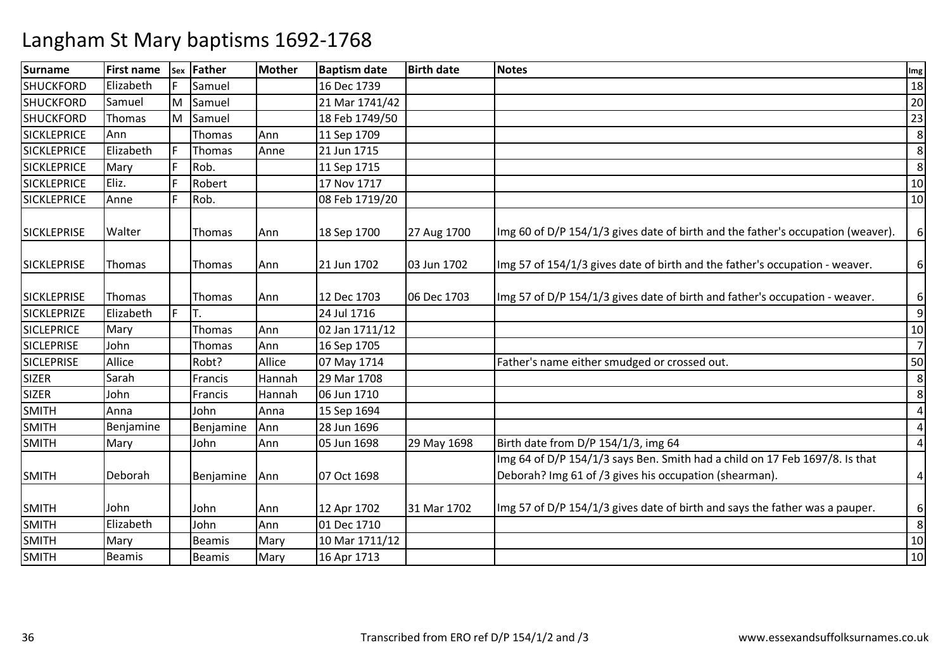| <b>Surname</b>     | <b>First name</b> | Sex | <b>Father</b> | <b>Mother</b> | <b>Baptism date</b> | <b>Birth date</b> | <b>Notes</b>                                                                                                                          | Img            |
|--------------------|-------------------|-----|---------------|---------------|---------------------|-------------------|---------------------------------------------------------------------------------------------------------------------------------------|----------------|
| <b>SHUCKFORD</b>   | Elizabeth         |     | Samuel        |               | 16 Dec 1739         |                   |                                                                                                                                       | 18             |
| <b>SHUCKFORD</b>   | Samuel            | М   | Samuel        |               | 21 Mar 1741/42      |                   |                                                                                                                                       | 20             |
| <b>SHUCKFORD</b>   | Thomas            | M   | Samuel        |               | 18 Feb 1749/50      |                   |                                                                                                                                       | 23             |
| <b>SICKLEPRICE</b> | Ann               |     | Thomas        | Ann           | 11 Sep 1709         |                   |                                                                                                                                       | 8              |
| <b>SICKLEPRICE</b> | Elizabeth         |     | Thomas        | Anne          | 21 Jun 1715         |                   |                                                                                                                                       | 8              |
| <b>SICKLEPRICE</b> | Mary              |     | Rob.          |               | 11 Sep 1715         |                   |                                                                                                                                       | 8              |
| <b>SICKLEPRICE</b> | Eliz.             |     | Robert        |               | 17 Nov 1717         |                   |                                                                                                                                       | 10             |
| <b>SICKLEPRICE</b> | Anne              |     | Rob.          |               | 08 Feb 1719/20      |                   |                                                                                                                                       | 10             |
| <b>SICKLEPRISE</b> | Walter            |     | Thomas        | Ann           | 18 Sep 1700         | 27 Aug 1700       | Img 60 of D/P 154/1/3 gives date of birth and the father's occupation (weaver).                                                       | 6              |
| SICKLEPRISE        | Thomas            |     | Thomas        | Ann           | 21 Jun 1702         | 03 Jun 1702       | Img 57 of 154/1/3 gives date of birth and the father's occupation - weaver.                                                           | 6              |
| <b>SICKLEPRISE</b> | Thomas            |     | Thomas        | Ann           | 12 Dec 1703         | 06 Dec 1703       | Img 57 of D/P 154/1/3 gives date of birth and father's occupation - weaver.                                                           | 6              |
| <b>SICKLEPRIZE</b> | Elizabeth         |     |               |               | 24 Jul 1716         |                   |                                                                                                                                       | 9              |
| <b>SICLEPRICE</b>  | Mary              |     | Thomas        | Ann           | 02 Jan 1711/12      |                   |                                                                                                                                       | 10             |
| <b>SICLEPRISE</b>  | John              |     | Thomas        | Ann           | 16 Sep 1705         |                   |                                                                                                                                       | $\overline{7}$ |
| <b>SICLEPRISE</b>  | Allice            |     | Robt?         | Allice        | 07 May 1714         |                   | Father's name either smudged or crossed out.                                                                                          | 50             |
| <b>SIZER</b>       | Sarah             |     | Francis       | Hannah        | 29 Mar 1708         |                   |                                                                                                                                       | 8              |
| <b>SIZER</b>       | John              |     | Francis       | Hannah        | 06 Jun 1710         |                   |                                                                                                                                       | 8              |
| <b>SMITH</b>       | Anna              |     | John          | Anna          | 15 Sep 1694         |                   |                                                                                                                                       | 4              |
| <b>SMITH</b>       | Benjamine         |     | Benjamine     | Ann           | 28 Jun 1696         |                   |                                                                                                                                       | 4              |
| <b>SMITH</b>       | Mary              |     | John          | Ann           | 05 Jun 1698         | 29 May 1698       | Birth date from D/P 154/1/3, img 64                                                                                                   | $\overline{4}$ |
| <b>SMITH</b>       | Deborah           |     | Benjamine     | Ann           | 07 Oct 1698         |                   | Img 64 of D/P 154/1/3 says Ben. Smith had a child on 17 Feb 1697/8. Is that<br>Deborah? Img 61 of /3 gives his occupation (shearman). | 4              |
| <b>SMITH</b>       | John              |     | John          | Ann           | 12 Apr 1702         | 31 Mar 1702       | Img 57 of D/P 154/1/3 gives date of birth and says the father was a pauper.                                                           | 6              |
| <b>SMITH</b>       | Elizabeth         |     | John          | Ann           | 01 Dec 1710         |                   |                                                                                                                                       | 8              |
| <b>SMITH</b>       | Mary              |     | <b>Beamis</b> | Mary          | 10 Mar 1711/12      |                   |                                                                                                                                       | 10             |
| SMITH              | <b>Beamis</b>     |     | <b>Beamis</b> | Mary          | 16 Apr 1713         |                   |                                                                                                                                       | 10             |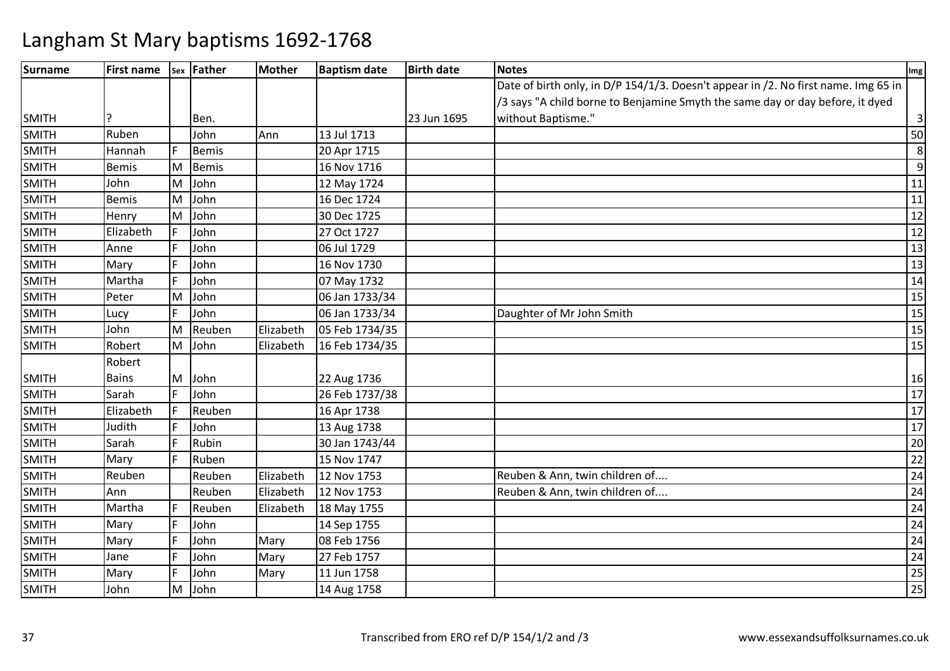| <b>Surname</b> | <b>First name</b> |   | sex Father   | Mother    | <b>Baptism date</b> | <b>Birth date</b> | <b>Notes</b>                                                                       | Img              |
|----------------|-------------------|---|--------------|-----------|---------------------|-------------------|------------------------------------------------------------------------------------|------------------|
|                |                   |   |              |           |                     |                   | Date of birth only, in D/P 154/1/3. Doesn't appear in /2. No first name. Img 65 in |                  |
|                |                   |   |              |           |                     |                   | /3 says "A child borne to Benjamine Smyth the same day or day before, it dyed      |                  |
| <b>SMITH</b>   |                   |   | Ben.         |           |                     | 23 Jun 1695       | without Baptisme."                                                                 | $\mathbf{3}$     |
| <b>SMITH</b>   | Ruben             |   | John         | Ann       | 13 Jul 1713         |                   |                                                                                    | 50               |
| <b>SMITH</b>   | Hannah            |   | <b>Bemis</b> |           | 20 Apr 1715         |                   |                                                                                    | $\bf 8$          |
| <b>SMITH</b>   | <b>Bemis</b>      | M | Bemis        |           | 16 Nov 1716         |                   |                                                                                    | $\boldsymbol{9}$ |
| <b>SMITH</b>   | John              | M | John         |           | 12 May 1724         |                   |                                                                                    | 11               |
| <b>SMITH</b>   | <b>Bemis</b>      | M | John         |           | 16 Dec 1724         |                   |                                                                                    | 11               |
| <b>SMITH</b>   | Henry             | M | John         |           | 30 Dec 1725         |                   |                                                                                    | $\overline{12}$  |
| <b>SMITH</b>   | Elizabeth         | E | John         |           | 27 Oct 1727         |                   |                                                                                    | 12               |
| <b>SMITH</b>   | Anne              | F | John         |           | 06 Jul 1729         |                   |                                                                                    | 13               |
| <b>SMITH</b>   | Mary              |   | John         |           | 16 Nov 1730         |                   |                                                                                    | 13               |
| <b>SMITH</b>   | Martha            |   | John         |           | 07 May 1732         |                   |                                                                                    | 14               |
| <b>SMITH</b>   | Peter             | M | John         |           | 06 Jan 1733/34      |                   |                                                                                    | 15               |
| <b>SMITH</b>   | Lucy              | F | John         |           | 06 Jan 1733/34      |                   | Daughter of Mr John Smith                                                          | 15               |
| <b>SMITH</b>   | John              | M | Reuben       | Elizabeth | 05 Feb 1734/35      |                   |                                                                                    | 15               |
| <b>SMITH</b>   | Robert            | M | John         | Elizabeth | 16 Feb 1734/35      |                   |                                                                                    | 15               |
|                | Robert            |   |              |           |                     |                   |                                                                                    |                  |
| <b>SMITH</b>   | <b>Bains</b>      | M | John         |           | 22 Aug 1736         |                   |                                                                                    | 16               |
| <b>SMITH</b>   | Sarah             |   | John         |           | 26 Feb 1737/38      |                   |                                                                                    | 17               |
| <b>SMITH</b>   | Elizabeth         | F | Reuben       |           | 16 Apr 1738         |                   |                                                                                    | 17               |
| <b>SMITH</b>   | Judith            | F | John         |           | 13 Aug 1738         |                   |                                                                                    | 17               |
| <b>SMITH</b>   | Sarah             | E | Rubin        |           | 30 Jan 1743/44      |                   |                                                                                    | 20               |
| <b>SMITH</b>   | Mary              | E | Ruben        |           | 15 Nov 1747         |                   |                                                                                    | 22               |
| <b>SMITH</b>   | Reuben            |   | Reuben       | Elizabeth | 12 Nov 1753         |                   | Reuben & Ann, twin children of                                                     | 24               |
| <b>SMITH</b>   | Ann               |   | Reuben       | Elizabeth | 12 Nov 1753         |                   | Reuben & Ann, twin children of                                                     | 24               |
| <b>SMITH</b>   | Martha            | F | Reuben       | Elizabeth | 18 May 1755         |                   |                                                                                    | 24               |
| <b>SMITH</b>   | Mary              | F | John         |           | 14 Sep 1755         |                   |                                                                                    | 24               |
| <b>SMITH</b>   | Mary              | E | John         | Mary      | 08 Feb 1756         |                   |                                                                                    | 24               |
| <b>SMITH</b>   | Jane              |   | John         | Mary      | 27 Feb 1757         |                   |                                                                                    | 24               |
| <b>SMITH</b>   | Mary              |   | John         | Mary      | 11 Jun 1758         |                   |                                                                                    | 25               |
| <b>SMITH</b>   | John              | M | John         |           | 14 Aug 1758         |                   |                                                                                    | 25               |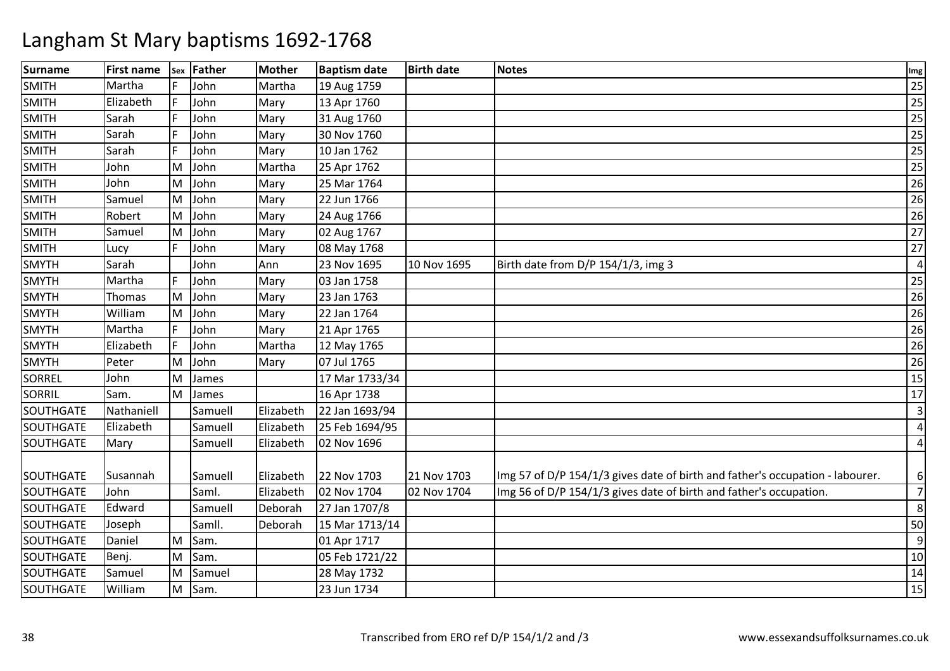| <b>Surname</b> | <b>First name</b> |   | sex Father | <b>Mother</b> | <b>Baptism date</b> | <b>Birth date</b> | <b>Notes</b>                                                                  | Img            |
|----------------|-------------------|---|------------|---------------|---------------------|-------------------|-------------------------------------------------------------------------------|----------------|
| <b>SMITH</b>   | Martha            |   | John       | Martha        | 19 Aug 1759         |                   |                                                                               | 25             |
| <b>SMITH</b>   | Elizabeth         | E | John       | Mary          | 13 Apr 1760         |                   |                                                                               | 25             |
| <b>SMITH</b>   | Sarah             |   | John       | Mary          | 31 Aug 1760         |                   |                                                                               | 25             |
| <b>SMITH</b>   | Sarah             |   | John       | Mary          | 30 Nov 1760         |                   |                                                                               | 25             |
| <b>SMITH</b>   | Sarah             | E | John       | Mary          | 10 Jan 1762         |                   |                                                                               | 25             |
| <b>SMITH</b>   | John              | M | John       | Martha        | 25 Apr 1762         |                   |                                                                               | 25             |
| <b>SMITH</b>   | John              | M | John       | Mary          | 25 Mar 1764         |                   |                                                                               | 26             |
| <b>SMITH</b>   | Samuel            | M | John       | Mary          | 22 Jun 1766         |                   |                                                                               | 26             |
| <b>SMITH</b>   | Robert            | M | John       | Mary          | 24 Aug 1766         |                   |                                                                               | 26             |
| <b>SMITH</b>   | Samuel            | M | John       | Mary          | 02 Aug 1767         |                   |                                                                               | 27             |
| <b>SMITH</b>   | Lucy              | F | John       | Mary          | 08 May 1768         |                   |                                                                               | 27             |
| <b>SMYTH</b>   | Sarah             |   | John       | Ann           | 23 Nov 1695         | 10 Nov 1695       | Birth date from D/P 154/1/3, img 3                                            | 4              |
| <b>SMYTH</b>   | Martha            |   | John       | Mary          | 03 Jan 1758         |                   |                                                                               | 25             |
| <b>SMYTH</b>   | Thomas            | M | John       | Mary          | 23 Jan 1763         |                   |                                                                               | 26             |
| <b>SMYTH</b>   | William           | M | John       | Mary          | 22 Jan 1764         |                   |                                                                               | 26             |
| <b>SMYTH</b>   | Martha            |   | John       | Mary          | 21 Apr 1765         |                   |                                                                               | 26             |
| <b>SMYTH</b>   | Elizabeth         |   | John       | Martha        | 12 May 1765         |                   |                                                                               | 26             |
| <b>SMYTH</b>   | Peter             | M | John       | Mary          | 07 Jul 1765         |                   |                                                                               | 26             |
| <b>SORREL</b>  | John              | M | James      |               | 17 Mar 1733/34      |                   |                                                                               | 15             |
| <b>SORRIL</b>  | Sam.              | M | James      |               | 16 Apr 1738         |                   |                                                                               | 17             |
| SOUTHGATE      | Nathaniell        |   | Samuell    | Elizabeth     | 22 Jan 1693/94      |                   |                                                                               | $\overline{3}$ |
| SOUTHGATE      | Elizabeth         |   | Samuell    | Elizabeth     | 25 Feb 1694/95      |                   |                                                                               | 4              |
| SOUTHGATE      | Mary              |   | Samuell    | Elizabeth     | 02 Nov 1696         |                   |                                                                               | 4              |
|                |                   |   |            |               |                     |                   |                                                                               |                |
| SOUTHGATE      | Susannah          |   | Samuell    | Elizabeth     | 22 Nov 1703         | 21 Nov 1703       | Img 57 of D/P 154/1/3 gives date of birth and father's occupation - labourer. | 6              |
| SOUTHGATE      | John              |   | Saml.      | Elizabeth     | 02 Nov 1704         | 02 Nov 1704       | Img 56 of D/P 154/1/3 gives date of birth and father's occupation.            | $\overline{7}$ |
| SOUTHGATE      | Edward            |   | Samuell    | Deborah       | 27 Jan 1707/8       |                   |                                                                               | 8              |
| SOUTHGATE      | Joseph            |   | Samll.     | Deborah       | 15 Mar 1713/14      |                   |                                                                               | 50             |
| SOUTHGATE      | Daniel            | M | Sam.       |               | 01 Apr 1717         |                   |                                                                               | 9              |
| SOUTHGATE      | Benj.             | м | Sam.       |               | 05 Feb 1721/22      |                   |                                                                               | 10             |
| SOUTHGATE      | Samuel            | M | Samuel     |               | 28 May 1732         |                   |                                                                               | 14             |
| SOUTHGATE      | William           | M | Sam.       |               | 23 Jun 1734         |                   |                                                                               | 15             |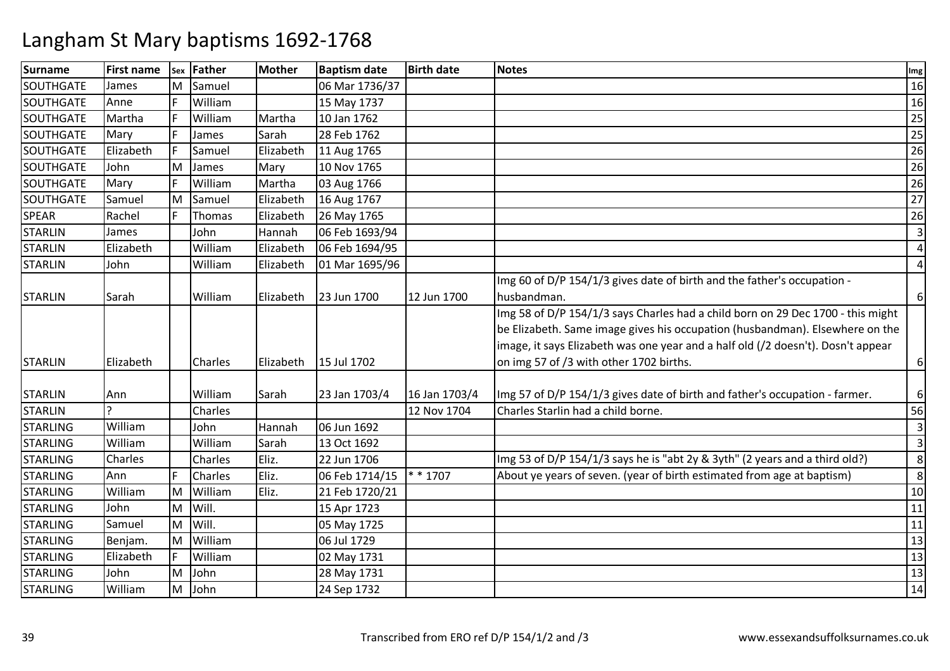| <b>Surname</b>   | <b>First name</b> |     | sex Father     | Mother    | <b>Baptism date</b> | <b>Birth date</b> | <b>Notes</b>                                                                                                                                                                                                                                                                                   | Img            |
|------------------|-------------------|-----|----------------|-----------|---------------------|-------------------|------------------------------------------------------------------------------------------------------------------------------------------------------------------------------------------------------------------------------------------------------------------------------------------------|----------------|
| SOUTHGATE        | James             |     | M Samuel       |           | 06 Mar 1736/37      |                   |                                                                                                                                                                                                                                                                                                | 16             |
| SOUTHGATE        | Anne              | F   | William        |           | 15 May 1737         |                   |                                                                                                                                                                                                                                                                                                | 16             |
| SOUTHGATE        | Martha            | IF  | William        | Martha    | 10 Jan 1762         |                   |                                                                                                                                                                                                                                                                                                | 25             |
| SOUTHGATE        | Mary              |     | James          | Sarah     | 28 Feb 1762         |                   |                                                                                                                                                                                                                                                                                                | 25             |
| SOUTHGATE        | Elizabeth         | E   | Samuel         | Elizabeth | 11 Aug 1765         |                   |                                                                                                                                                                                                                                                                                                | 26             |
| <b>SOUTHGATE</b> | John              | M   | James          | Mary      | 10 Nov 1765         |                   |                                                                                                                                                                                                                                                                                                | 26             |
| SOUTHGATE        | Mary              | IF  | William        | Martha    | 03 Aug 1766         |                   |                                                                                                                                                                                                                                                                                                | 26             |
| SOUTHGATE        | Samuel            | M   | Samuel         | Elizabeth | 16 Aug 1767         |                   |                                                                                                                                                                                                                                                                                                | 27             |
| <b>SPEAR</b>     | Rachel            | l F | Thomas         | Elizabeth | 26 May 1765         |                   |                                                                                                                                                                                                                                                                                                | 26             |
| <b>STARLIN</b>   | James             |     | John           | Hannah    | 06 Feb 1693/94      |                   |                                                                                                                                                                                                                                                                                                | $\overline{3}$ |
| <b>STARLIN</b>   | Elizabeth         |     | William        | Elizabeth | 06 Feb 1694/95      |                   |                                                                                                                                                                                                                                                                                                | $\overline{4}$ |
| <b>STARLIN</b>   | John              |     | William        | Elizabeth | 01 Mar 1695/96      |                   |                                                                                                                                                                                                                                                                                                | 4              |
|                  |                   |     |                |           |                     |                   | Img 60 of D/P 154/1/3 gives date of birth and the father's occupation -                                                                                                                                                                                                                        |                |
| <b>STARLIN</b>   | Sarah             |     | William        | Elizabeth | 23 Jun 1700         | 12 Jun 1700       | husbandman.                                                                                                                                                                                                                                                                                    | 6              |
| <b>STARLIN</b>   | Elizabeth         |     | <b>Charles</b> | Elizabeth | 15 Jul 1702         |                   | Img 58 of D/P 154/1/3 says Charles had a child born on 29 Dec 1700 - this might<br>be Elizabeth. Same image gives his occupation (husbandman). Elsewhere on the<br>image, it says Elizabeth was one year and a half old (/2 doesn't). Dosn't appear<br>on img 57 of /3 with other 1702 births. | 6              |
| <b>STARLIN</b>   | Ann               |     | William        | Sarah     | 23 Jan 1703/4       | 16 Jan 1703/4     | Img 57 of D/P 154/1/3 gives date of birth and father's occupation - farmer.                                                                                                                                                                                                                    | 6              |
| <b>STARLIN</b>   |                   |     | Charles        |           |                     | 12 Nov 1704       | Charles Starlin had a child borne.                                                                                                                                                                                                                                                             | 56             |
| <b>STARLING</b>  | William           |     | John           | Hannah    | 06 Jun 1692         |                   |                                                                                                                                                                                                                                                                                                | $\overline{3}$ |
| <b>STARLING</b>  | William           |     | William        | Sarah     | 13 Oct 1692         |                   |                                                                                                                                                                                                                                                                                                | $\overline{3}$ |
| <b>STARLING</b>  | Charles           |     | Charles        | Eliz.     | 22 Jun 1706         |                   | Img 53 of D/P 154/1/3 says he is "abt 2y & 3yth" (2 years and a third old?)                                                                                                                                                                                                                    | 8              |
| <b>STARLING</b>  | Ann               | E   | Charles        | Eliz.     | 06 Feb 1714/15      | $* * 1707$        | About ye years of seven. (year of birth estimated from age at baptism)                                                                                                                                                                                                                         | 8              |
| <b>STARLING</b>  | William           | M   | William        | Eliz.     | 21 Feb 1720/21      |                   |                                                                                                                                                                                                                                                                                                | 10             |
| <b>STARLING</b>  | John              | M   | Will.          |           | 15 Apr 1723         |                   |                                                                                                                                                                                                                                                                                                | 11             |
| <b>STARLING</b>  | Samuel            | M   | Will.          |           | 05 May 1725         |                   |                                                                                                                                                                                                                                                                                                | 11             |
| <b>STARLING</b>  | Benjam.           | M   | William        |           | 06 Jul 1729         |                   |                                                                                                                                                                                                                                                                                                | 13             |
| <b>STARLING</b>  | Elizabeth         | E   | William        |           | 02 May 1731         |                   |                                                                                                                                                                                                                                                                                                | 13             |
| <b>STARLING</b>  | John              | M   | John           |           | 28 May 1731         |                   |                                                                                                                                                                                                                                                                                                | 13             |
| <b>STARLING</b>  | William           | M   | John           |           | 24 Sep 1732         |                   |                                                                                                                                                                                                                                                                                                | 14             |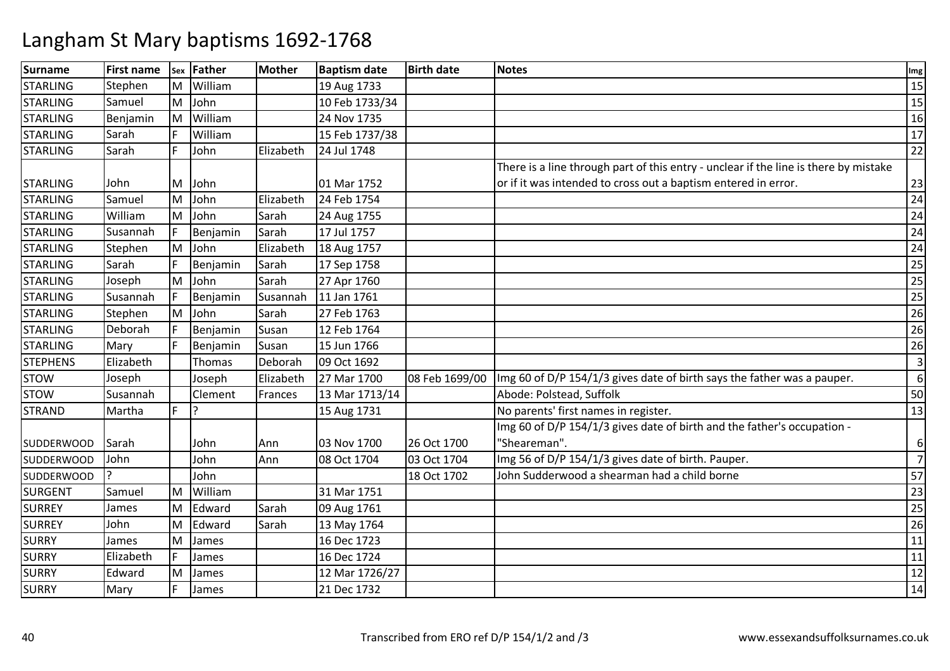| <b>Surname</b>    | <b>First name</b> |   | sex Father | <b>Mother</b> | <b>Baptism date</b> | <b>Birth date</b> | <b>Notes</b>                                                                         | Img            |
|-------------------|-------------------|---|------------|---------------|---------------------|-------------------|--------------------------------------------------------------------------------------|----------------|
| <b>STARLING</b>   | Stephen           |   | M William  |               | 19 Aug 1733         |                   |                                                                                      | 15             |
| <b>STARLING</b>   | Samuel            |   | M John     |               | 10 Feb 1733/34      |                   |                                                                                      | 15             |
| <b>STARLING</b>   | Benjamin          |   | M William  |               | 24 Nov 1735         |                   |                                                                                      | 16             |
| <b>STARLING</b>   | Sarah             |   | William    |               | 15 Feb 1737/38      |                   |                                                                                      | 17             |
| <b>STARLING</b>   | Sarah             | E | John       | Elizabeth     | 24 Jul 1748         |                   |                                                                                      | 22             |
|                   |                   |   |            |               |                     |                   | There is a line through part of this entry - unclear if the line is there by mistake |                |
| <b>STARLING</b>   | John              | M | John       |               | 01 Mar 1752         |                   | or if it was intended to cross out a baptism entered in error.                       | 23             |
| <b>STARLING</b>   | Samuel            | M | John       | Elizabeth     | 24 Feb 1754         |                   |                                                                                      | 24             |
| <b>STARLING</b>   | William           |   | M John     | Sarah         | 24 Aug 1755         |                   |                                                                                      | 24             |
| <b>STARLING</b>   | Susannah          | F | Benjamin   | Sarah         | 17 Jul 1757         |                   |                                                                                      | 24             |
| <b>STARLING</b>   | Stephen           |   | M John     | Elizabeth     | 18 Aug 1757         |                   |                                                                                      | 24             |
| <b>STARLING</b>   | Sarah             |   | Benjamin   | Sarah         | 17 Sep 1758         |                   |                                                                                      | 25             |
| <b>STARLING</b>   | Joseph            |   | M John     | Sarah         | 27 Apr 1760         |                   |                                                                                      | 25             |
| <b>STARLING</b>   | Susannah          | F | Benjamin   | Susannah      | 11 Jan 1761         |                   |                                                                                      | 25             |
| <b>STARLING</b>   | Stephen           | M | John       | Sarah         | 27 Feb 1763         |                   |                                                                                      | 26             |
| <b>STARLING</b>   | Deborah           |   | Benjamin   | Susan         | 12 Feb 1764         |                   |                                                                                      | 26             |
| <b>STARLING</b>   | Mary              |   | Benjamin   | Susan         | 15 Jun 1766         |                   |                                                                                      | 26             |
| <b>STEPHENS</b>   | Elizabeth         |   | Thomas     | Deborah       | 09 Oct 1692         |                   |                                                                                      | $\overline{3}$ |
| <b>STOW</b>       | Joseph            |   | Joseph     | Elizabeth     | 27 Mar 1700         | 08 Feb 1699/00    | Img 60 of D/P 154/1/3 gives date of birth says the father was a pauper.              | 6              |
| <b>STOW</b>       | Susannah          |   | Clement    | Frances       | 13 Mar 1713/14      |                   | Abode: Polstead, Suffolk                                                             | 50             |
| <b>STRAND</b>     | Martha            | E | 12         |               | 15 Aug 1731         |                   | No parents' first names in register.                                                 | 13             |
|                   |                   |   |            |               |                     |                   | Img 60 of D/P 154/1/3 gives date of birth and the father's occupation -              |                |
| <b>SUDDERWOOD</b> | Sarah             |   | John       | Ann           | 03 Nov 1700         | 26 Oct 1700       | "Sheareman".                                                                         | 6              |
| <b>SUDDERWOOD</b> | John              |   | John       | Ann           | 08 Oct 1704         | 03 Oct 1704       | Img 56 of D/P 154/1/3 gives date of birth. Pauper.                                   | $\overline{7}$ |
| <b>SUDDERWOOD</b> |                   |   | John       |               |                     | 18 Oct 1702       | John Sudderwood a shearman had a child borne                                         | 57             |
| <b>SURGENT</b>    | Samuel            | M | William    |               | 31 Mar 1751         |                   |                                                                                      | 23             |
| <b>SURREY</b>     | James             | M | Edward     | Sarah         | 09 Aug 1761         |                   |                                                                                      | 25             |
| <b>SURREY</b>     | John              | M | Edward     | Sarah         | 13 May 1764         |                   |                                                                                      | 26             |
| <b>SURRY</b>      | James             | M | James      |               | 16 Dec 1723         |                   |                                                                                      | 11             |
| <b>SURRY</b>      | Elizabeth         | F | James      |               | 16 Dec 1724         |                   |                                                                                      | 11             |
| <b>SURRY</b>      | Edward            | M | James      |               | 12 Mar 1726/27      |                   |                                                                                      | 12             |
| <b>SURRY</b>      | Mary              | E | James      |               | 21 Dec 1732         |                   |                                                                                      | 14             |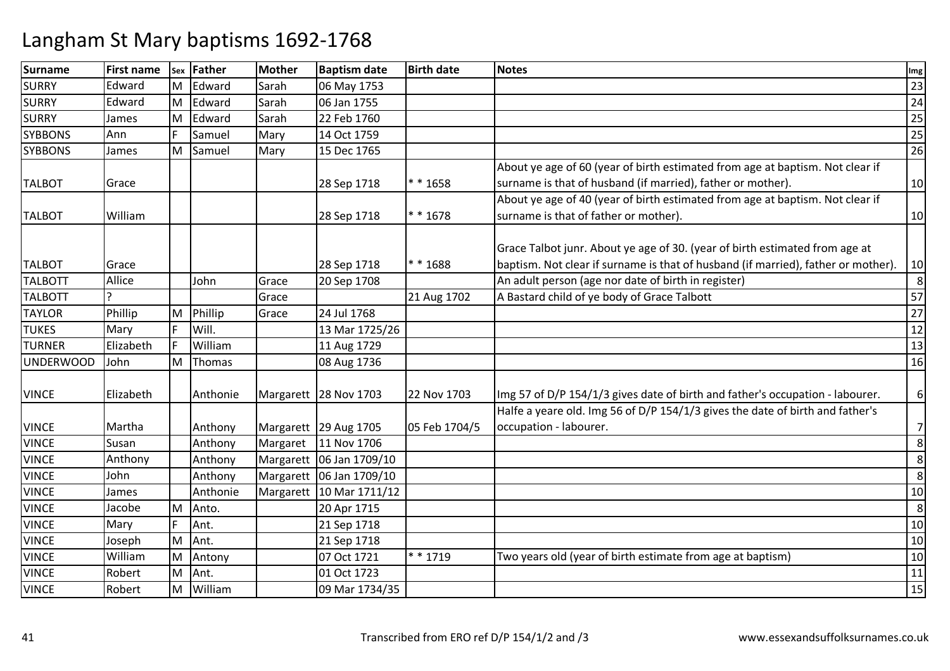| <b>Surname</b>   | <b>First name</b> |   | sex Father | <b>Mother</b> | <b>Baptism date</b>      | <b>Birth date</b> | <b>Notes</b>                                                                      | Img            |
|------------------|-------------------|---|------------|---------------|--------------------------|-------------------|-----------------------------------------------------------------------------------|----------------|
| <b>SURRY</b>     | Edward            |   | M Edward   | Sarah         | 06 May 1753              |                   |                                                                                   | 23             |
| <b>SURRY</b>     | Edward            |   | M Edward   | Sarah         | 06 Jan 1755              |                   |                                                                                   | 24             |
| <b>SURRY</b>     | James             | M | Edward     | Sarah         | 22 Feb 1760              |                   |                                                                                   | 25             |
| <b>SYBBONS</b>   | Ann               |   | Samuel     | Mary          | 14 Oct 1759              |                   |                                                                                   | 25             |
| <b>SYBBONS</b>   | James             |   | M Samuel   | Mary          | 15 Dec 1765              |                   |                                                                                   | 26             |
|                  |                   |   |            |               |                          |                   | About ye age of 60 (year of birth estimated from age at baptism. Not clear if     |                |
| <b>TALBOT</b>    | Grace             |   |            |               | 28 Sep 1718              | ** 1658           | surname is that of husband (if married), father or mother).                       | 10             |
|                  |                   |   |            |               |                          |                   | About ye age of 40 (year of birth estimated from age at baptism. Not clear if     |                |
| <b>TALBOT</b>    | William           |   |            |               | 28 Sep 1718              | $* * 1678$        | surname is that of father or mother).                                             | 10             |
|                  |                   |   |            |               |                          |                   |                                                                                   |                |
|                  |                   |   |            |               |                          |                   | Grace Talbot junr. About ye age of 30. (year of birth estimated from age at       |                |
| <b>TALBOT</b>    | Grace             |   |            |               | 28 Sep 1718              | $* * 1688$        | baptism. Not clear if surname is that of husband (if married), father or mother). | 10             |
| <b>TALBOTT</b>   | Allice            |   | John       | Grace         | 20 Sep 1708              |                   | An adult person (age nor date of birth in register)                               | 8              |
| <b>TALBOTT</b>   | 7                 |   |            | Grace         |                          | 21 Aug 1702       | A Bastard child of ye body of Grace Talbott                                       | 57             |
| <b>TAYLOR</b>    | Phillip           |   | M Phillip  | Grace         | 24 Jul 1768              |                   |                                                                                   | 27             |
| <b>TUKES</b>     | Mary              |   | Will.      |               | 13 Mar 1725/26           |                   |                                                                                   | 12             |
| <b>TURNER</b>    | Elizabeth         |   | William    |               | 11 Aug 1729              |                   |                                                                                   | 13             |
| <b>UNDERWOOD</b> | John              |   | M Thomas   |               | 08 Aug 1736              |                   |                                                                                   | 16             |
|                  |                   |   |            |               |                          |                   |                                                                                   |                |
| <b>VINCE</b>     | Elizabeth         |   | Anthonie   |               | Margarett 28 Nov 1703    | 22 Nov 1703       | Img 57 of D/P 154/1/3 gives date of birth and father's occupation - labourer.     | 6              |
|                  |                   |   |            |               |                          |                   | Halfe a yeare old. Img 56 of D/P 154/1/3 gives the date of birth and father's     |                |
| <b>VINCE</b>     | Martha            |   | Anthony    |               | Margarett 29 Aug 1705    | 05 Feb 1704/5     | occupation - labourer.                                                            | $\overline{7}$ |
| <b>VINCE</b>     | Susan             |   | Anthony    | Margaret      | 11 Nov 1706              |                   |                                                                                   | 8              |
| <b>VINCE</b>     | Anthony           |   | Anthony    |               | Margarett 06 Jan 1709/10 |                   |                                                                                   | 8              |
| <b>VINCE</b>     | John              |   | Anthony    | Margarett     | 06 Jan 1709/10           |                   |                                                                                   | 8              |
| <b>VINCE</b>     | James             |   | Anthonie   | Margarett     | 10 Mar 1711/12           |                   |                                                                                   | 10             |
| <b>VINCE</b>     | Jacobe            |   | M Anto.    |               | 20 Apr 1715              |                   |                                                                                   | 8              |
| <b>VINCE</b>     | Mary              | E | Ant.       |               | 21 Sep 1718              |                   |                                                                                   | 10             |
| <b>VINCE</b>     | Joseph            | M | Ant.       |               | 21 Sep 1718              |                   |                                                                                   | 10             |
| <b>VINCE</b>     | William           |   | M Antony   |               | 07 Oct 1721              | * * 1719          | Two years old (year of birth estimate from age at baptism)                        | 10             |
| <b>VINCE</b>     | Robert            |   | M Ant.     |               | 01 Oct 1723              |                   |                                                                                   | 11             |
| <b>VINCE</b>     | Robert            |   | M William  |               | 09 Mar 1734/35           |                   |                                                                                   | 15             |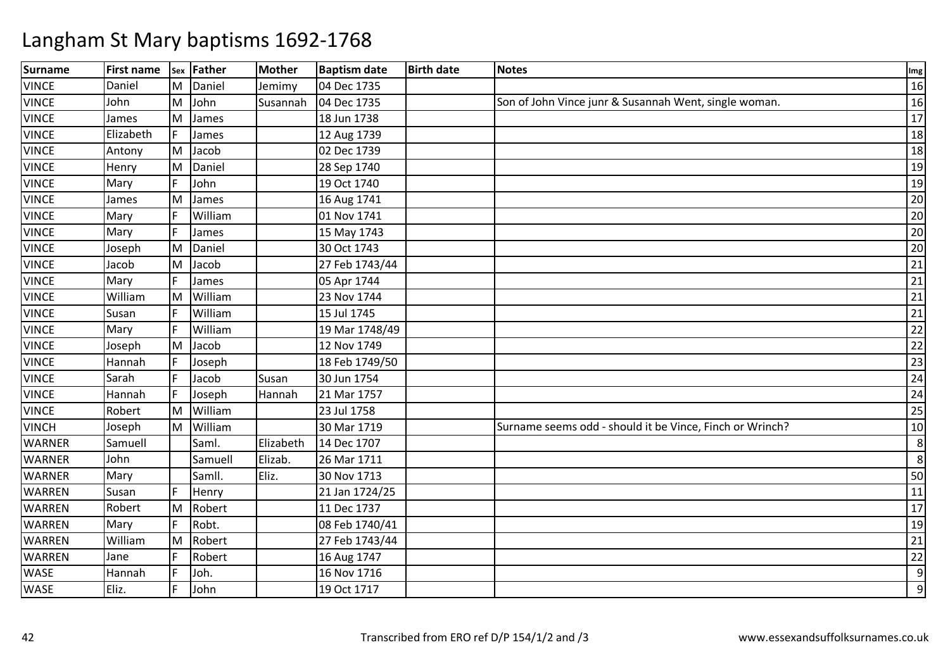| <b>Surname</b> | <b>First name</b> |   | sex Father | <b>Mother</b> | <b>Baptism date</b> | <b>Birth date</b> | <b>Notes</b>                                             | Img |
|----------------|-------------------|---|------------|---------------|---------------------|-------------------|----------------------------------------------------------|-----|
| <b>VINCE</b>   | Daniel            |   | M Daniel   | Jemimy        | 04 Dec 1735         |                   |                                                          | 16  |
| <b>VINCE</b>   | John              | M | John       | Susannah      | 04 Dec 1735         |                   | Son of John Vince junr & Susannah Went, single woman.    | 16  |
| <b>VINCE</b>   | James             | M | James      |               | 18 Jun 1738         |                   |                                                          | 17  |
| <b>VINCE</b>   | Elizabeth         | F | James      |               | 12 Aug 1739         |                   |                                                          | 18  |
| <b>VINCE</b>   | Antony            | M | Jacob      |               | 02 Dec 1739         |                   |                                                          | 18  |
| <b>VINCE</b>   | Henry             | M | Daniel     |               | 28 Sep 1740         |                   |                                                          | 19  |
| <b>VINCE</b>   | Mary              | E | John       |               | 19 Oct 1740         |                   |                                                          | 19  |
| <b>VINCE</b>   | James             | M | James      |               | 16 Aug 1741         |                   |                                                          | 20  |
| <b>VINCE</b>   | Mary              | F | William    |               | 01 Nov 1741         |                   |                                                          | 20  |
| <b>VINCE</b>   | Mary              | F | James      |               | 15 May 1743         |                   |                                                          | 20  |
| <b>VINCE</b>   | Joseph            | M | Daniel     |               | 30 Oct 1743         |                   |                                                          | 20  |
| <b>VINCE</b>   | Jacob             | M | Jacob      |               | 27 Feb 1743/44      |                   |                                                          | 21  |
| <b>VINCE</b>   | Mary              | E | James      |               | 05 Apr 1744         |                   |                                                          | 21  |
| <b>VINCE</b>   | William           | M | William    |               | 23 Nov 1744         |                   |                                                          | 21  |
| <b>VINCE</b>   | Susan             | F | William    |               | 15 Jul 1745         |                   |                                                          | 21  |
| <b>VINCE</b>   | Mary              |   | William    |               | 19 Mar 1748/49      |                   |                                                          | 22  |
| <b>VINCE</b>   | Joseph            | M | Jacob      |               | 12 Nov 1749         |                   |                                                          | 22  |
| <b>VINCE</b>   | Hannah            | E | Joseph     |               | 18 Feb 1749/50      |                   |                                                          | 23  |
| <b>VINCE</b>   | Sarah             |   | Jacob      | Susan         | 30 Jun 1754         |                   |                                                          | 24  |
| <b>VINCE</b>   | Hannah            | F | Joseph     | Hannah        | 21 Mar 1757         |                   |                                                          | 24  |
| <b>VINCE</b>   | Robert            | M | William    |               | 23 Jul 1758         |                   |                                                          | 25  |
| <b>VINCH</b>   | Joseph            |   | M William  |               | 30 Mar 1719         |                   | Surname seems odd - should it be Vince, Finch or Wrinch? | 10  |
| WARNER         | Samuell           |   | Saml.      | Elizabeth     | 14 Dec 1707         |                   |                                                          | 8   |
| <b>WARNER</b>  | John              |   | Samuell    | Elizab.       | 26 Mar 1711         |                   |                                                          | 8   |
| <b>WARNER</b>  | Mary              |   | Samll.     | Eliz.         | 30 Nov 1713         |                   |                                                          | 50  |
| <b>WARREN</b>  | Susan             |   | Henry      |               | 21 Jan 1724/25      |                   |                                                          | 11  |
| WARREN         | Robert            | M | Robert     |               | 11 Dec 1737         |                   |                                                          | 17  |
| WARREN         | Mary              | F | Robt.      |               | 08 Feb 1740/41      |                   |                                                          | 19  |
| <b>WARREN</b>  | William           | M | Robert     |               | 27 Feb 1743/44      |                   |                                                          | 21  |
| WARREN         | Jane              | E | Robert     |               | 16 Aug 1747         |                   |                                                          | 22  |
| <b>WASE</b>    | Hannah            | F | Joh.       |               | 16 Nov 1716         |                   |                                                          | 9   |
| <b>WASE</b>    | Eliz.             | F | John       |               | 19 Oct 1717         |                   |                                                          | 9   |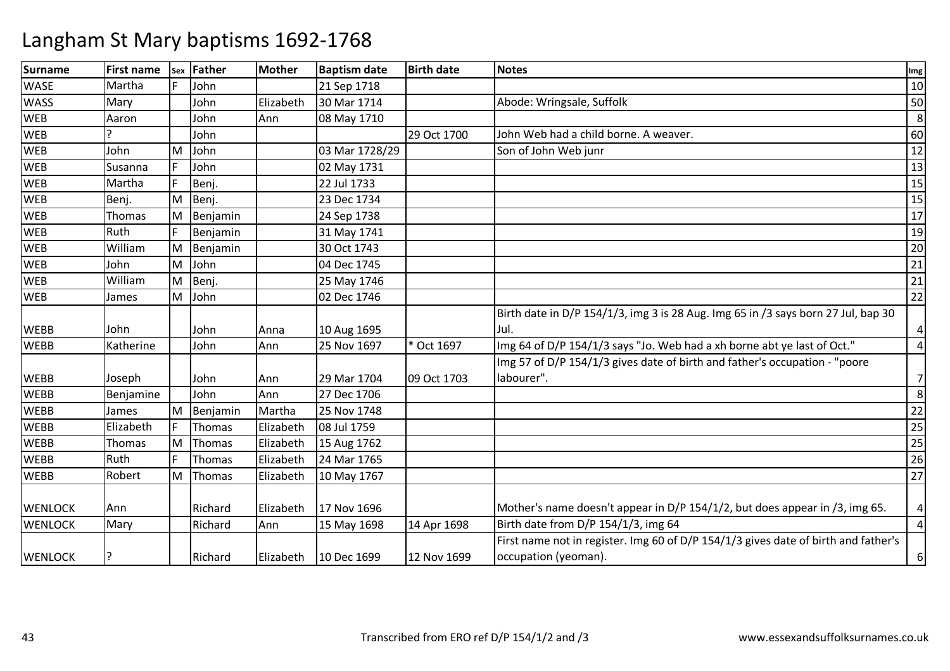| <b>Surname</b> | <b>First name</b> | <b>Sex</b> | Father   | <b>Mother</b> | <b>Baptism date</b> | <b>Birth date</b> | <b>Notes</b>                                                                       | Img            |
|----------------|-------------------|------------|----------|---------------|---------------------|-------------------|------------------------------------------------------------------------------------|----------------|
| <b>WASE</b>    | Martha            |            | John     |               | 21 Sep 1718         |                   |                                                                                    | 10             |
| <b>WASS</b>    | Mary              |            | John     | Elizabeth     | 30 Mar 1714         |                   | Abode: Wringsale, Suffolk                                                          | 50             |
| <b>WEB</b>     | Aaron             |            | John     | Ann           | 08 May 1710         |                   |                                                                                    | 8              |
| <b>WEB</b>     |                   |            | John     |               |                     | 29 Oct 1700       | John Web had a child borne. A weaver.                                              | 60             |
| <b>WEB</b>     | John              | м          | John     |               | 03 Mar 1728/29      |                   | Son of John Web junr                                                               | 12             |
| <b>WEB</b>     | Susanna           | E          | John     |               | 02 May 1731         |                   |                                                                                    | 13             |
| <b>WEB</b>     | Martha            |            | Benj.    |               | 22 Jul 1733         |                   |                                                                                    | 15             |
| <b>WEB</b>     | Benj.             | M          | Benj.    |               | 23 Dec 1734         |                   |                                                                                    | 15             |
| <b>WEB</b>     | Thomas            | M          | Benjamin |               | 24 Sep 1738         |                   |                                                                                    | 17             |
| <b>WEB</b>     | Ruth              |            | Benjamin |               | 31 May 1741         |                   |                                                                                    | 19             |
| <b>WEB</b>     | William           | M          | Benjamin |               | 30 Oct 1743         |                   |                                                                                    | 20             |
| <b>WEB</b>     | John              | M          | John     |               | 04 Dec 1745         |                   |                                                                                    | 21             |
| <b>WEB</b>     | William           | M          | Benj.    |               | 25 May 1746         |                   |                                                                                    | 21             |
| <b>WEB</b>     | James             |            | M John   |               | 02 Dec 1746         |                   |                                                                                    | 22             |
|                |                   |            |          |               |                     |                   | Birth date in D/P 154/1/3, img 3 is 28 Aug. Img 65 in /3 says born 27 Jul, bap 30  |                |
| <b>WEBB</b>    | John              |            | John     | Anna          | 10 Aug 1695         |                   | Jul.                                                                               | 4              |
| <b>WEBB</b>    | Katherine         |            | John     | Ann           | 25 Nov 1697         | * Oct 1697        | Img 64 of D/P 154/1/3 says "Jo. Web had a xh borne abt ye last of Oct."            | $\overline{4}$ |
|                |                   |            |          |               |                     |                   | Img 57 of D/P 154/1/3 gives date of birth and father's occupation - "poore         |                |
| <b>WEBB</b>    | Joseph            |            | John     | Ann           | 29 Mar 1704         | 09 Oct 1703       | labourer".                                                                         | 7              |
| <b>WEBB</b>    | Benjamine         |            | John     | Ann           | 27 Dec 1706         |                   |                                                                                    | 8              |
| <b>WEBB</b>    | James             | M          | Benjamin | Martha        | 25 Nov 1748         |                   |                                                                                    | 22             |
| WEBB           | Elizabeth         |            | Thomas   | Elizabeth     | 08 Jul 1759         |                   |                                                                                    | 25             |
| WEBB           | Thomas            | M          | Thomas   | Elizabeth     | 15 Aug 1762         |                   |                                                                                    | 25             |
| <b>WEBB</b>    | Ruth              | E          | Thomas   | Elizabeth     | 24 Mar 1765         |                   |                                                                                    | 26             |
| WEBB           | Robert            | M          | Thomas   | Elizabeth     | 10 May 1767         |                   |                                                                                    | 27             |
|                |                   |            |          |               |                     |                   |                                                                                    |                |
| <b>WENLOCK</b> | Ann               |            | Richard  | Elizabeth     | 17 Nov 1696         |                   | Mother's name doesn't appear in D/P 154/1/2, but does appear in /3, img 65.        | 4              |
| <b>WENLOCK</b> | Mary              |            | Richard  | Ann           | 15 May 1698         | 14 Apr 1698       | Birth date from D/P 154/1/3, img 64                                                | $\overline{4}$ |
|                |                   |            |          |               |                     |                   | First name not in register. Img 60 of D/P 154/1/3 gives date of birth and father's |                |
| <b>WENLOCK</b> |                   |            | Richard  | Elizabeth     | 10 Dec 1699         | 12 Nov 1699       | occupation (yeoman).                                                               | 6              |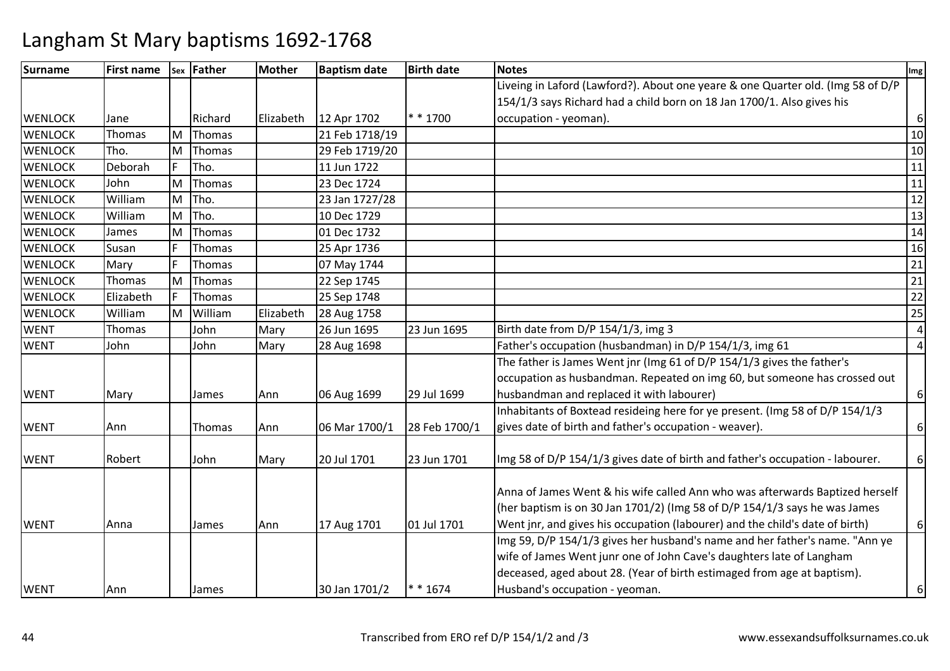| <b>Surname</b> | <b>First name</b> |   | sex Father | <b>Mother</b> | <b>Baptism date</b> | <b>Birth date</b> | <b>Notes</b>                                                                    | Img            |
|----------------|-------------------|---|------------|---------------|---------------------|-------------------|---------------------------------------------------------------------------------|----------------|
|                |                   |   |            |               |                     |                   | Liveing in Laford (Lawford?). About one yeare & one Quarter old. (Img 58 of D/P |                |
|                |                   |   |            |               |                     |                   | 154/1/3 says Richard had a child born on 18 Jan 1700/1. Also gives his          |                |
| <b>WENLOCK</b> | Jane              |   | Richard    | Elizabeth     | 12 Apr 1702         | $* * 1700$        | occupation - yeoman).                                                           | $6 \mid$       |
| <b>WENLOCK</b> | Thomas            | M | Thomas     |               | 21 Feb 1718/19      |                   |                                                                                 | 10             |
| <b>WENLOCK</b> | Tho.              | M | Thomas     |               | 29 Feb 1719/20      |                   |                                                                                 | 10             |
| <b>WENLOCK</b> | Deborah           |   | Tho.       |               | 11 Jun 1722         |                   |                                                                                 | 11             |
| <b>WENLOCK</b> | John              | M | Thomas     |               | 23 Dec 1724         |                   |                                                                                 | 11             |
| <b>WENLOCK</b> | William           | M | Tho.       |               | 23 Jan 1727/28      |                   |                                                                                 | 12             |
| <b>WENLOCK</b> | William           |   | M Tho.     |               | 10 Dec 1729         |                   |                                                                                 | 13             |
| <b>WENLOCK</b> | James             | M | Thomas     |               | 01 Dec 1732         |                   |                                                                                 | 14             |
| <b>WENLOCK</b> | Susan             |   | Thomas     |               | 25 Apr 1736         |                   |                                                                                 | 16             |
| <b>WENLOCK</b> | Mary              |   | Thomas     |               | 07 May 1744         |                   |                                                                                 | 21             |
| <b>WENLOCK</b> | Thomas            |   | M Thomas   |               | 22 Sep 1745         |                   |                                                                                 | 21             |
| <b>WENLOCK</b> | Elizabeth         |   | Thomas     |               | 25 Sep 1748         |                   |                                                                                 | 22             |
| <b>WENLOCK</b> | William           |   | M William  | Elizabeth     | 28 Aug 1758         |                   |                                                                                 | 25             |
| <b>WENT</b>    | Thomas            |   | John       | Mary          | 26 Jun 1695         | 23 Jun 1695       | Birth date from D/P 154/1/3, img 3                                              | $\overline{4}$ |
| <b>WENT</b>    | John              |   | John       | Mary          | 28 Aug 1698         |                   | Father's occupation (husbandman) in D/P 154/1/3, img 61                         | $\overline{4}$ |
|                |                   |   |            |               |                     |                   | The father is James Went jnr (Img 61 of D/P 154/1/3 gives the father's          |                |
|                |                   |   |            |               |                     |                   | occupation as husbandman. Repeated on img 60, but someone has crossed out       |                |
| <b>WENT</b>    | Mary              |   | James      | Ann           | 06 Aug 1699         | 29 Jul 1699       | husbandman and replaced it with labourer)                                       | $6 \mid$       |
|                |                   |   |            |               |                     |                   | Inhabitants of Boxtead resideing here for ye present. (Img 58 of D/P 154/1/3    |                |
| <b>WENT</b>    | Ann               |   | Thomas     | Ann           | 06 Mar 1700/1       | 28 Feb 1700/1     | gives date of birth and father's occupation - weaver).                          | $6 \mid$       |
|                |                   |   |            |               |                     |                   |                                                                                 |                |
| <b>WENT</b>    | Robert            |   | John       | Mary          | 20 Jul 1701         | 23 Jun 1701       | Img 58 of D/P 154/1/3 gives date of birth and father's occupation - labourer.   | $6 \mid$       |
|                |                   |   |            |               |                     |                   |                                                                                 |                |
|                |                   |   |            |               |                     |                   | Anna of James Went & his wife called Ann who was afterwards Baptized herself    |                |
|                |                   |   |            |               |                     |                   | (her baptism is on 30 Jan 1701/2) (lmg 58 of D/P 154/1/3 says he was James      |                |
| <b>WENT</b>    | Anna              |   | James      | Ann           | 17 Aug 1701         | 01 Jul 1701       | Went jnr, and gives his occupation (labourer) and the child's date of birth)    | $6 \mid$       |
|                |                   |   |            |               |                     |                   | Img 59, D/P 154/1/3 gives her husband's name and her father's name. "Ann ye     |                |
|                |                   |   |            |               |                     |                   | wife of James Went junr one of John Cave's daughters late of Langham            |                |
|                |                   |   |            |               |                     |                   | deceased, aged about 28. (Year of birth estimaged from age at baptism).         |                |
| <b>WENT</b>    | Ann               |   | James      |               | 30 Jan 1701/2       | $* * 1674$        | Husband's occupation - yeoman.                                                  | $6 \mid$       |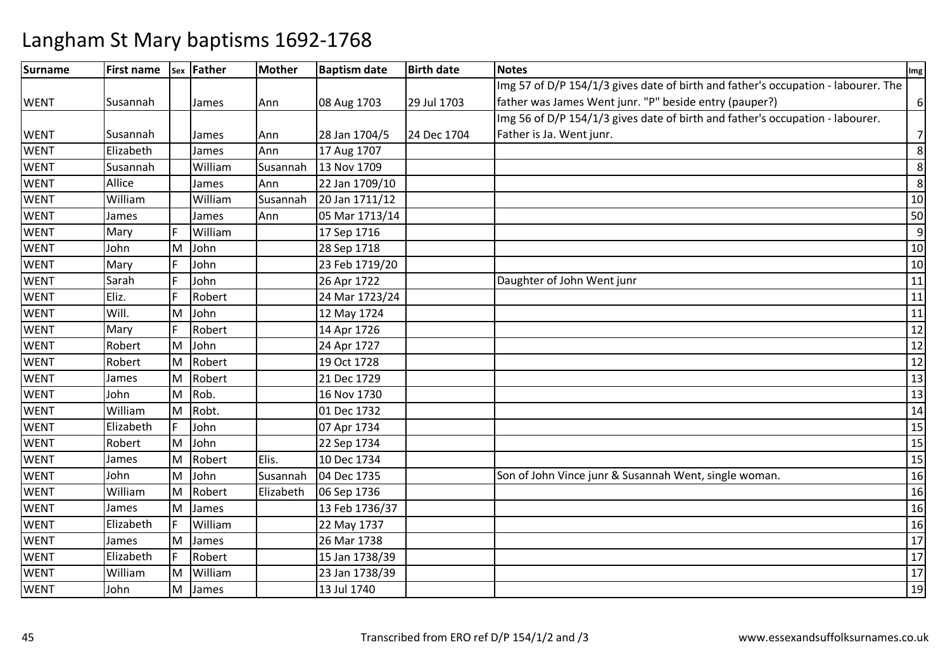| <b>Surname</b> | <b>First name</b> |     | sex Father | <b>Mother</b> | <b>Baptism date</b> | <b>Birth date</b> | <b>Notes</b>                                                                      | Img            |
|----------------|-------------------|-----|------------|---------------|---------------------|-------------------|-----------------------------------------------------------------------------------|----------------|
|                |                   |     |            |               |                     |                   | Img 57 of D/P 154/1/3 gives date of birth and father's occupation - labourer. The |                |
| <b>WENT</b>    | Susannah          |     | James      | Ann           | 08 Aug 1703         | 29 Jul 1703       | father was James Went junr. "P" beside entry (pauper?)                            | 6              |
|                |                   |     |            |               |                     |                   | Img 56 of D/P 154/1/3 gives date of birth and father's occupation - labourer.     |                |
| <b>WENT</b>    | Susannah          |     | James      | Ann           | 28 Jan 1704/5       | 24 Dec 1704       | Father is Ja. Went junr.                                                          | $\overline{7}$ |
| <b>WENT</b>    | Elizabeth         |     | James      | Ann           | 17 Aug 1707         |                   |                                                                                   | 8 <sup>1</sup> |
| <b>WENT</b>    | Susannah          |     | William    | Susannah      | 13 Nov 1709         |                   |                                                                                   | 8 <sup>1</sup> |
| <b>WENT</b>    | Allice            |     | James      | Ann           | 22 Jan 1709/10      |                   |                                                                                   | 8 <sup>1</sup> |
| <b>WENT</b>    | William           |     | William    | Susannah      | 20 Jan 1711/12      |                   |                                                                                   | 10             |
| <b>WENT</b>    | James             |     | James      | Ann           | 05 Mar 1713/14      |                   |                                                                                   | 50             |
| <b>WENT</b>    | Mary              |     | William    |               | 17 Sep 1716         |                   |                                                                                   | $\overline{9}$ |
| <b>WENT</b>    | John              | M   | John       |               | 28 Sep 1718         |                   |                                                                                   | 10             |
| <b>WENT</b>    | Mary              |     | John       |               | 23 Feb 1719/20      |                   |                                                                                   | 10             |
| <b>WENT</b>    | Sarah             | l F | John       |               | 26 Apr 1722         |                   | Daughter of John Went junr                                                        | 11             |
| <b>WENT</b>    | Eliz.             | E   | Robert     |               | 24 Mar 1723/24      |                   |                                                                                   | $11\,$         |
| <b>WENT</b>    | Will.             | M   | John       |               | 12 May 1724         |                   |                                                                                   | 11             |
| <b>WENT</b>    | Mary              | E   | Robert     |               | 14 Apr 1726         |                   |                                                                                   | 12             |
| <b>WENT</b>    | Robert            | M   | John       |               | 24 Apr 1727         |                   |                                                                                   | 12             |
| <b>WENT</b>    | Robert            | M   | Robert     |               | 19 Oct 1728         |                   |                                                                                   | 12             |
| <b>WENT</b>    | James             | M   | Robert     |               | 21 Dec 1729         |                   |                                                                                   | 13             |
| <b>WENT</b>    | John              | M   | Rob.       |               | 16 Nov 1730         |                   |                                                                                   | 13             |
| <b>WENT</b>    | William           | M   | Robt.      |               | 01 Dec 1732         |                   |                                                                                   | 14             |
| <b>WENT</b>    | Elizabeth         | F   | John       |               | 07 Apr 1734         |                   |                                                                                   | 15             |
| <b>WENT</b>    | Robert            | M   | John       |               | 22 Sep 1734         |                   |                                                                                   | 15             |
| <b>WENT</b>    | James             | M   | Robert     | Elis.         | 10 Dec 1734         |                   |                                                                                   | 15             |
| <b>WENT</b>    | John              | M   | John       | Susannah      | 04 Dec 1735         |                   | Son of John Vince junr & Susannah Went, single woman.                             | 16             |
| <b>WENT</b>    | William           | M   | Robert     | Elizabeth     | 06 Sep 1736         |                   |                                                                                   | 16             |
| <b>WENT</b>    | James             | M   | James      |               | 13 Feb 1736/37      |                   |                                                                                   | 16             |
| <b>WENT</b>    | Elizabeth         | ΙF  | William    |               | 22 May 1737         |                   |                                                                                   | 16             |
| <b>WENT</b>    | James             | M   | James      |               | 26 Mar 1738         |                   |                                                                                   | 17             |
| <b>WENT</b>    | Elizabeth         | IF  | Robert     |               | 15 Jan 1738/39      |                   |                                                                                   | 17             |
| <b>WENT</b>    | William           | M   | William    |               | 23 Jan 1738/39      |                   |                                                                                   | 17             |
| <b>WENT</b>    | John              | M   | James      |               | 13 Jul 1740         |                   |                                                                                   | 19             |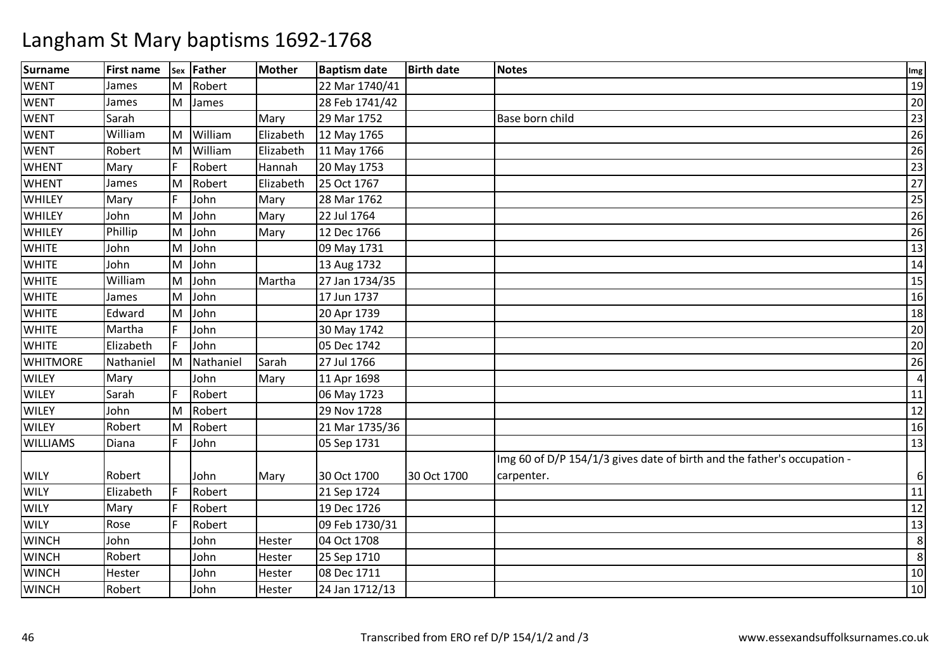| <b>Surname</b>  | <b>First name</b> |   | sex Father | <b>Mother</b> | <b>Baptism date</b> | <b>Birth date</b> | <b>Notes</b>                                                            | Img |
|-----------------|-------------------|---|------------|---------------|---------------------|-------------------|-------------------------------------------------------------------------|-----|
| <b>WENT</b>     | James             | M | Robert     |               | 22 Mar 1740/41      |                   |                                                                         | 19  |
| <b>WENT</b>     | James             | M | James      |               | 28 Feb 1741/42      |                   |                                                                         | 20  |
| <b>WENT</b>     | Sarah             |   |            | Mary          | 29 Mar 1752         |                   | Base born child                                                         | 23  |
| <b>WENT</b>     | William           | M | William    | Elizabeth     | 12 May 1765         |                   |                                                                         | 26  |
| <b>WENT</b>     | Robert            | M | William    | Elizabeth     | 11 May 1766         |                   |                                                                         | 26  |
| <b>WHENT</b>    | Mary              | E | Robert     | Hannah        | 20 May 1753         |                   |                                                                         | 23  |
| <b>WHENT</b>    | James             | M | Robert     | Elizabeth     | 25 Oct 1767         |                   |                                                                         | 27  |
| WHILEY          | Mary              | F | John       | Mary          | 28 Mar 1762         |                   |                                                                         | 25  |
| WHILEY          | John              | M | John       | Mary          | 22 Jul 1764         |                   |                                                                         | 26  |
| WHILEY          | Phillip           | M | John       | Mary          | 12 Dec 1766         |                   |                                                                         | 26  |
| <b>WHITE</b>    | John              | M | John       |               | 09 May 1731         |                   |                                                                         | 13  |
| <b>WHITE</b>    | John              | M | John       |               | 13 Aug 1732         |                   |                                                                         | 14  |
| <b>WHITE</b>    | William           | M | John       | Martha        | 27 Jan 1734/35      |                   |                                                                         | 15  |
| <b>WHITE</b>    | James             | M | John       |               | 17 Jun 1737         |                   |                                                                         | 16  |
| <b>WHITE</b>    | Edward            | M | John       |               | 20 Apr 1739         |                   |                                                                         | 18  |
| <b>WHITE</b>    | Martha            | F | John       |               | 30 May 1742         |                   |                                                                         | 20  |
| <b>WHITE</b>    | Elizabeth         | F | John       |               | 05 Dec 1742         |                   |                                                                         | 20  |
| <b>WHITMORE</b> | Nathaniel         | M | Nathaniel  | Sarah         | 27 Jul 1766         |                   |                                                                         | 26  |
| <b>WILEY</b>    | Mary              |   | John       | Mary          | 11 Apr 1698         |                   |                                                                         | 4   |
| <b>WILEY</b>    | Sarah             |   | Robert     |               | 06 May 1723         |                   |                                                                         | 11  |
| <b>WILEY</b>    | John              | M | Robert     |               | 29 Nov 1728         |                   |                                                                         | 12  |
| <b>WILEY</b>    | Robert            | M | Robert     |               | 21 Mar 1735/36      |                   |                                                                         | 16  |
| <b>WILLIAMS</b> | Diana             | F | John       |               | 05 Sep 1731         |                   |                                                                         | 13  |
|                 |                   |   |            |               |                     |                   | Img 60 of D/P 154/1/3 gives date of birth and the father's occupation - |     |
| <b>WILY</b>     | Robert            |   | John       | Mary          | 30 Oct 1700         | 30 Oct 1700       | carpenter.                                                              | 6   |
| <b>WILY</b>     | Elizabeth         | F | Robert     |               | 21 Sep 1724         |                   |                                                                         | 11  |
| <b>WILY</b>     | Mary              |   | Robert     |               | 19 Dec 1726         |                   |                                                                         | 12  |
| <b>WILY</b>     | Rose              |   | Robert     |               | 09 Feb 1730/31      |                   |                                                                         | 13  |
| <b>WINCH</b>    | John              |   | John       | Hester        | 04 Oct 1708         |                   |                                                                         | 8   |
| <b>WINCH</b>    | Robert            |   | John       | Hester        | 25 Sep 1710         |                   |                                                                         | 8   |
| <b>WINCH</b>    | Hester            |   | John       | Hester        | 08 Dec 1711         |                   |                                                                         | 10  |
| <b>WINCH</b>    | Robert            |   | John       | Hester        | 24 Jan 1712/13      |                   |                                                                         | 10  |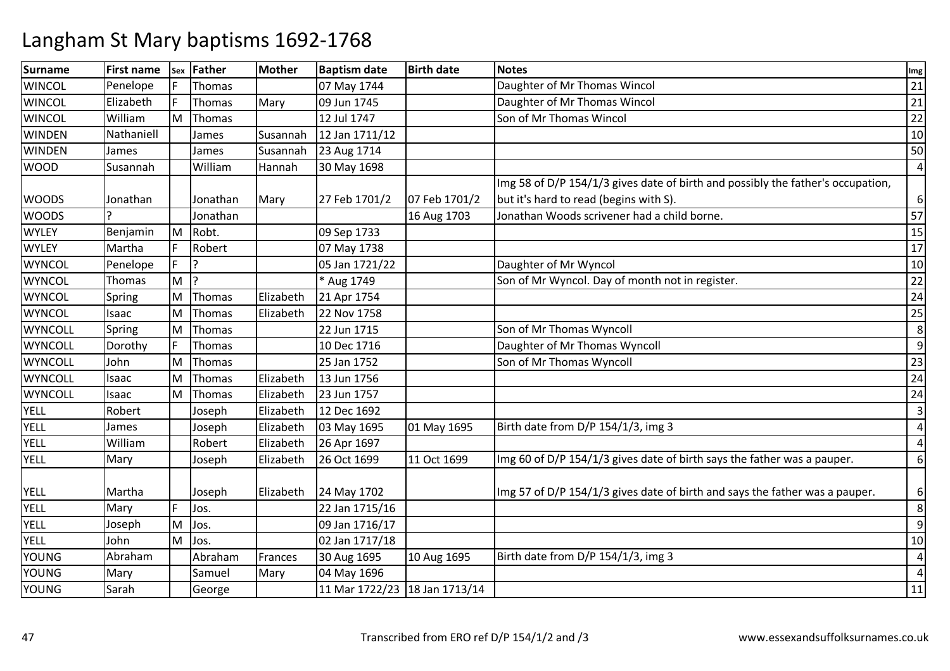| <b>Surname</b> | <b>First name</b> |    | sex Father | <b>Mother</b> | <b>Baptism date</b>           | <b>Birth date</b> | <b>Notes</b>                                                                    | Img                     |
|----------------|-------------------|----|------------|---------------|-------------------------------|-------------------|---------------------------------------------------------------------------------|-------------------------|
| <b>WINCOL</b>  | Penelope          |    | Thomas     |               | 07 May 1744                   |                   | Daughter of Mr Thomas Wincol                                                    | 21                      |
| <b>WINCOL</b>  | Elizabeth         |    | Thomas     | Mary          | 09 Jun 1745                   |                   | Daughter of Mr Thomas Wincol                                                    | 21                      |
| <b>WINCOL</b>  | William           | M  | Thomas     |               | 12 Jul 1747                   |                   | Son of Mr Thomas Wincol                                                         | 22                      |
| <b>WINDEN</b>  | Nathaniell        |    | James      | Susannah      | 12 Jan 1711/12                |                   |                                                                                 | 10                      |
| <b>WINDEN</b>  | James             |    | James      | Susannah      | 23 Aug 1714                   |                   |                                                                                 | 50                      |
| <b>WOOD</b>    | Susannah          |    | William    | Hannah        | 30 May 1698                   |                   |                                                                                 | $\overline{4}$          |
|                |                   |    |            |               |                               |                   | Img 58 of D/P 154/1/3 gives date of birth and possibly the father's occupation, |                         |
| <b>WOODS</b>   | Jonathan          |    | Jonathan   | Mary          | 27 Feb 1701/2                 | 07 Feb 1701/2     | but it's hard to read (begins with S).                                          | 6                       |
| <b>WOODS</b>   |                   |    | Jonathan   |               |                               | 16 Aug 1703       | Jonathan Woods scrivener had a child borne.                                     | 57                      |
| <b>WYLEY</b>   | Benjamin          | M  | Robt.      |               | 09 Sep 1733                   |                   |                                                                                 | 15                      |
| <b>WYLEY</b>   | Martha            | ΙF | Robert     |               | 07 May 1738                   |                   |                                                                                 | 17                      |
| <b>WYNCOL</b>  | Penelope          |    | 12         |               | 05 Jan 1721/22                |                   | Daughter of Mr Wyncol                                                           | 10                      |
| <b>WYNCOL</b>  | <b>Thomas</b>     | M  | I٦         |               | * Aug 1749                    |                   | Son of Mr Wyncol. Day of month not in register.                                 | 22                      |
| <b>WYNCOL</b>  | Spring            | M  | Thomas     | Elizabeth     | 21 Apr 1754                   |                   |                                                                                 | 24                      |
| <b>WYNCOL</b>  | Isaac             | M  | Thomas     | Elizabeth     | 22 Nov 1758                   |                   |                                                                                 | 25                      |
| <b>WYNCOLL</b> | Spring            | M  | Thomas     |               | 22 Jun 1715                   |                   | Son of Mr Thomas Wyncoll                                                        | 8                       |
| <b>WYNCOLL</b> | Dorothy           | IF | Thomas     |               | 10 Dec 1716                   |                   | Daughter of Mr Thomas Wyncoll                                                   | 9                       |
| <b>WYNCOLL</b> | John              | M  | Thomas     |               | 25 Jan 1752                   |                   | Son of Mr Thomas Wyncoll                                                        | 23                      |
| <b>WYNCOLL</b> | Isaac             | M  | Thomas     | Elizabeth     | 13 Jun 1756                   |                   |                                                                                 | 24                      |
| <b>WYNCOLL</b> | Isaac             | M  | Thomas     | Elizabeth     | 23 Jun 1757                   |                   |                                                                                 | 24                      |
| <b>YELL</b>    | Robert            |    | Joseph     | Elizabeth     | 12 Dec 1692                   |                   |                                                                                 | 3                       |
| YELL           | James             |    | Joseph     | Elizabeth     | 03 May 1695                   | 01 May 1695       | Birth date from D/P 154/1/3, img 3                                              | $\overline{\mathbf{4}}$ |
| <b>YELL</b>    | William           |    | Robert     | Elizabeth     | 26 Apr 1697                   |                   |                                                                                 | $\overline{\mathbf{4}}$ |
| YELL           | Mary              |    | Joseph     | Elizabeth     | 26 Oct 1699                   | 11 Oct 1699       | Img 60 of D/P 154/1/3 gives date of birth says the father was a pauper.         | 6                       |
|                |                   |    |            |               |                               |                   |                                                                                 |                         |
| YELL           | Martha            |    | Joseph     | Elizabeth     | 24 May 1702                   |                   | Img 57 of D/P 154/1/3 gives date of birth and says the father was a pauper.     | 6                       |
| <b>YELL</b>    | Mary              |    | Jos.       |               | 22 Jan 1715/16                |                   |                                                                                 | 8                       |
| <b>YELL</b>    | Joseph            | M  | Jos.       |               | 09 Jan 1716/17                |                   |                                                                                 | 9                       |
| <b>YELL</b>    | John              | M  | Jos.       |               | 02 Jan 1717/18                |                   |                                                                                 | 10                      |
| <b>YOUNG</b>   | Abraham           |    | Abraham    | Frances       | 30 Aug 1695                   | 10 Aug 1695       | Birth date from D/P 154/1/3, img 3                                              | 4                       |
| <b>YOUNG</b>   | Mary              |    | Samuel     | Mary          | 04 May 1696                   |                   |                                                                                 | $\overline{4}$          |
| <b>YOUNG</b>   | Sarah             |    | George     |               | 11 Mar 1722/23 18 Jan 1713/14 |                   |                                                                                 | 11                      |